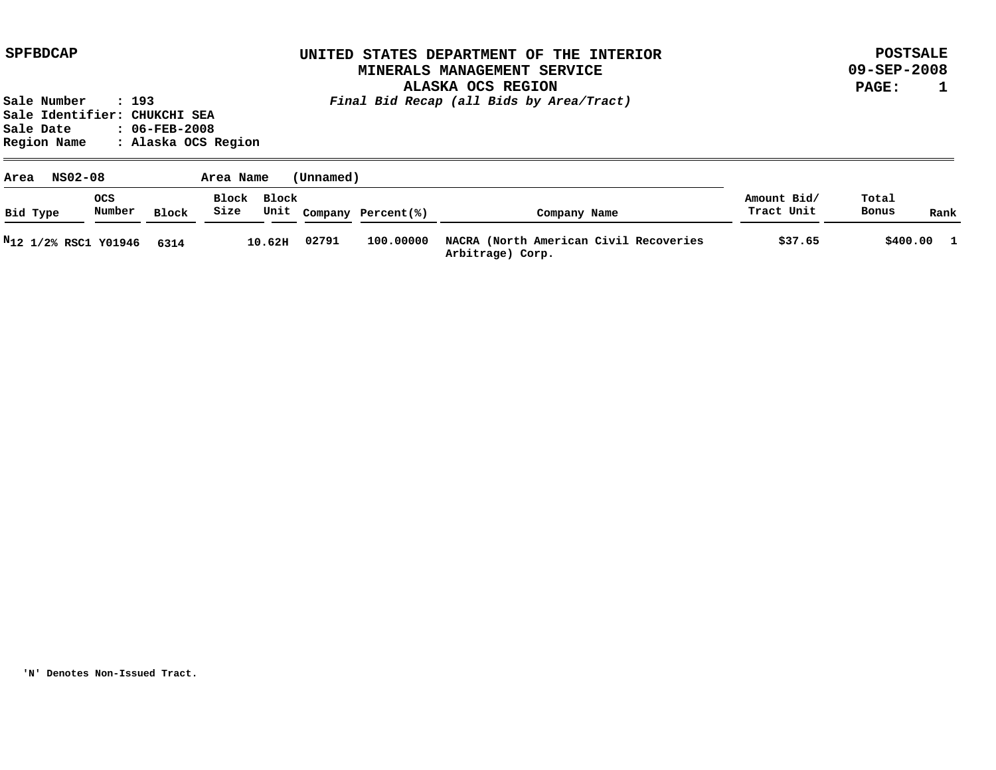**POSTSALE 09-SEP-2008 PAGE: 1**

**Sale Number : 193** *Final Bid Recap (all Bids by Area/Tract)* **Sale Identifier: CHUKCHI SEA Sale Date : 06-FEB-2008 Region Name : Alaska OCS Region**

| NS02-08<br>Area                  |               |              | Area Name |             | (Unnamed) |                         |                                                            |                           |                       |              |
|----------------------------------|---------------|--------------|-----------|-------------|-----------|-------------------------|------------------------------------------------------------|---------------------------|-----------------------|--------------|
| Bid Type                         | ocs<br>Number | <b>Block</b> | Size      | Block Block |           | Unit Company Percent(%) | Company Name                                               | Amount Bid/<br>Tract Unit | Total<br><b>Bonus</b> | Rank         |
| N <sub>12</sub> 1/2% RSC1 Y01946 |               | 6314         |           | 10.62H      | 02791     | 100,00000               | NACRA (North American Civil Recoveries<br>Arbitrage) Corp. | \$37.65                   | \$400.00              | $\mathbf{1}$ |

**'N' Denotes Non-Issued Tract.**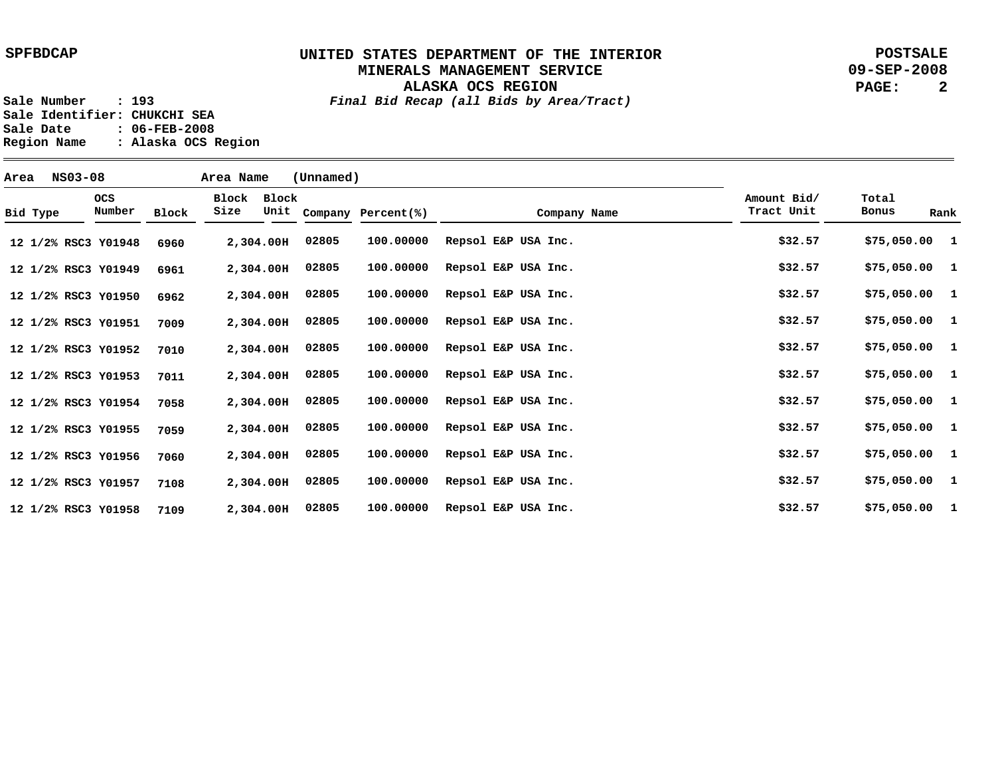**POSTSALE 09-SEP-2008 PAGE: 2**

**ALASKA OCS REGION Sale Number : 193** *Final Bid Recap (all Bids by Area/Tract)*

**Sale Identifier: CHUKCHI SEA Sale Date : 06-FEB-2008 Region Name : Alaska OCS Region**

| Area |          | NS03-08 |                      |       | Area Name     |               | (Unnamed) |                    |                     |              |                           |                |      |  |
|------|----------|---------|----------------------|-------|---------------|---------------|-----------|--------------------|---------------------|--------------|---------------------------|----------------|------|--|
|      | Bid Type |         | <b>OCS</b><br>Number | Block | Block<br>Size | Block<br>Unit |           | Company Percent(%) |                     | Company Name | Amount Bid/<br>Tract Unit | Total<br>Bonus | Rank |  |
|      |          |         | 12 1/2% RSC3 Y01948  | 6960  |               | 2,304.00H     | 02805     | 100.00000          | Repsol E&P USA Inc. |              | \$32.57                   | \$75,050.00 1  |      |  |
|      |          |         | 12 1/2% RSC3 Y01949  | 6961  |               | 2,304.00H     | 02805     | 100.00000          | Repsol E&P USA Inc. |              | \$32.57                   | $$75,050.00$ 1 |      |  |
|      |          |         | 12 1/2% RSC3 Y01950  | 6962  |               | 2,304.00H     | 02805     | 100.00000          | Repsol E&P USA Inc. |              | \$32.57                   | $$75,050.00$ 1 |      |  |
|      |          |         | 12 1/2% RSC3 Y01951  | 7009  |               | 2,304.00H     | 02805     | 100.00000          | Repsol E&P USA Inc. |              | \$32.57                   | $$75,050.00$ 1 |      |  |
|      |          |         | 12 1/2% RSC3 Y01952  | 7010  |               | 2,304.00H     | 02805     | 100.00000          | Repsol E&P USA Inc. |              | \$32.57                   | $$75,050.00$ 1 |      |  |
|      |          |         | 12 1/2% RSC3 Y01953  | 7011  |               | 2,304.00H     | 02805     | 100.00000          | Repsol E&P USA Inc. |              | \$32.57                   | $$75,050.00$ 1 |      |  |
|      |          |         | 12 1/2% RSC3 Y01954  | 7058  |               | 2,304.00H     | 02805     | 100.00000          | Repsol E&P USA Inc. |              | \$32.57                   | $$75,050.00$ 1 |      |  |
|      |          |         | 12 1/2% RSC3 Y01955  | 7059  |               | 2,304.00H     | 02805     | 100.00000          | Repsol E&P USA Inc. |              | \$32.57                   | $$75,050.00$ 1 |      |  |
|      |          |         | 12 1/2% RSC3 Y01956  | 7060  |               | 2,304.00H     | 02805     | 100.00000          | Repsol E&P USA Inc. |              | \$32.57                   | $$75,050.00$ 1 |      |  |
|      |          |         | 12 1/2% RSC3 Y01957  | 7108  |               | 2,304.00H     | 02805     | 100.00000          | Repsol E&P USA Inc. |              | \$32.57                   | \$75,050.00 1  |      |  |
|      |          |         | 12 1/2% RSC3 Y01958  | 7109  |               | 2,304.00H     | 02805     | 100.00000          | Repsol E&P USA Inc. |              | \$32.57                   | $$75,050.00$ 1 |      |  |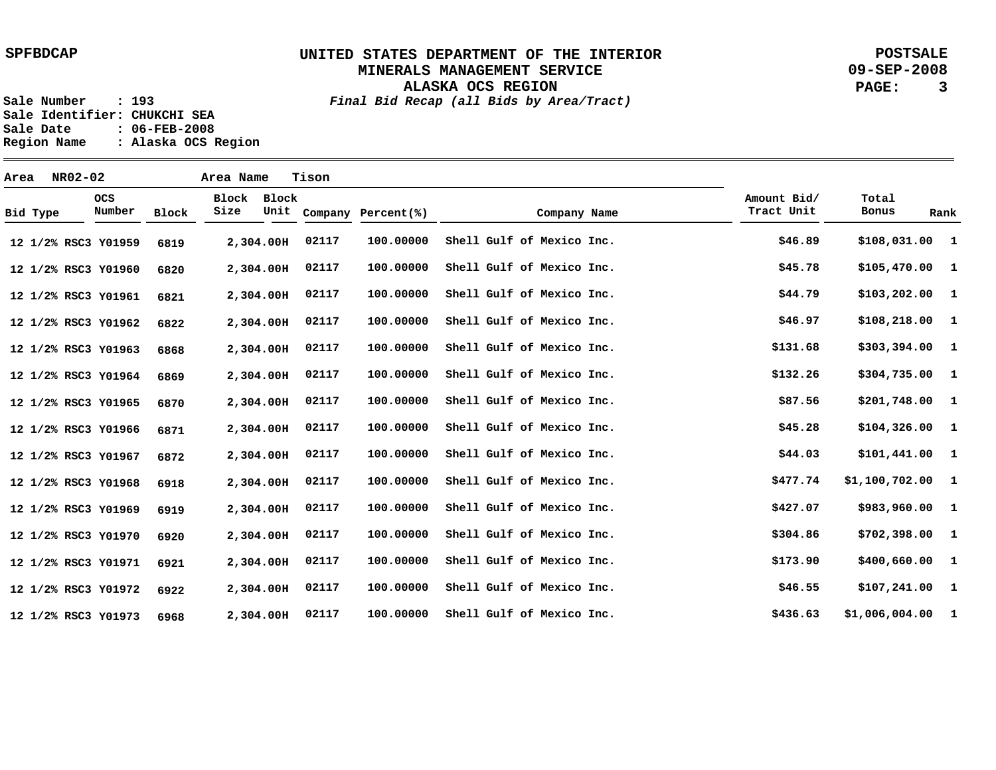**POSTSALE 09-SEP-2008 PAGE: 3**

**ALASKA OCS REGION Sale Number : 193** *Final Bid Recap (all Bids by Area/Tract)*

**Sale Identifier: CHUKCHI SEA Sale Date : 06-FEB-2008 Region Name : Alaska OCS Region**

| Area |          | NR02-02 |                      |              | Area Name     |               | Tison |                    |                           |                           |                   |              |
|------|----------|---------|----------------------|--------------|---------------|---------------|-------|--------------------|---------------------------|---------------------------|-------------------|--------------|
|      | Bid Type |         | <b>OCS</b><br>Number | <b>Block</b> | Block<br>Size | Block<br>Unit |       | Company Percent(%) | Company Name              | Amount Bid/<br>Tract Unit | Total<br>Bonus    | Rank         |
|      |          |         | 12 1/2% RSC3 Y01959  | 6819         |               | 2,304.00H     | 02117 | 100.00000          | Shell Gulf of Mexico Inc. | \$46.89                   | $$108,031.00$ 1   |              |
|      |          |         | 12 1/2% RSC3 Y01960  | 6820         |               | 2,304.00H     | 02117 | 100.00000          | Shell Gulf of Mexico Inc. | \$45.78                   | $$105,470.00$ 1   |              |
|      |          |         | 12 1/2% RSC3 Y01961  | 6821         |               | 2,304.00H     | 02117 | 100.00000          | Shell Gulf of Mexico Inc. | \$44.79                   | $$103, 202.00$ 1  |              |
|      |          |         | 12 1/2% RSC3 Y01962  | 6822         |               | 2,304.00H     | 02117 | 100.00000          | Shell Gulf of Mexico Inc. | \$46.97                   | $$108, 218.00$ 1  |              |
|      |          |         | 12 1/2% RSC3 Y01963  | 6868         |               | 2,304.00H     | 02117 | 100.00000          | Shell Gulf of Mexico Inc. | \$131.68                  | $$303,394.00$ 1   |              |
|      |          |         | 12 1/2% RSC3 Y01964  | 6869         |               | 2,304.00H     | 02117 | 100.00000          | Shell Gulf of Mexico Inc. | \$132.26                  | \$304,735.00 1    |              |
|      |          |         | 12 1/2% RSC3 Y01965  | 6870         |               | 2,304.00H     | 02117 | 100.00000          | Shell Gulf of Mexico Inc. | \$87.56                   | $$201,748.00$ 1   |              |
|      |          |         | 12 1/2% RSC3 Y01966  | 6871         |               | 2,304.00H     | 02117 | 100.00000          | Shell Gulf of Mexico Inc. | \$45.28                   | $$104,326.00$ 1   |              |
|      |          |         | 12 1/2% RSC3 Y01967  | 6872         |               | 2,304.00H     | 02117 | 100.00000          | Shell Gulf of Mexico Inc. | \$44.03                   | $$101,441.00$ 1   |              |
|      |          |         | 12 1/2% RSC3 Y01968  | 6918         |               | 2,304.00H     | 02117 | 100.00000          | Shell Gulf of Mexico Inc. | \$477.74                  | $$1,100,702.00$ 1 |              |
|      |          |         | 12 1/2% RSC3 Y01969  | 6919         |               | 2,304.00H     | 02117 | 100.00000          | Shell Gulf of Mexico Inc. | \$427.07                  | \$983,960.00 1    |              |
|      |          |         | 12 1/2% RSC3 Y01970  | 6920         |               | 2,304.00H     | 02117 | 100.00000          | Shell Gulf of Mexico Inc. | \$304.86                  | $$702,398.00$ 1   |              |
|      |          |         | 12 1/2% RSC3 Y01971  | 6921         |               | 2,304.00H     | 02117 | 100.00000          | Shell Gulf of Mexico Inc. | \$173.90                  | \$400,660.00 1    |              |
|      |          |         | 12 1/2% RSC3 Y01972  | 6922         |               | 2,304.00H     | 02117 | 100.00000          | Shell Gulf of Mexico Inc. | \$46.55                   | $$107,241.00$ 1   |              |
|      |          |         | 12 1/2% RSC3 Y01973  | 6968         |               | 2,304.00H     | 02117 | 100.00000          | Shell Gulf of Mexico Inc. | \$436.63                  | \$1,006,004.00    | $\mathbf{1}$ |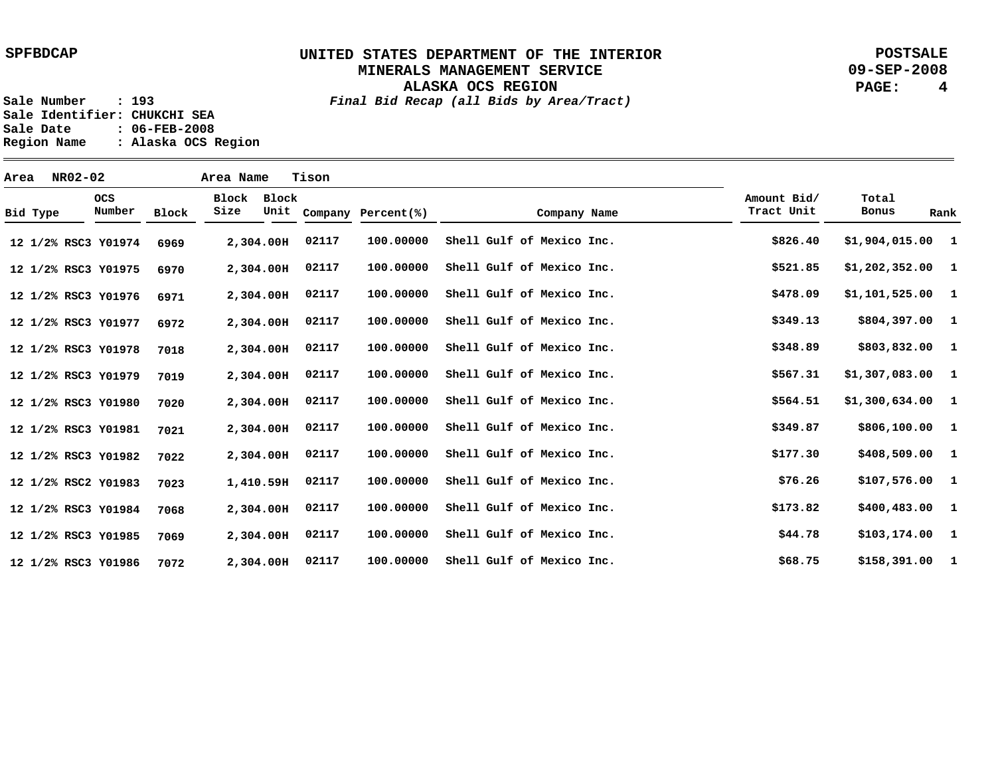**ALASKA OCS REGION**

**POSTSALE 09-SEP-2008 PAGE: 4**

**Sale Number : 193** *Final Bid Recap (all Bids by Area/Tract)* **Sale Identifier: CHUKCHI SEA Sale Date : 06-FEB-2008 Region Name : Alaska OCS Region**

**Area NR02-02 Area Name Tison Y01974 12 1/2% RSC3 Y01975 12 1/2% RSC3 Y01976 12 1/2% RSC3 Y01977 12 1/2% RSC3 Y01978 12 1/2% RSC3 Y01979 12 1/2% RSC3 Y01980 12 1/2% RSC3 Y01981 12 1/2% RSC3 Y01982 12 1/2% RSC3 Y01983 12 1/2% RSC2 Y01984 12 1/2% RSC3 Y01985 12 1/2% RSC3 Y01986 12 1/2% RSC3 2,304.00 H 2,304.00 H 2,304.00 H 2,304.00 H 2,304.00 H 2,304.00 H 2,304.00 H 2,304.00 H 2,304.00 H 1,410.59 H 2,304.00 H 2,304.00 H 2,304.00 H 6969 6970 6971 6972 7018 7019 7020 7021 7022 7023 7068 7069 7072 1 \$1,904,015.00 1 1 1 1 1 1 1 1 1 1 1 1 \$158,391.00 \$1,202,352.00 \$1,101,525.00 \$804,397.00 \$803,832.00 \$1,307,083.00 \$1,300,634.00 \$806,100.00 \$408,509.00 \$107,576.00 \$400,483.00 \$103,174.00 \$826.40 \$521.85 \$478.09 \$349.13 \$348.89 \$567.31 \$564.51 \$349.87 \$177.30 \$76.26 \$173.82 \$44.78 \$68.75 100.00000 100.00000 100.00000 100.00000 100.00000 100.00000 100.00000 100.00000 100.00000 100.00000 100.00000 100.00000 100.00000 02117 02117 02117 02117 02117 02117 02117 02117 02117 02117 02117 02117 02117 Shell Gulf of Mexico Inc. Shell Gulf of Mexico Inc. Shell Gulf of Mexico Inc. Shell Gulf of Mexico Inc. Shell Gulf of Mexico Inc. Shell Gulf of Mexico Inc. Shell Gulf of Mexico Inc. Shell Gulf of Mexico Inc. Shell Gulf of Mexico Inc. Shell Gulf of Mexico Inc. Shell Gulf of Mexico Inc. Shell Gulf of Mexico Inc. Shell Gulf of Mexico Inc. Bid Type OCS Number Block Block Block Size Unit Company Percent(%) Company Name Amount Bid/ Tract Unit Total Bonus Rank**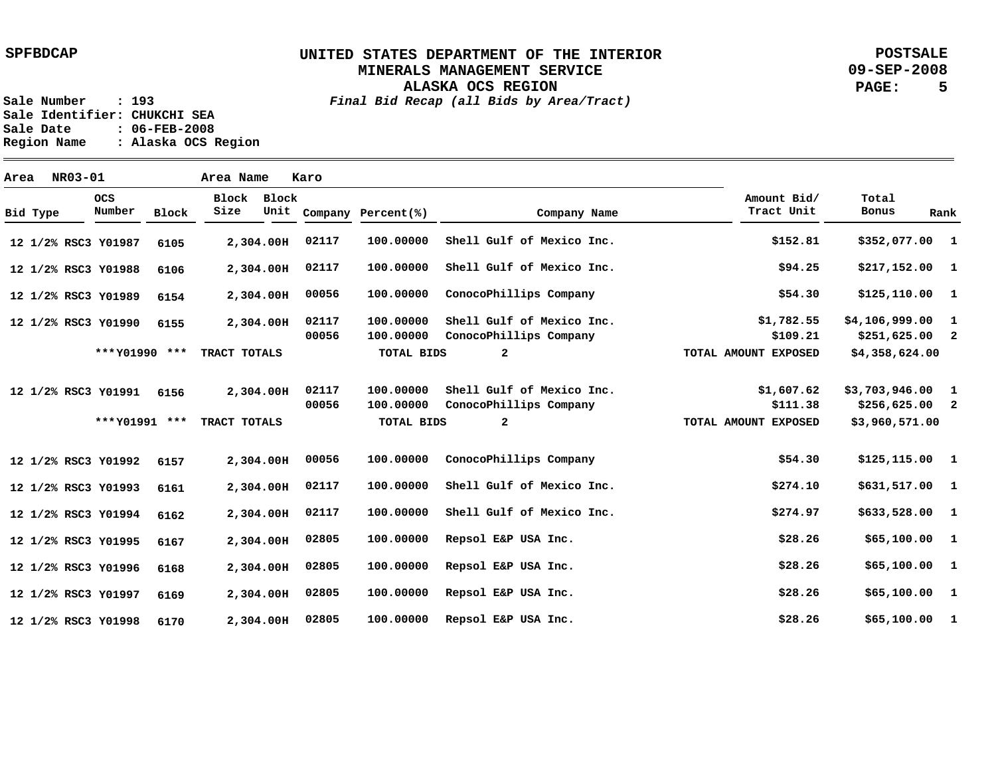**POSTSALE 09-SEP-2008 PAGE: 5**

**ALASKA OCS REGION Sale Number : 193** *Final Bid Recap (all Bids by Area/Tract)*

**Sale Identifier: CHUKCHI SEA Sale Date : 06-FEB-2008 Region Name : Alaska OCS Region**

| Area |          | NR03-01 |                      |              | Area Name     |               | Karo  |                    |                           |                           |                       |              |
|------|----------|---------|----------------------|--------------|---------------|---------------|-------|--------------------|---------------------------|---------------------------|-----------------------|--------------|
|      | Bid Type |         | <b>OCS</b><br>Number | <b>Block</b> | Block<br>Size | Block<br>Unit |       | Company Percent(%) | Company Name              | Amount Bid/<br>Tract Unit | Total<br><b>Bonus</b> | Rank         |
|      |          |         | 12 1/2% RSC3 Y01987  | 6105         |               | 2,304.00H     | 02117 | 100.00000          | Shell Gulf of Mexico Inc. | \$152.81                  | \$352,077.00 1        |              |
|      |          |         | 12 1/2% RSC3 Y01988  | 6106         |               | 2,304.00H     | 02117 | 100.00000          | Shell Gulf of Mexico Inc. | \$94.25                   | $$217,152.00$ 1       |              |
|      |          |         | 12 1/2% RSC3 Y01989  | 6154         |               | 2,304.00H     | 00056 | 100.00000          | ConocoPhillips Company    | \$54.30                   | \$125,110.00 1        |              |
|      |          |         | 12 1/2% RSC3 Y01990  | 6155         |               | 2,304.00H     | 02117 | 100.00000          | Shell Gulf of Mexico Inc. | \$1,782.55                | \$4,106,999.00        | -1           |
|      |          |         |                      |              |               |               | 00056 | 100.00000          | ConocoPhillips Company    | \$109.21                  | $$251,625.00$ 2       |              |
|      |          |         | *** Y01990 ***       |              | TRACT TOTALS  |               |       | <b>TOTAL BIDS</b>  | $\overline{a}$            | TOTAL AMOUNT EXPOSED      | \$4,358,624.00        |              |
|      |          |         | 12 1/2% RSC3 Y01991  | 6156         |               | 2,304.00H     | 02117 | 100,00000          | Shell Gulf of Mexico Inc. | \$1,607.62                | $$3,703,946.00$ 1     |              |
|      |          |         |                      |              |               |               | 00056 | 100.00000          | ConocoPhillips Company    | \$111.38                  | $$256,625.00$ 2       |              |
|      |          |         | *** Y01991 ***       |              | TRACT TOTALS  |               |       | TOTAL BIDS         | $\mathbf{2}$              | TOTAL AMOUNT EXPOSED      | \$3,960,571.00        |              |
|      |          |         | 12 1/2% RSC3 Y01992  | 6157         |               | 2,304.00H     | 00056 | 100.00000          | ConocoPhillips Company    | \$54.30                   | \$125,115.00 1        |              |
|      |          |         | 12 1/2% RSC3 Y01993  | 6161         |               | 2,304.00H     | 02117 | 100.00000          | Shell Gulf of Mexico Inc. | \$274.10                  | \$631,517.00 1        |              |
|      |          |         | 12 1/2% RSC3 Y01994  | 6162         |               | 2,304.00H     | 02117 | 100.00000          | Shell Gulf of Mexico Inc. | \$274.97                  | \$633,528.00 1        |              |
|      |          |         | 12 1/2% RSC3 Y01995  | 6167         |               | 2,304.00H     | 02805 | 100.00000          | Repsol E&P USA Inc.       | \$28.26                   | \$65,100.00 1         |              |
|      |          |         | 12 1/2% RSC3 Y01996  | 6168         |               | 2,304.00H     | 02805 | 100.00000          | Repsol E&P USA Inc.       | \$28.26                   | \$65,100.00 1         |              |
|      |          |         | 12 1/2% RSC3 Y01997  | 6169         |               | 2,304.00H     | 02805 | 100.00000          | Repsol E&P USA Inc.       | \$28.26                   | \$65,100.00           | $\mathbf{1}$ |
|      |          |         | 12 1/2% RSC3 Y01998  | 6170         |               | 2,304.00H     | 02805 | 100,00000          | Repsol E&P USA Inc.       | \$28.26                   | \$65,100.00           | $\mathbf{1}$ |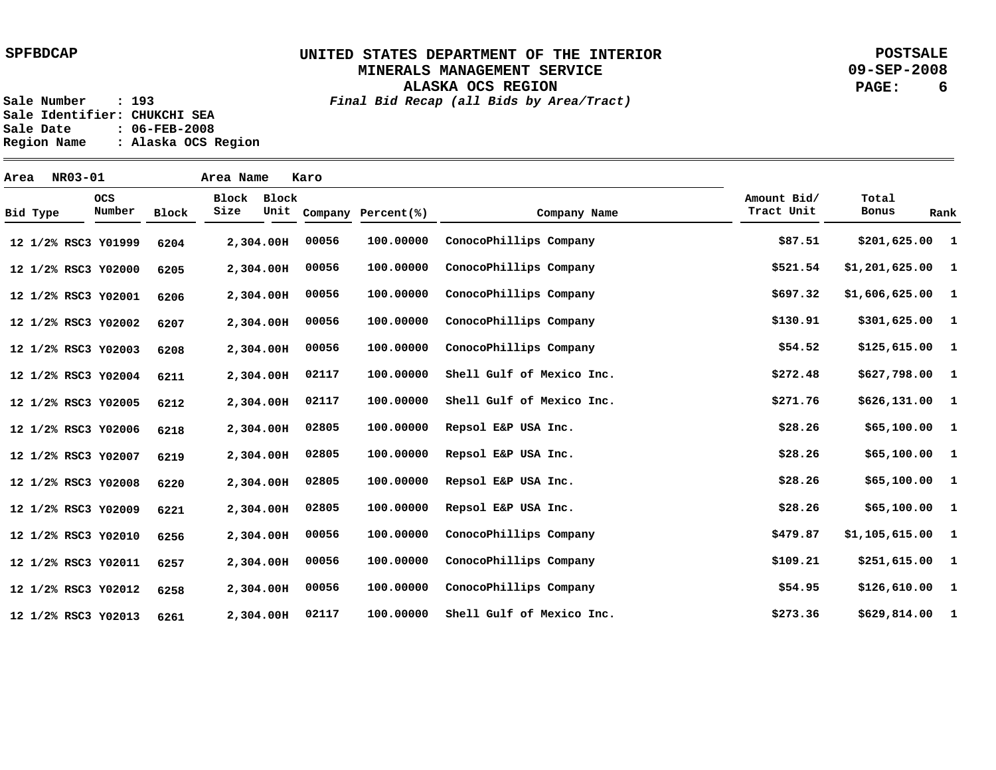**ALASKA OCS REGION**

**POSTSALE 09-SEP-2008 PAGE: 6**

**Sale Number : 193** *Final Bid Recap (all Bids by Area/Tract)* **Sale Identifier: CHUKCHI SEA Sale Date : 06-FEB-2008 Region Name : Alaska OCS Region**

**Area NR03-01 Area Name Karo Y01999 12 1/2% RSC3 Y02000 12 1/2% RSC3 Y02001 12 1/2% RSC3 Y02002 12 1/2% RSC3 Y02003 12 1/2% RSC3 Y02004 12 1/2% RSC3 Y02005 12 1/2% RSC3 Y02006 12 1/2% RSC3 Y02007 12 1/2% RSC3 Y02008 12 1/2% RSC3 Y02009 12 1/2% RSC3 Y02010 12 1/2% RSC3 Y02011 12 1/2% RSC3 Y02012 12 1/2% RSC3 Y02013 12 1/2% RSC3 2,304.00 H 2,304.00 H 2,304.00 H 2,304.00 H 2,304.00 H 2,304.00 H 2,304.00 H 2,304.00 H 2,304.00 H 2,304.00 H 2,304.00 H 2,304.00 H 2,304.00 H 2,304.00 H 2,304.00 H 6204 6205 6206 6207 6208 6211 6212 6218 6219 6220 6221 6256 6257 6258 6261 1 \$201,625.00 1 1 1 1 1 1 1 1 1 1 1 1 1 1 \$1,201,625.00 \$1,606,625.00 \$301,625.00 \$125,615.00 \$627,798.00 \$626,131.00 \$65,100.00 \$65,100.00 \$65,100.00 \$65,100.00 \$1,105,615.00 \$251,615.00 \$126,610.00 \$629,814.00 \$87.51 \$521.54 \$697.32 \$130.91 \$54.52 \$272.48 \$271.76 \$28.26 \$28.26 \$28.26 \$28.26 \$479.87 \$109.21 \$54.95 \$273.36 100.00000 100.00000 100.00000 100.00000 100.00000 100.00000 100.00000 100.00000 100.00000 100.00000 100.00000 100.00000 100.00000 100.00000 100.00000 00056 00056 00056 00056 00056 02117 02117 02805 02805 02805 02805 00056 00056 00056 02117 ConocoPhillips Company ConocoPhillips Company ConocoPhillips Company ConocoPhillips Company ConocoPhillips Company Shell Gulf of Mexico Inc. Shell Gulf of Mexico Inc. Repsol E&P USA Inc. Repsol E&P USA Inc. Repsol E&P USA Inc. Repsol E&P USA Inc. ConocoPhillips Company ConocoPhillips Company ConocoPhillips Company Shell Gulf of Mexico Inc. Bid Type OCS Number Block Block Block Size Unit Company Percent(%) Company Name Amount Bid/ Tract Unit Total Bonus Rank**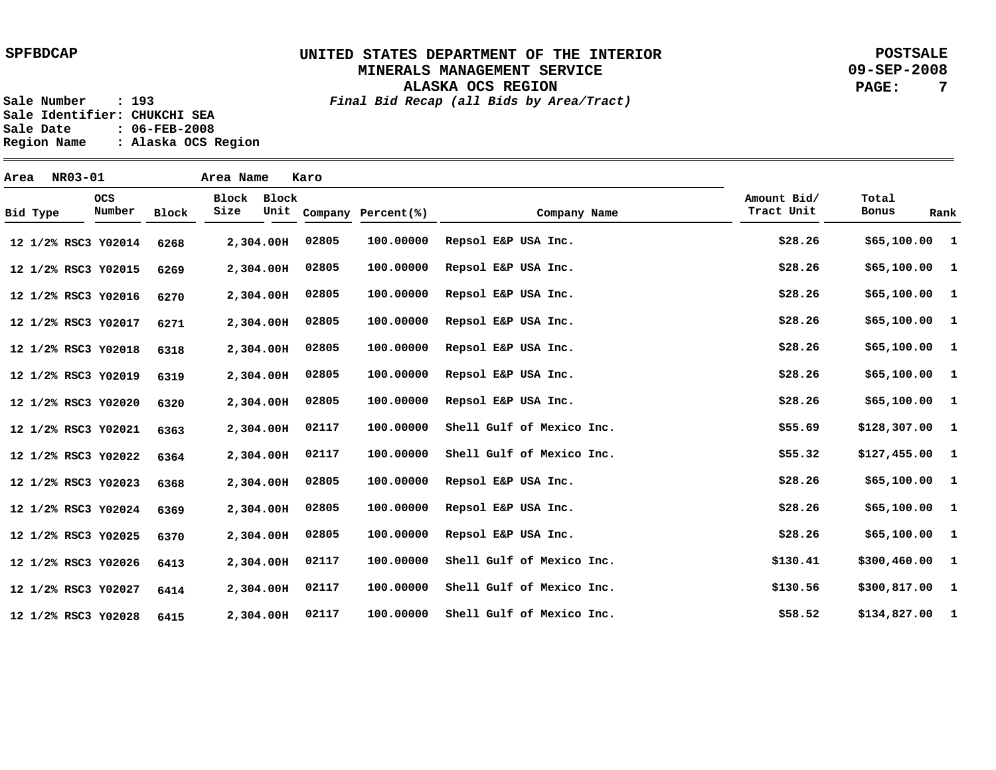**POSTSALE 09-SEP-2008 PAGE: 7**

**ALASKA OCS REGION Sale Number : 193** *Final Bid Recap (all Bids by Area/Tract)*

Sale Identifier: CHUKCHI SEA<br>Sale Date : 06-FEB-2008 **Sale Date : 06-FEB-2008 Region Name : Alaska OCS Region**

| Area |          | NR03-01 |                      |       | Area Name     |               | Karo  |                    |                           |                           |                 |      |
|------|----------|---------|----------------------|-------|---------------|---------------|-------|--------------------|---------------------------|---------------------------|-----------------|------|
|      | Bid Type |         | <b>OCS</b><br>Number | Block | Block<br>Size | Block<br>Unit |       | Company Percent(%) | Company Name              | Amount Bid/<br>Tract Unit | Total<br>Bonus  | Rank |
|      |          |         | 12 1/2% RSC3 Y02014  | 6268  |               | 2,304.00H     | 02805 | 100.00000          | Repsol E&P USA Inc.       | \$28.26                   | \$65,100.00 1   |      |
|      |          |         | 12 1/2% RSC3 Y02015  | 6269  |               | 2,304.00H     | 02805 | 100.00000          | Repsol E&P USA Inc.       | \$28.26                   | \$65,100.00 1   |      |
|      |          |         | 12 1/2% RSC3 Y02016  | 6270  |               | 2,304.00H     | 02805 | 100.00000          | Repsol E&P USA Inc.       | \$28.26                   | \$65,100.00 1   |      |
|      |          |         | 12 1/2% RSC3 Y02017  | 6271  |               | 2,304.00H     | 02805 | 100.00000          | Repsol E&P USA Inc.       | \$28.26                   | \$65,100.00 1   |      |
|      |          |         | 12 1/2% RSC3 Y02018  | 6318  |               | 2,304.00H     | 02805 | 100.00000          | Repsol E&P USA Inc.       | \$28.26                   | \$65,100.00 1   |      |
|      |          |         | 12 1/2% RSC3 Y02019  | 6319  |               | 2,304.00H     | 02805 | 100.00000          | Repsol E&P USA Inc.       | \$28.26                   | \$65,100.00 1   |      |
|      |          |         | 12 1/2% RSC3 Y02020  | 6320  |               | 2,304.00H     | 02805 | 100.00000          | Repsol E&P USA Inc.       | \$28.26                   | \$65,100.00 1   |      |
|      |          |         | 12 1/2% RSC3 Y02021  | 6363  |               | 2,304.00H     | 02117 | 100.00000          | Shell Gulf of Mexico Inc. | \$55.69                   | $$128,307.00$ 1 |      |
|      |          |         | 12 1/2% RSC3 Y02022  | 6364  |               | 2,304.00H     | 02117 | 100.00000          | Shell Gulf of Mexico Inc. | \$55.32                   | $$127,455.00$ 1 |      |
|      |          |         | 12 1/2% RSC3 Y02023  | 6368  |               | 2,304.00H     | 02805 | 100.00000          | Repsol E&P USA Inc.       | \$28.26                   | \$65,100.00 1   |      |
|      |          |         | 12 1/2% RSC3 Y02024  | 6369  |               | 2,304.00H     | 02805 | 100.00000          | Repsol E&P USA Inc.       | \$28.26                   | \$65,100.00 1   |      |
|      |          |         | 12 1/2% RSC3 Y02025  | 6370  |               | 2,304.00H     | 02805 | 100.00000          | Repsol E&P USA Inc.       | \$28.26                   | \$65,100.00 1   |      |
|      |          |         | 12 1/2% RSC3 Y02026  | 6413  |               | 2,304.00H     | 02117 | 100.00000          | Shell Gulf of Mexico Inc. | \$130.41                  | \$300,460.00 1  |      |
|      |          |         | 12 1/2% RSC3 Y02027  | 6414  |               | 2,304.00H     | 02117 | 100.00000          | Shell Gulf of Mexico Inc. | \$130.56                  | \$300,817.00 1  |      |
|      |          |         | 12 1/2% RSC3 Y02028  | 6415  |               | 2,304.00H     | 02117 | 100.00000          | Shell Gulf of Mexico Inc. | \$58.52                   | $$134,827.00$ 1 |      |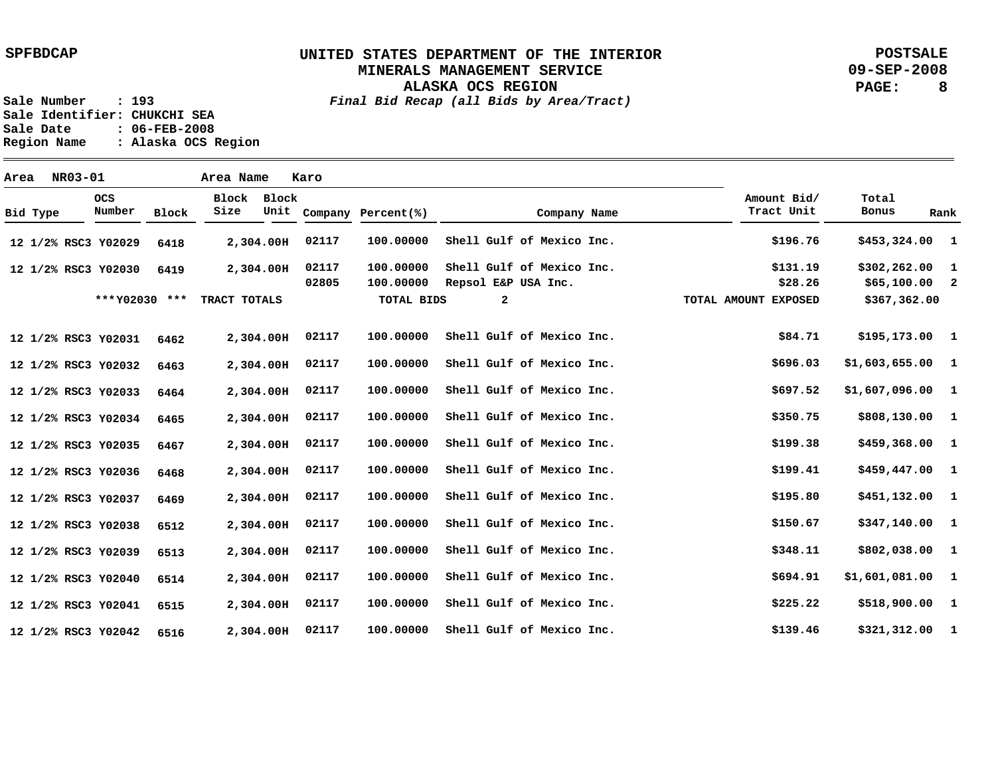### **UNITED STATES DEPARTMENT OF THE INTERIOR MINERALS MANAGEMENT SERVICE**

**POSTSALE 09-SEP-2008 PAGE: 8**

**ALASKA OCS REGION Sale Number : 193** *Final Bid Recap (all Bids by Area/Tract)*

**Sale Identifier: CHUKCHI SEA Sale Date : 06-FEB-2008 Region Name : Alaska OCS Region**

| Area |          | <b>NR03-01</b> |                      |       | Area Name     |               | Karo           |                        |                                                  |              |                           |                                    |      |
|------|----------|----------------|----------------------|-------|---------------|---------------|----------------|------------------------|--------------------------------------------------|--------------|---------------------------|------------------------------------|------|
|      | Bid Type |                | <b>OCS</b><br>Number | Block | Block<br>Size | Block<br>Unit |                | Company Percent(%)     |                                                  | Company Name | Amount Bid/<br>Tract Unit | Total<br>Bonus                     | Rank |
|      |          |                | 12 1/2% RSC3 Y02029  | 6418  |               | 2,304.00H     | 02117          | 100.00000              | Shell Gulf of Mexico Inc.                        |              | \$196.76                  | \$453,324.00 1                     |      |
|      |          |                | 12 1/2% RSC3 Y02030  | 6419  |               | 2,304.00H     | 02117<br>02805 | 100.00000<br>100.00000 | Shell Gulf of Mexico Inc.<br>Repsol E&P USA Inc. |              | \$131.19<br>\$28.26       | $$302, 262.00$ 1<br>$$65,100.00$ 2 |      |
|      |          |                | *** Y02030 ***       |       | TRACT TOTALS  |               |                | TOTAL BIDS             | $\mathbf{2}$                                     |              | TOTAL AMOUNT EXPOSED      | \$367,362.00                       |      |
|      |          |                | 12 1/2% RSC3 Y02031  | 6462  |               | 2,304.00H     | 02117          | 100.00000              | Shell Gulf of Mexico Inc.                        |              | \$84.71                   | \$195,173.00 1                     |      |
|      |          |                | 12 1/2% RSC3 Y02032  | 6463  |               | 2,304.00H     | 02117          | 100.00000              | Shell Gulf of Mexico Inc.                        |              | \$696.03                  | $$1,603,655.00$ 1                  |      |
|      |          |                | 12 1/2% RSC3 Y02033  | 6464  |               | 2,304.00H     | 02117          | 100.00000              | Shell Gulf of Mexico Inc.                        |              | \$697.52                  | $$1,607,096.00$ 1                  |      |
|      |          |                | 12 1/2% RSC3 Y02034  | 6465  |               | 2,304.00H     | 02117          | 100.00000              | Shell Gulf of Mexico Inc.                        |              | \$350.75                  | \$808,130.00 1                     |      |
|      |          |                | 12 1/2% RSC3 Y02035  | 6467  |               | 2,304.00H     | 02117          | 100.00000              | Shell Gulf of Mexico Inc.                        |              | \$199.38                  | $$459,368.00$ 1                    |      |
|      |          |                | 12 1/2% RSC3 Y02036  | 6468  |               | 2,304.00H     | 02117          | 100.00000              | Shell Gulf of Mexico Inc.                        |              | \$199.41                  | \$459,447.00 1                     |      |
|      |          |                | 12 1/2% RSC3 Y02037  | 6469  |               | 2,304.00H     | 02117          | 100.00000              | Shell Gulf of Mexico Inc.                        |              | \$195.80                  | \$451,132.00 1                     |      |
|      |          |                | 12 1/2% RSC3 Y02038  | 6512  |               | 2,304.00H     | 02117          | 100.00000              | Shell Gulf of Mexico Inc.                        |              | \$150.67                  | \$347,140.00 1                     |      |
|      |          |                | 12 1/2% RSC3 Y02039  | 6513  |               | 2,304.00H     | 02117          | 100.00000              | Shell Gulf of Mexico Inc.                        |              | \$348.11                  | \$802,038.00 1                     |      |
|      |          |                | 12 1/2% RSC3 Y02040  | 6514  |               | 2,304.00H     | 02117          | 100.00000              | Shell Gulf of Mexico Inc.                        |              | \$694.91                  | $$1,601,081.00$ 1                  |      |
|      |          |                | 12 1/2% RSC3 Y02041  | 6515  |               | 2,304.00H     | 02117          | 100.00000              | Shell Gulf of Mexico Inc.                        |              | \$225.22                  | \$518,900.00 1                     |      |
|      |          |                | 12 1/2% RSC3 Y02042  | 6516  |               | 2,304.00H     | 02117          | 100.00000              | Shell Gulf of Mexico Inc.                        |              | \$139.46                  | \$321,312.00 1                     |      |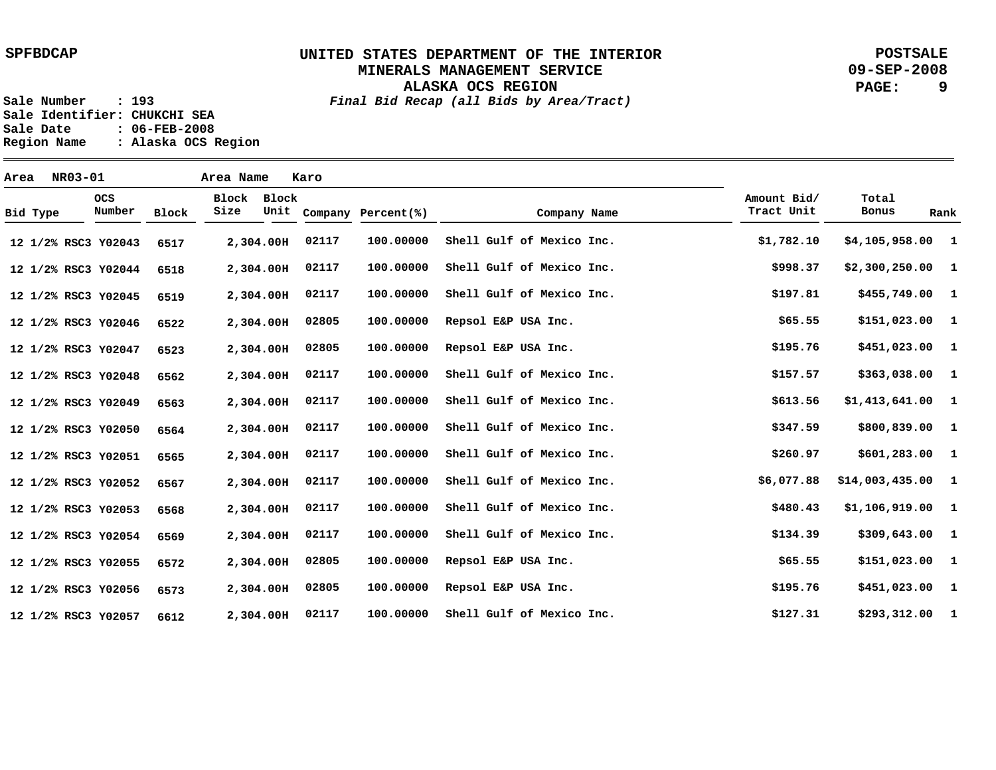**ALASKA OCS REGION**

**POSTSALE 09-SEP-2008 PAGE: 9**

**Sale Number : 193** *Final Bid Recap (all Bids by Area/Tract)* **Sale Identifier: CHUKCHI SEA Sale Date : 06-FEB-2008 Region Name : Alaska OCS Region**

**Area NR03-01 Area Name Karo Y02043 12 1/2% RSC3 Y02044 12 1/2% RSC3 Y02045 12 1/2% RSC3 Y02046 12 1/2% RSC3 Y02047 12 1/2% RSC3 Y02048 12 1/2% RSC3 Y02049 12 1/2% RSC3 Y02050 12 1/2% RSC3 Y02051 12 1/2% RSC3 Y02052 12 1/2% RSC3 Y02053 12 1/2% RSC3 Y02054 12 1/2% RSC3 Y02055 12 1/2% RSC3 Y02056 12 1/2% RSC3 Y02057 12 1/2% RSC3 2,304.00 H 2,304.00 H 2,304.00 H 2,304.00 H 2,304.00 H 2,304.00 H 2,304.00 H 2,304.00 H 2,304.00 H 2,304.00 H 2,304.00 H 2,304.00 H 2,304.00 H 2,304.00 H 2,304.00 H 6517 6518 6519 6522 6523 6562 6563 6564 6565 6567 6568 6569 6572 6573 6612 1 \$4,105,958.00 1 1 1 1 1 1 1 1 1 1 1 1 1 1 \$293,312.00 \$2,300,250.00 \$455,749.00 \$151,023.00 \$451,023.00 \$363,038.00 \$1,413,641.00 \$800,839.00 \$601,283.00 \$14,003,435.00 \$1,106,919.00 \$309,643.00 \$151,023.00 \$451,023.00 \$1,782.10 \$998.37 \$197.81 \$65.55 \$195.76 \$157.57 \$613.56 \$347.59 \$260.97 \$6,077.88 \$480.43 \$134.39 \$65.55 \$195.76 \$127.31 100.00000 100.00000 100.00000 100.00000 100.00000 100.00000 100.00000 100.00000 100.00000 100.00000 100.00000 100.00000 100.00000 100.00000 100.00000 02117 02117 02117 02805 02805 02117 02117 02117 02117 02117 02117 02117 02805 02805 02117 Shell Gulf of Mexico Inc. Shell Gulf of Mexico Inc. Shell Gulf of Mexico Inc. Repsol E&P USA Inc. Repsol E&P USA Inc. Shell Gulf of Mexico Inc. Shell Gulf of Mexico Inc. Shell Gulf of Mexico Inc. Shell Gulf of Mexico Inc. Shell Gulf of Mexico Inc. Shell Gulf of Mexico Inc. Shell Gulf of Mexico Inc. Repsol E&P USA Inc. Repsol E&P USA Inc. Shell Gulf of Mexico Inc. Bid Type OCS Number Block Block Block Size Unit Company Percent(%) Company Name Amount Bid/ Tract Unit Total Bonus Rank**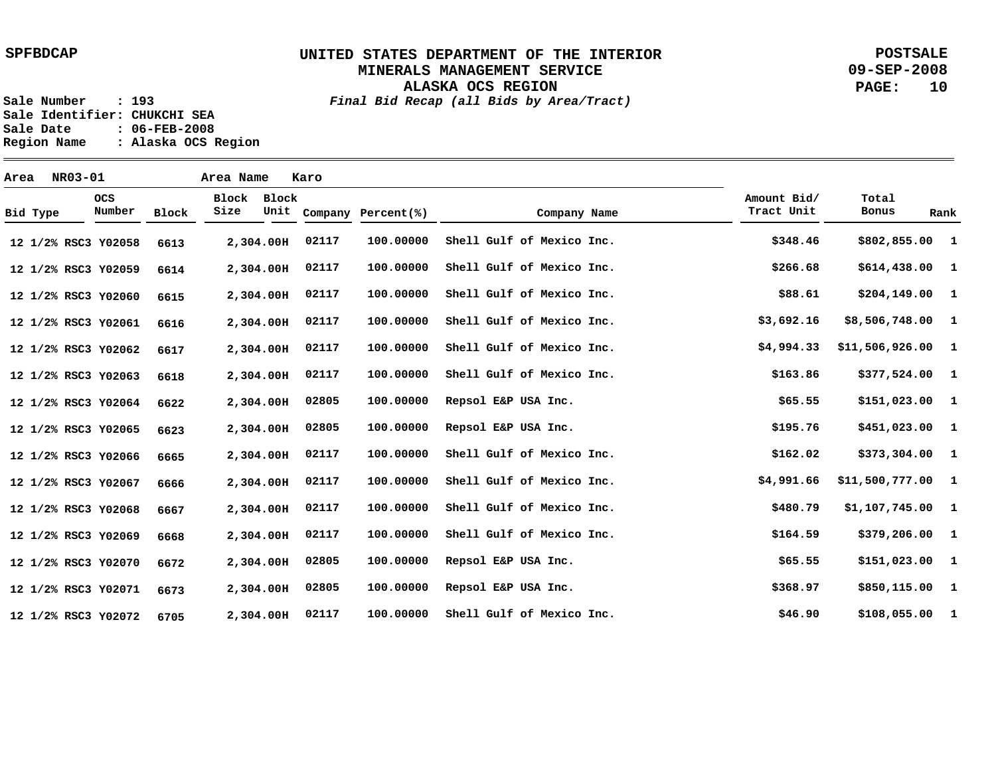**ALASKA OCS REGION**

**POSTSALE 09-SEP-2008 PAGE: 10**

**Sale Number : 193** *Final Bid Recap (all Bids by Area/Tract)* Sale Identifier: CHUKCHI SEA<br>Sale Date : 06-FEB-2008 **Sale Date : 06-FEB-2008**

**Region Name : Alaska OCS Region**

| Area |          | NR03-01 |                      |              | Area Name     |               | Karo  |                    |                           |                           |                    |      |
|------|----------|---------|----------------------|--------------|---------------|---------------|-------|--------------------|---------------------------|---------------------------|--------------------|------|
|      | Bid Type |         | <b>OCS</b><br>Number | <b>Block</b> | Block<br>Size | Block<br>Unit |       | Company Percent(%) | Company Name              | Amount Bid/<br>Tract Unit | Total<br>Bonus     | Rank |
|      |          |         | 12 1/2% RSC3 Y02058  | 6613         |               | 2,304.00H     | 02117 | 100.00000          | Shell Gulf of Mexico Inc. | \$348.46                  | \$802,855.00 1     |      |
|      |          |         | 12 1/2% RSC3 Y02059  | 6614         |               | 2,304.00H     | 02117 | 100.00000          | Shell Gulf of Mexico Inc. | \$266.68                  | $$614,438.00$ 1    |      |
|      |          |         | 12 1/2% RSC3 Y02060  | 6615         |               | 2,304.00H     | 02117 | 100.00000          | Shell Gulf of Mexico Inc. | \$88.61                   | $$204,149.00$ 1    |      |
|      |          |         | 12 1/2% RSC3 Y02061  | 6616         |               | 2,304.00H     | 02117 | 100.00000          | Shell Gulf of Mexico Inc. | \$3,692.16                | \$8,506,748.00 1   |      |
|      |          |         | 12 1/2% RSC3 Y02062  | 6617         |               | 2,304.00H     | 02117 | 100.00000          | Shell Gulf of Mexico Inc. | \$4,994.33                | $$11,506,926.00$ 1 |      |
|      |          |         | 12 1/2% RSC3 Y02063  | 6618         |               | 2,304.00H     | 02117 | 100.00000          | Shell Gulf of Mexico Inc. | \$163.86                  | \$377,524.00 1     |      |
|      |          |         | 12 1/2% RSC3 Y02064  | 6622         |               | 2,304.00H     | 02805 | 100.00000          | Repsol E&P USA Inc.       | \$65.55                   | $$151,023.00$ 1    |      |
|      |          |         | 12 1/2% RSC3 Y02065  | 6623         |               | 2,304.00H     | 02805 | 100.00000          | Repsol E&P USA Inc.       | \$195.76                  | $$451,023.00$ 1    |      |
|      |          |         | 12 1/2% RSC3 Y02066  | 6665         |               | 2,304.00H     | 02117 | 100.00000          | Shell Gulf of Mexico Inc. | \$162.02                  | \$373,304.00 1     |      |
|      |          |         | 12 1/2% RSC3 Y02067  | 6666         |               | 2,304.00H     | 02117 | 100.00000          | Shell Gulf of Mexico Inc. | \$4,991.66                | \$11,500,777.00 1  |      |
|      |          |         | 12 1/2% RSC3 Y02068  | 6667         |               | 2,304.00H     | 02117 | 100.00000          | Shell Gulf of Mexico Inc. | \$480.79                  | $$1,107,745.00$ 1  |      |
|      |          |         | 12 1/2% RSC3 Y02069  | 6668         |               | 2,304.00H     | 02117 | 100.00000          | Shell Gulf of Mexico Inc. | \$164.59                  | $$379,206.00$ 1    |      |
|      |          |         | 12 1/2% RSC3 Y02070  | 6672         |               | 2,304.00H     | 02805 | 100.00000          | Repsol E&P USA Inc.       | \$65.55                   | \$151,023.00 1     |      |
|      |          |         | 12 1/2% RSC3 Y02071  | 6673         |               | 2,304.00H     | 02805 | 100.00000          | Repsol E&P USA Inc.       | \$368.97                  | \$850,115.00 1     |      |
|      |          |         | 12 1/2% RSC3 Y02072  | 6705         |               | 2,304.00H     | 02117 | 100.00000          | Shell Gulf of Mexico Inc. | \$46.90                   | \$108,055.00 1     |      |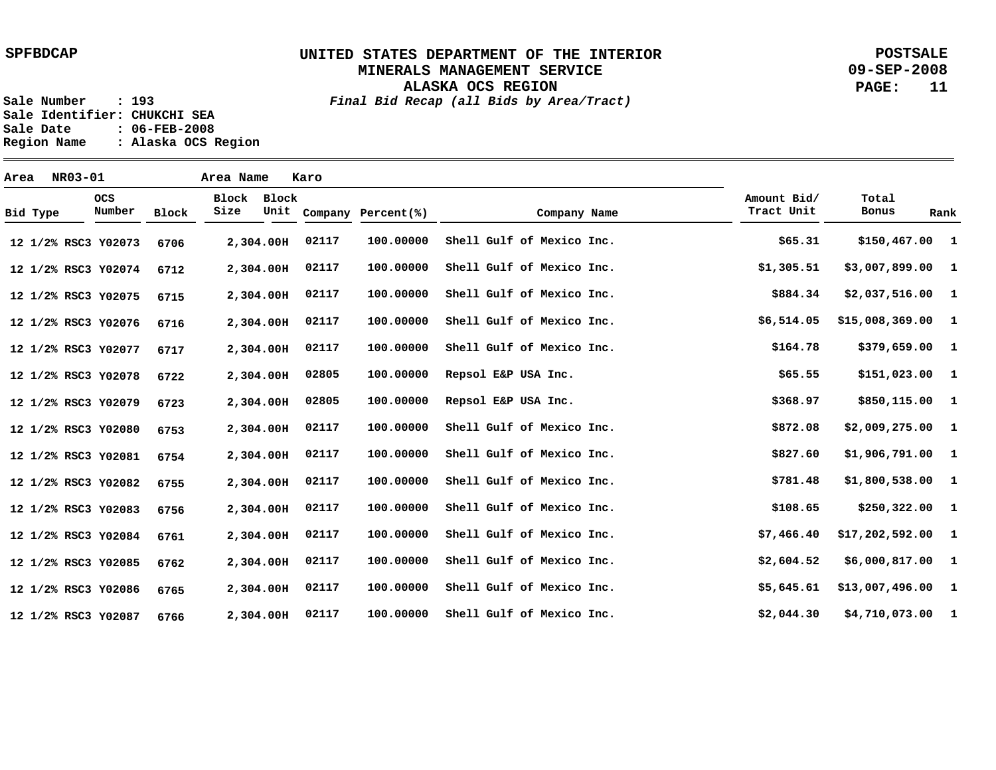**POSTSALE 09-SEP-2008 PAGE: 11**

**Sale Number : 193** *Final Bid Recap (all Bids by Area/Tract)*

**ALASKA OCS REGION**

Sale Identifier: CHUKCHI SEA<br>Sale Date : 06-FEB-2008 **Sale Date : 06-FEB-2008 Region Name : Alaska OCS Region**

| Area |          | <b>NR03-01</b> |                      |              | Area Name     |               | Karo  |                    |                           |                           |                    |              |
|------|----------|----------------|----------------------|--------------|---------------|---------------|-------|--------------------|---------------------------|---------------------------|--------------------|--------------|
|      | Bid Type |                | <b>OCS</b><br>Number | <b>Block</b> | Block<br>Size | Block<br>Unit |       | Company Percent(%) | Company Name              | Amount Bid/<br>Tract Unit | Total<br>Bonus     | Rank         |
|      |          |                | 12 1/2% RSC3 Y02073  | 6706         |               | 2,304.00H     | 02117 | 100.00000          | Shell Gulf of Mexico Inc. | \$65.31                   | \$150,467.00 1     |              |
|      |          |                | 12 1/2% RSC3 Y02074  | 6712         |               | 2,304.00H     | 02117 | 100.00000          | Shell Gulf of Mexico Inc. | \$1,305.51                | $$3,007,899.00$ 1  |              |
|      |          |                | 12 1/2% RSC3 Y02075  | 6715         |               | 2,304.00H     | 02117 | 100.00000          | Shell Gulf of Mexico Inc. | \$884.34                  | $$2,037,516.00$ 1  |              |
|      |          |                | 12 1/2% RSC3 Y02076  | 6716         |               | 2,304.00H     | 02117 | 100.00000          | Shell Gulf of Mexico Inc. | \$6,514.05                | \$15,008,369.00    | $\mathbf{1}$ |
|      |          |                | 12 1/2% RSC3 Y02077  | 6717         |               | 2,304.00H     | 02117 | 100.00000          | Shell Gulf of Mexico Inc. | \$164.78                  | \$379,659.00 1     |              |
|      |          |                | 12 1/2% RSC3 Y02078  | 6722         |               | 2,304.00H     | 02805 | 100.00000          | Repsol E&P USA Inc.       | \$65.55                   | $$151,023.00$ 1    |              |
|      |          |                | 12 1/2% RSC3 Y02079  | 6723         |               | 2,304.00H     | 02805 | 100.00000          | Repsol E&P USA Inc.       | \$368.97                  | \$850,115.00 1     |              |
|      |          |                | 12 1/2% RSC3 Y02080  | 6753         |               | 2,304.00H     | 02117 | 100.00000          | Shell Gulf of Mexico Inc. | \$872.08                  | $$2,009,275.00$ 1  |              |
|      |          |                | 12 1/2% RSC3 Y02081  | 6754         |               | 2,304.00H     | 02117 | 100.00000          | Shell Gulf of Mexico Inc. | \$827.60                  | $$1,906,791.00$ 1  |              |
|      |          |                | 12 1/2% RSC3 Y02082  | 6755         |               | 2,304.00H     | 02117 | 100.00000          | Shell Gulf of Mexico Inc. | \$781.48                  | $$1,800,538.00$ 1  |              |
|      |          |                | 12 1/2% RSC3 Y02083  | 6756         |               | 2,304.00H     | 02117 | 100.00000          | Shell Gulf of Mexico Inc. | \$108.65                  | $$250,322.00$ 1    |              |
|      |          |                | 12 1/2% RSC3 Y02084  | 6761         |               | 2,304.00H     | 02117 | 100.00000          | Shell Gulf of Mexico Inc. | \$7,466.40                | $$17,202,592.00$ 1 |              |
|      |          |                | 12 1/2% RSC3 Y02085  | 6762         |               | 2,304.00H     | 02117 | 100.00000          | Shell Gulf of Mexico Inc. | \$2,604.52                | $$6,000,817.00$ 1  |              |
|      |          |                | 12 1/2% RSC3 Y02086  | 6765         |               | 2,304.00H     | 02117 | 100.00000          | Shell Gulf of Mexico Inc. | \$5,645.61                | $$13,007,496.00$ 1 |              |
|      |          |                | 12 1/2% RSC3 Y02087  | 6766         |               | 2,304.00H     | 02117 | 100.00000          | Shell Gulf of Mexico Inc. | \$2,044.30                | \$4,710,073.00     | $\mathbf{1}$ |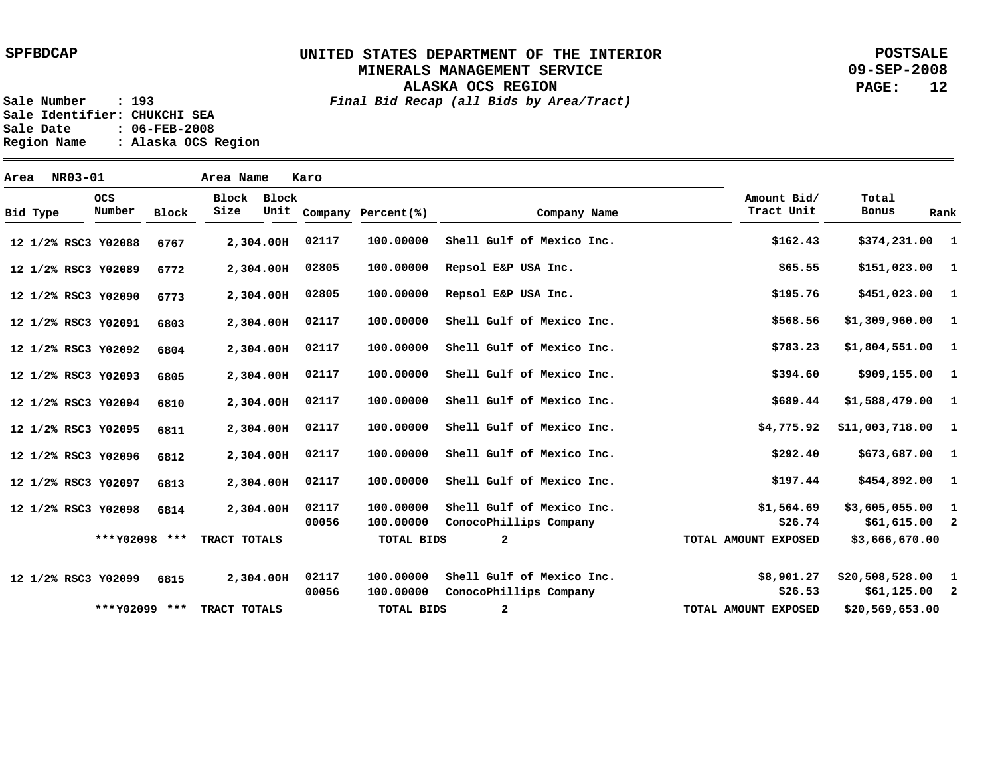**ALASKA OCS REGION**

**POSTSALE 09-SEP-2008 PAGE: 12**

**Sale Number : 193** *Final Bid Recap (all Bids by Area/Tract)* **Sale Identifier: CHUKCHI SEA Sale Date : 06-FEB-2008 Region Name : Alaska OCS Region**

**Area NR03-01 Area Name Karo Y02088 12 1/2% RSC3 Y02089 12 1/2% RSC3 Y02090 12 1/2% RSC3 Y02091 12 1/2% RSC3 Y02092 12 1/2% RSC3 Y02093 12 1/2% RSC3 Y02094 12 1/2% RSC3 Y02095 12 1/2% RSC3 Y02096 12 1/2% RSC3 Y02097 12 1/2% RSC3 Y02098 12 1/2% RSC3 Y02099 12 1/2% RSC3 2,304.00 H 2,304.00 H 2,304.00 H 2,304.00 H 2,304.00 H 2,304.00 H 2,304.00 H 2,304.00 H 2,304.00 H 2,304.00 H 2,304.00 H 2,304.00 H 6767 6772 6773 6803 6804 6805 6810 6811 6812 6813 6814 6815 1 \$374,231.00 1 1 1 1 1 1 1 1 1 \$454,892.00 1 2 1 2 \$61,125.00 \$151,023.00 \$451,023.00 \$1,309,960.00 \$1,804,551.00 \$909,155.00 \$1,588,479.00 \$11,003,718.00 \$673,687.00 \$3,605,055.00 \$61,615.00 \$20,508,528.00 \$162.43 \$65.55 \$195.76 \$568.56 \$783.23 \$394.60 \$689.44 \$4,775.92 \$292.40 \$197.44 \$1,564.69 \$26.74 \$8,901.27 \$26.53 100.00000 100.00000 100.00000 100.00000 100.00000 100.00000 100.00000 100.00000 100.00000 100.00000 100.00000 100.00000 100.00000 100.00000 02117 02805 02805 02117 02117 02117 02117 02117 02117 02117 02117 00056 02117 00056 Shell Gulf of Mexico Inc. Repsol E&P USA Inc. Repsol E&P USA Inc. Shell Gulf of Mexico Inc. Shell Gulf of Mexico Inc. Shell Gulf of Mexico Inc. Shell Gulf of Mexico Inc. Shell Gulf of Mexico Inc. Shell Gulf of Mexico Inc. Shell Gulf of Mexico Inc. Shell Gulf of Mexico Inc. ConocoPhillips Company Shell Gulf of Mexico Inc. ConocoPhillips Company Bid Type OCS Number Block Block Block Size Unit Company Percent(%) Company Name Amount Bid/ Tract Unit Total Bonus Rank \$3,666,670.00 \$20,569,653.00 2 2 \*\*\* Y02098 \*\*\* \*\*\* TRACT TOTALS Y02099** TRACT TOTALS **TOTAL BIDS TOTAL BIDS TOTAL AMOUNT EXPOSED TOTAL AMOUNT EXPOSED**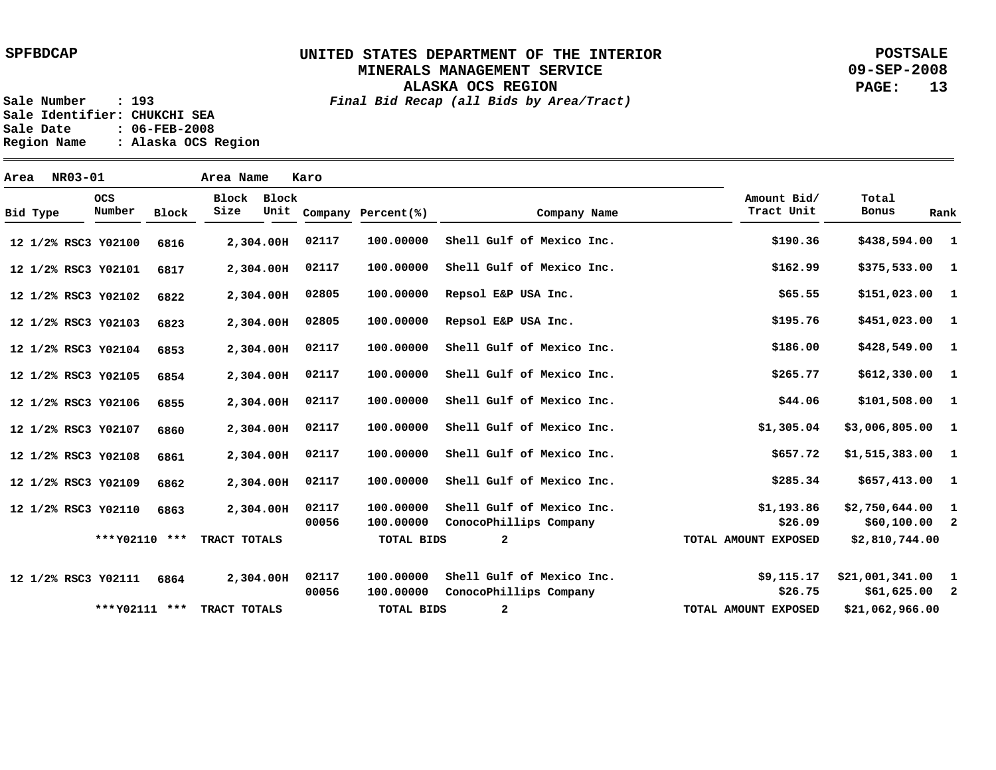**ALASKA OCS REGION**

**POSTSALE 09-SEP-2008 PAGE: 13**

**Sale Number : 193** *Final Bid Recap (all Bids by Area/Tract)* **Sale Identifier: CHUKCHI SEA Sale Date : 06-FEB-2008 Region Name : Alaska OCS Region**

**Area NR03-01 Area Name Karo Y02100 12 1/2% RSC3 Y02101 12 1/2% RSC3 Y02102 12 1/2% RSC3 Y02103 12 1/2% RSC3 Y02104 12 1/2% RSC3 Y02105 12 1/2% RSC3 Y02106 12 1/2% RSC3 Y02107 12 1/2% RSC3 Y02108 12 1/2% RSC3 Y02109 12 1/2% RSC3 Y02110 12 1/2% RSC3 Y02111 12 1/2% RSC3 2,304.00 H 2,304.00 H 2,304.00 H 2,304.00 H 2,304.00 H 2,304.00 H 2,304.00 H 2,304.00 H 2,304.00 H 2,304.00 H 2,304.00 H 2,304.00 H 6816 6817 6822 6823 6853 6854 6855 6860 6861 6862 6863 6864 1 \$438,594.00 1 1 1 1 1 1 1 1 1 \$657,413.00 1 2 1 2 \$61,625.00 \$375,533.00 \$151,023.00 \$451,023.00 \$428,549.00 \$612,330.00 \$101,508.00 \$3,006,805.00 \$1,515,383.00 \$2,750,644.00 \$60,100.00 \$21,001,341.00 \$190.36 \$162.99 \$65.55 \$195.76 \$186.00 \$265.77 \$44.06 \$1,305.04 \$657.72 \$285.34 \$1,193.86 \$26.09 \$9,115.17 \$26.75 100.00000 100.00000 100.00000 100.00000 100.00000 100.00000 100.00000 100.00000 100.00000 100.00000 100.00000 100.00000 100.00000 100.00000 02117 02117 02805 02805 02117 02117 02117 02117 02117 02117 02117 00056 02117 00056 Shell Gulf of Mexico Inc. Shell Gulf of Mexico Inc. Repsol E&P USA Inc. Repsol E&P USA Inc. Shell Gulf of Mexico Inc. Shell Gulf of Mexico Inc. Shell Gulf of Mexico Inc. Shell Gulf of Mexico Inc. Shell Gulf of Mexico Inc. Shell Gulf of Mexico Inc. Shell Gulf of Mexico Inc. ConocoPhillips Company Shell Gulf of Mexico Inc. ConocoPhillips Company Bid Type OCS Number Block Block Block Size Unit Company Percent(%) Company Name Amount Bid/ Tract Unit Total Bonus Rank \$2,810,744.00 \$21,062,966.00 2 2 \*\*\* Y02110 \*\*\* \*\*\* TRACT TOTALS Y02111** TRACT TOTALS **TOTAL BIDS TOTAL BIDS TOTAL AMOUNT EXPOSED TOTAL AMOUNT EXPOSED**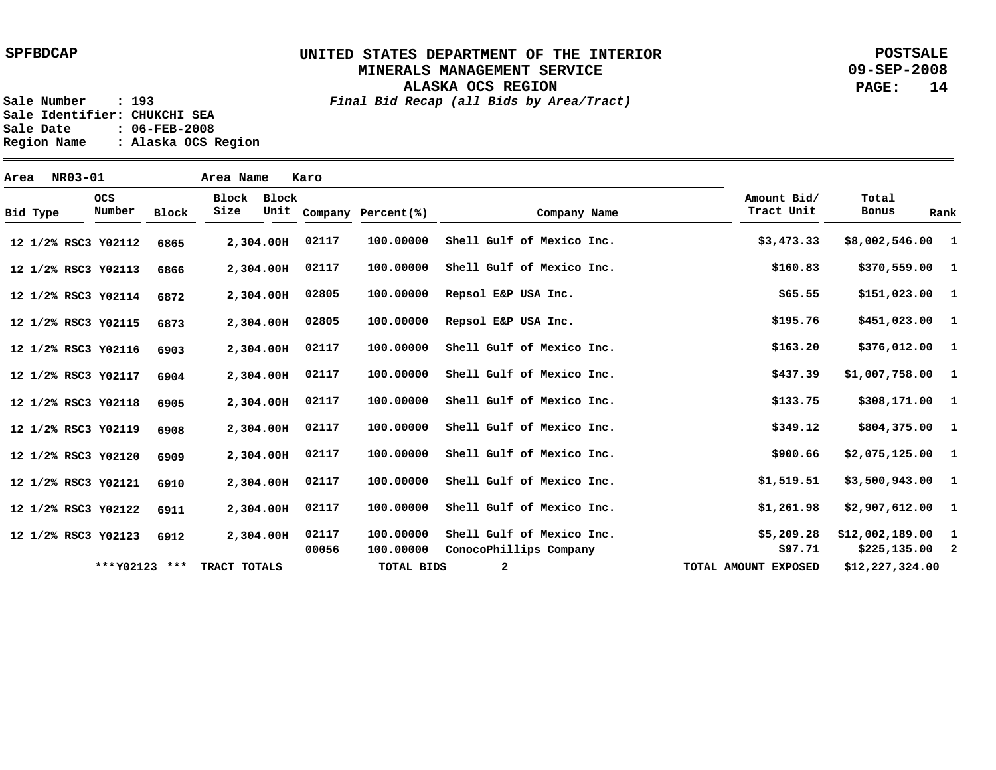**ALASKA OCS REGION**

**POSTSALE 09-SEP-2008 PAGE: 14**

**Sale Number : 193** *Final Bid Recap (all Bids by Area/Tract)* **Sale Identifier: CHUKCHI SEA Sale Date : 06-FEB-2008 Region Name : Alaska OCS Region**

**Area NR03-01 Area Name Karo Y02112 12 1/2% RSC3 Y02113 12 1/2% RSC3 Y02114 12 1/2% RSC3 Y02115 12 1/2% RSC3 Y02116 12 1/2% RSC3 Y02117 12 1/2% RSC3 Y02118 12 1/2% RSC3 Y02119 12 1/2% RSC3 Y02120 12 1/2% RSC3 Y02121 12 1/2% RSC3 Y02122 12 1/2% RSC3 Y02123 12 1/2% RSC3 2,304.00 H 2,304.00 H 2,304.00 H 2,304.00 H 2,304.00 H 2,304.00 H 2,304.00 H 2,304.00 H 2,304.00 H 2,304.00 H 2,304.00 H 2,304.00 H 6865 6866 6872 6873 6903 6904 6905 6908 6909 6910 6911 6912 1 \$8,002,546.00 1 1 1 1 1 1 1 \$804,375.00 1 1 \$3,500,943.00 1 \$2,907,612.00 1 2 \$225,135.00 \$370,559.00 \$151,023.00 \$451,023.00 \$376,012.00 \$1,007,758.00 \$308,171.00 \$2,075,125.00 \$12,002,189.00 \$3,473.33 \$160.83 \$65.55 \$195.76 \$163.20 \$437.39 \$133.75 \$349.12 \$900.66 \$1,519.51 \$1,261.98 \$5,209.28 \$97.71 100.00000 100.00000 100.00000 100.00000 100.00000 100.00000 100.00000 100.00000 100.00000 100.00000 100.00000 100.00000 100.00000 02117 02117 02805 02805 02117 02117 02117 02117 02117 02117 02117 02117 00056 Shell Gulf of Mexico Inc. Shell Gulf of Mexico Inc. Repsol E&P USA Inc. Repsol E&P USA Inc. Shell Gulf of Mexico Inc. Shell Gulf of Mexico Inc. Shell Gulf of Mexico Inc. Shell Gulf of Mexico Inc. Shell Gulf of Mexico Inc. Shell Gulf of Mexico Inc. Shell Gulf of Mexico Inc. Shell Gulf of Mexico Inc. ConocoPhillips Company Bid Type OCS Number Block Block Block Size Unit Company Percent(%) Company Name Amount Bid/ Tract Unit Total Bonus Rank \*\*\*Y02123 \*\*\* TRACT TOTALS TOTAL BIDS 2 TOTAL AMOUNT EXPOSED \$12,227,324.00**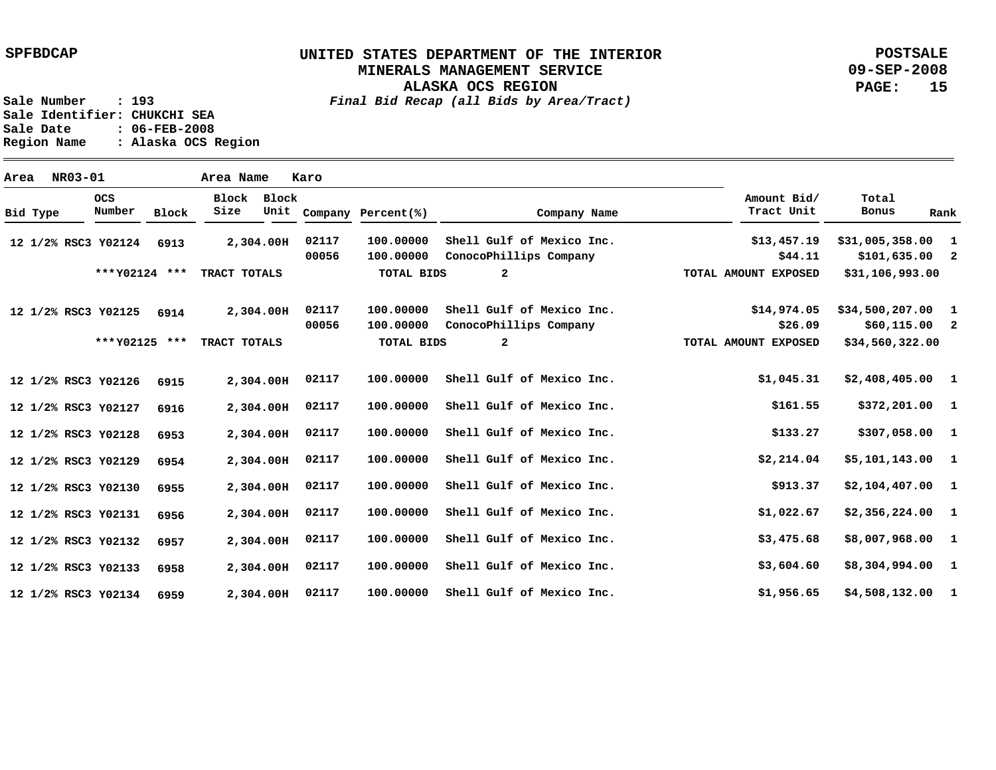# **UNITED STATES DEPARTMENT OF THE INTERIOR MINERALS MANAGEMENT SERVICE**

**ALASKA OCS REGION**

**POSTSALE 09-SEP-2008 PAGE: 15**

**Sale Number : 193** *Final Bid Recap (all Bids by Area/Tract)* **Sale Identifier: CHUKCHI SEA Sale Date : 06-FEB-2008 Region Name : Alaska OCS Region**

**Area NR03-01 Area Name Karo Y02124 12 1/2% RSC3 Y02125 12 1/2% RSC3 Y02126 12 1/2% RSC3 Y02127 12 1/2% RSC3 Y02128 12 1/2% RSC3 Y02129 12 1/2% RSC3 Y02130 12 1/2% RSC3 Y02131 12 1/2% RSC3 Y02132 12 1/2% RSC3 Y02133 12 1/2% RSC3 Y02134 12 1/2% RSC3 2,304.00 H 2,304.00 H 2,304.00 H 2,304.00 H 2,304.00 H 2,304.00 H 2,304.00 H 2,304.00 H 2,304.00 H 2,304.00 H 2,304.00 H 02117 6913 6914 6915 6916 6953 6954 6955 6956 6957 6958 6959 1 \$31,005,358.00 2 1 2 1 1 \$372,201.00 1 1 1 1 \$2,356,224.00 1 \$8,007,968.00 1 1 \$4,508,132.00 \$101,635.00 \$34,500,207.00 \$60,115.00 \$2,408,405.00 \$307,058.00 \$5,101,143.00 \$2,104,407.00 \$8,304,994.00 \$13,457.19 \$44.11 \$14,974.05 \$26.09 \$1,045.31 \$161.55 \$133.27 \$2,214.04 \$913.37 \$1,022.67 \$3,475.68 \$3,604.60 \$1,956.65 100.00000 100.00000 100.00000 100.00000 100.00000 100.00000 100.00000 100.00000 100.00000 100.00000 100.00000 100.00000 100.00000 02117 00056 02117 00056 02117 02117 02117 02117 02117 02117 02117 02117 Shell Gulf of Mexico Inc. ConocoPhillips Company Shell Gulf of Mexico Inc. ConocoPhillips Company Shell Gulf of Mexico Inc. Shell Gulf of Mexico Inc. Shell Gulf of Mexico Inc. Shell Gulf of Mexico Inc. Shell Gulf of Mexico Inc. Shell Gulf of Mexico Inc. Shell Gulf of Mexico Inc. Shell Gulf of Mexico Inc. Shell Gulf of Mexico Inc. Bid Type OCS Number Block Block Block Size Unit Company Percent(%) Company Name Amount Bid/ Tract Unit Total Bonus Rank \$31,106,993.00 \$34,560,322.00 2 2 \*\*\* Y02124 \*\*\* \*\*\* TRACT TOTALS Y02125** TRACT TOTALS **TOTAL BIDS TOTAL BIDS TOTAL AMOUNT EXPOSED TOTAL AMOUNT EXPOSED**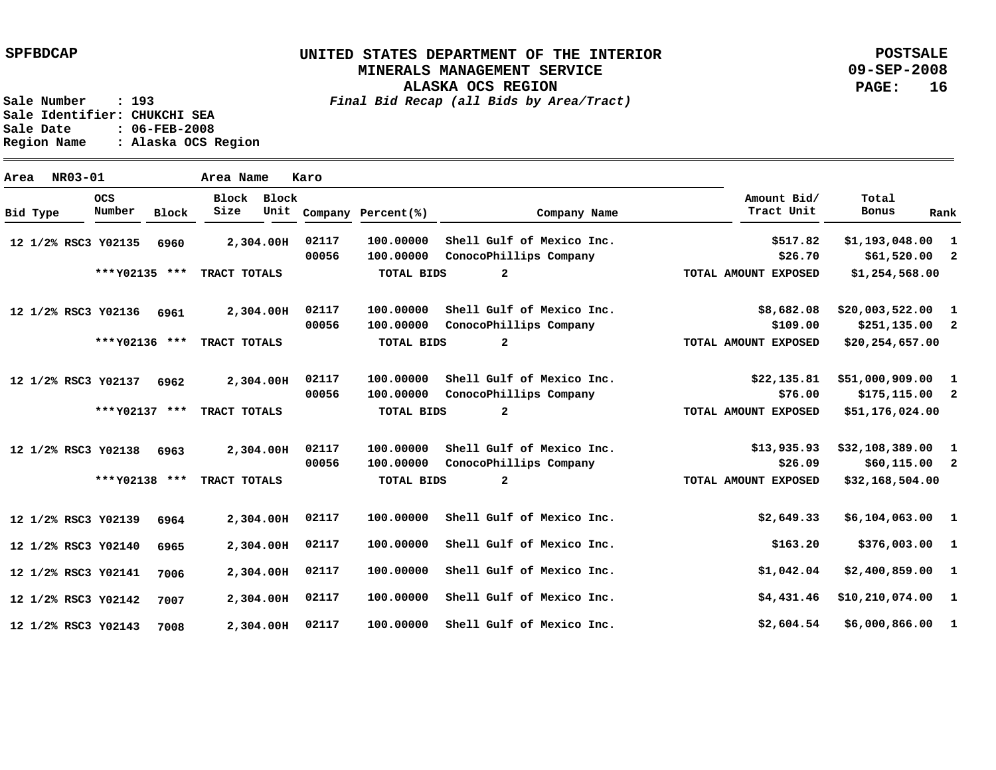**POSTSALE 09-SEP-2008 PAGE: 16**

| Area | NR03-01             |                      |              | Area Name           |           | Karo  |                    |                           |                           |                    |              |
|------|---------------------|----------------------|--------------|---------------------|-----------|-------|--------------------|---------------------------|---------------------------|--------------------|--------------|
|      | Bid Type            | <b>OCS</b><br>Number | <b>Block</b> | Block Block<br>Size | Unit      |       | Company Percent(%) | Company Name              | Amount Bid/<br>Tract Unit | Total<br>Bonus     | Rank         |
|      | 12 1/2% RSC3 Y02135 |                      | 6960         |                     | 2,304.00H | 02117 | 100.00000          | Shell Gulf of Mexico Inc. | \$517.82                  | \$1,193,048.00     | -1           |
|      |                     |                      |              |                     |           | 00056 | 100.00000          | ConocoPhillips Company    | \$26.70                   | $$61,520.00$ 2     |              |
|      |                     | *** Y02135 ***       |              | TRACT TOTALS        |           |       | <b>TOTAL BIDS</b>  | $\overline{a}$            | TOTAL AMOUNT EXPOSED      | \$1,254,568.00     |              |
|      | 12 1/2% RSC3 Y02136 |                      | 6961         |                     | 2,304.00H | 02117 | 100,00000          | Shell Gulf of Mexico Inc. | \$8,682.08                | \$20,003,522.00    | $\mathbf{1}$ |
|      |                     |                      |              |                     |           | 00056 | 100.00000          | ConocoPhillips Company    | \$109.00                  | $$251,135.00$ 2    |              |
|      |                     | ***Y02136 ***        |              | TRACT TOTALS        |           |       | <b>TOTAL BIDS</b>  | $\overline{a}$            | TOTAL AMOUNT EXPOSED      | \$20,254,657.00    |              |
|      | 12 1/2% RSC3 Y02137 |                      | 6962         |                     | 2,304.00H | 02117 | 100,00000          | Shell Gulf of Mexico Inc. | \$22,135.81               | \$51,000,909.00    | - 1          |
|      |                     |                      |              |                     |           | 00056 | 100.00000          | ConocoPhillips Company    | \$76.00                   | $$175,115.00$ 2    |              |
|      |                     | *** Y02137 ***       |              | TRACT TOTALS        |           |       | <b>TOTAL BIDS</b>  | $\overline{a}$            | TOTAL AMOUNT EXPOSED      | \$51,176,024.00    |              |
|      | 12 1/2% RSC3 Y02138 |                      | 6963         |                     | 2,304.00H | 02117 | 100,00000          | Shell Gulf of Mexico Inc. | \$13,935.93               | $$32,108,389.00$ 1 |              |
|      |                     |                      |              |                     |           | 00056 | 100.00000          | ConocoPhillips Company    | \$26.09                   | $$60,115.00$ 2     |              |
|      |                     | *** Y02138 ***       |              | TRACT TOTALS        |           |       | <b>TOTAL BIDS</b>  | $\overline{a}$            | TOTAL AMOUNT EXPOSED      | \$32,168,504.00    |              |
|      | 12 1/2% RSC3 Y02139 |                      | 6964         |                     | 2,304.00H | 02117 | 100.00000          | Shell Gulf of Mexico Inc. | \$2,649.33                | $$6,104,063.00$ 1  |              |
|      | 12 1/2% RSC3 Y02140 |                      | 6965         |                     | 2,304.00H | 02117 | 100,00000          | Shell Gulf of Mexico Inc. | \$163.20                  | \$376,003.00 1     |              |
|      | 12 1/2% RSC3 Y02141 |                      | 7006         |                     | 2,304.00H | 02117 | 100.00000          | Shell Gulf of Mexico Inc. | \$1,042.04                | $$2,400,859.00$ 1  |              |
|      | 12 1/2% RSC3 Y02142 |                      | 7007         |                     | 2,304.00H | 02117 | 100.00000          | Shell Gulf of Mexico Inc. | \$4,431.46                | \$10, 210, 074.00  | $\mathbf{1}$ |
|      | 12 1/2% RSC3 Y02143 |                      | 7008         |                     | 2,304.00H | 02117 | 100,00000          | Shell Gulf of Mexico Inc. | \$2,604.54                | \$6,000,866.00     | $\mathbf{1}$ |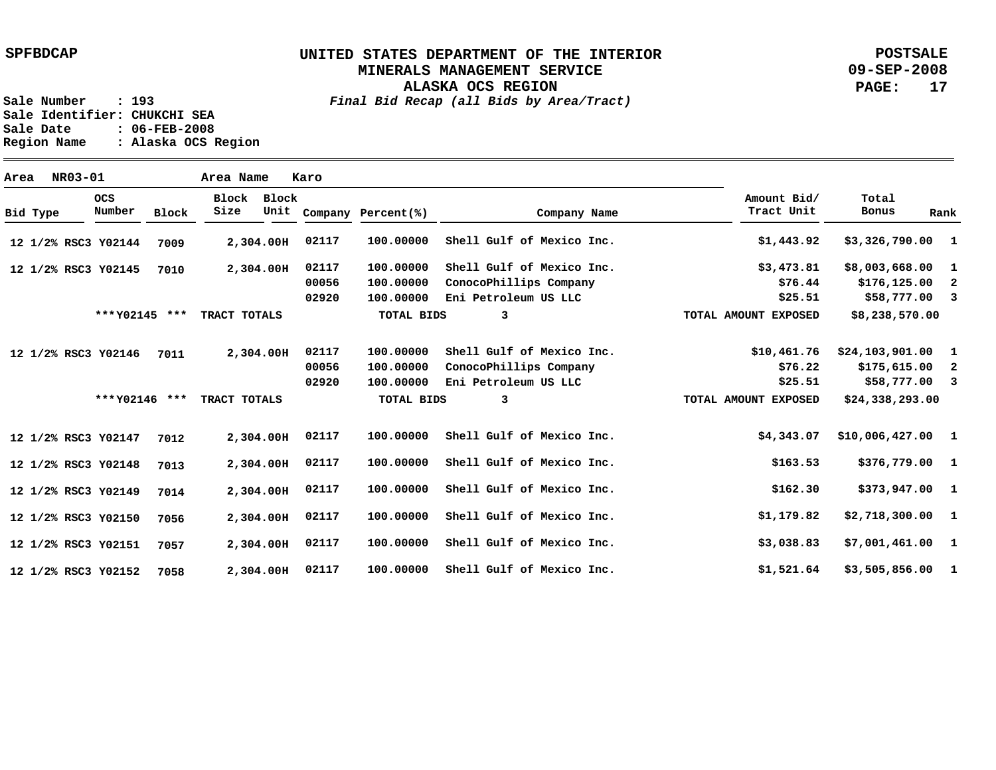## **UNITED STATES DEPARTMENT OF THE INTERIOR MINERALS MANAGEMENT SERVICE**

**ALASKA OCS REGION**

**POSTSALE 09-SEP-2008 PAGE: 17**

**Sale Number : 193** *Final Bid Recap (all Bids by Area/Tract)*

Sale Identifier: CHUKCHI SEA<br>Sale Date : 06-FEB-2008 **Sale Date : 06-FEB-2008 Region Name : Alaska OCS Region**

| Area |          | NR03-01 |                      |              | Area Name     |               | Karo           |                        |                                                     |                           |                                      |      |
|------|----------|---------|----------------------|--------------|---------------|---------------|----------------|------------------------|-----------------------------------------------------|---------------------------|--------------------------------------|------|
|      | Bid Type |         | <b>OCS</b><br>Number | <b>Block</b> | Block<br>Size | Block<br>Unit |                | Company Percent(%)     | Company Name                                        | Amount Bid/<br>Tract Unit | Total<br>Bonus                       | Rank |
|      |          |         | 12 1/2% RSC3 Y02144  | 7009         |               | 2,304.00H     | 02117          | 100.00000              | Shell Gulf of Mexico Inc.                           | \$1,443.92                | $$3,326,790.00$ 1                    |      |
|      |          |         | 12 1/2% RSC3 Y02145  | 7010         |               | 2,304.00H     | 02117<br>00056 | 100.00000<br>100,00000 | Shell Gulf of Mexico Inc.<br>ConocoPhillips Company | \$3,473.81<br>\$76.44     | \$8,003,668.00 1<br>$$176, 125.00$ 2 |      |
|      |          |         |                      |              |               |               | 02920          | 100.00000              | Eni Petroleum US LLC                                | \$25.51                   | $$58,777.00$ 3                       |      |
|      |          |         | *** Y02145 ***       |              | TRACT TOTALS  |               |                | <b>TOTAL BIDS</b>      | 3                                                   | TOTAL AMOUNT EXPOSED      | \$8,238,570.00                       |      |
|      |          |         | 12 1/2% RSC3 Y02146  | 7011         |               | 2,304.00H     | 02117          | 100,00000              | Shell Gulf of Mexico Inc.                           | \$10,461.76               | \$24,103,901.00                      | 1    |
|      |          |         |                      |              |               |               | 00056          | 100.00000              | ConocoPhillips Company                              | \$76.22                   | $$175,615.00$ 2                      |      |
|      |          |         |                      |              |               |               | 02920          | 100.00000              | Eni Petroleum US LLC                                | \$25.51                   | $$58,777.00$ 3                       |      |
|      |          |         | ***Y02146 ***        |              | TRACT TOTALS  |               |                | <b>TOTAL BIDS</b>      | 3                                                   | TOTAL AMOUNT EXPOSED      | \$24,338,293.00                      |      |
|      |          |         | 12 1/2% RSC3 Y02147  | 7012         |               | 2,304.00H     | 02117          | 100,00000              | Shell Gulf of Mexico Inc.                           | \$4,343.07                | $$10,006,427.00$ 1                   |      |
|      |          |         | 12 1/2% RSC3 Y02148  | 7013         |               | 2,304.00H     | 02117          | 100,00000              | Shell Gulf of Mexico Inc.                           | \$163.53                  | \$376,779.00 1                       |      |
|      |          |         | 12 1/2% RSC3 Y02149  | 7014         |               | 2,304.00H     | 02117          | 100.00000              | Shell Gulf of Mexico Inc.                           | \$162.30                  | \$373,947.00 1                       |      |
|      |          |         | 12 1/2% RSC3 Y02150  | 7056         |               | 2,304.00H     | 02117          | 100.00000              | Shell Gulf of Mexico Inc.                           | \$1,179.82                | $$2,718,300.00$ 1                    |      |
|      |          |         | 12 1/2% RSC3 Y02151  | 7057         |               | 2,304.00H     | 02117          | 100.00000              | Shell Gulf of Mexico Inc.                           | \$3,038.83                | $$7,001,461.00$ 1                    |      |
|      |          |         | 12 1/2% RSC3 Y02152  | 7058         |               | 2,304.00H     | 02117          | 100,00000              | Shell Gulf of Mexico Inc.                           | \$1,521.64                | $$3,505,856.00$ 1                    |      |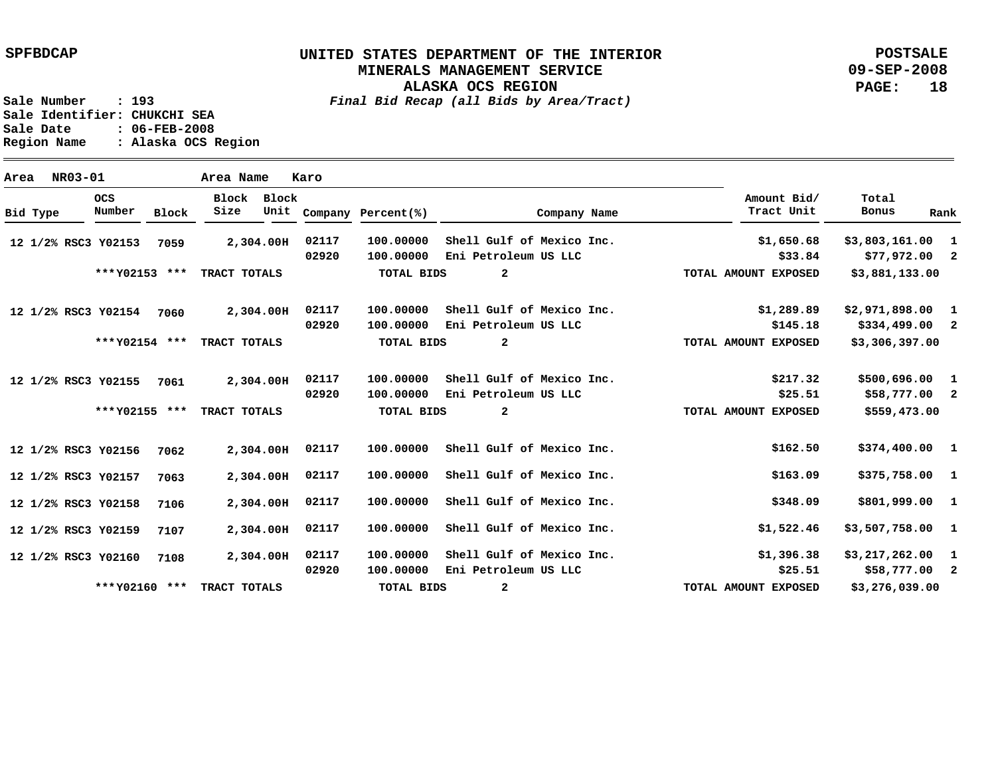# **UNITED STATES DEPARTMENT OF THE INTERIOR MINERALS MANAGEMENT SERVICE**

**ALASKA OCS REGION**

**POSTSALE 09-SEP-2008 PAGE: 18**

**Sale Number : 193** *Final Bid Recap (all Bids by Area/Tract)* Sale Identifier: CHUKCHI SEA<br>Sale Date : 06-FEB-2008 **Sale Date : 06-FEB-2008**

**Region Name : Alaska OCS Region**

| Area     | NR03-01 |                      |              | Area Name     |               | Karo  |                    |                           |                           |                   |              |
|----------|---------|----------------------|--------------|---------------|---------------|-------|--------------------|---------------------------|---------------------------|-------------------|--------------|
| Bid Type |         | <b>OCS</b><br>Number | <b>Block</b> | Block<br>Size | Block<br>Unit |       | Company Percent(%) | Company Name              | Amount Bid/<br>Tract Unit | Total<br>Bonus    | Rank         |
|          |         | 12 1/2% RSC3 Y02153  | 7059         |               | 2,304.00H     | 02117 | 100.00000          | Shell Gulf of Mexico Inc. | \$1,650.68                | \$3,803,161.00    | $\mathbf{1}$ |
|          |         |                      |              |               |               | 02920 | 100.00000          | Eni Petroleum US LLC      | \$33.84                   | $$77,972.00$ 2    |              |
|          |         | *** Y02153 ***       |              | TRACT TOTALS  |               |       | TOTAL BIDS         | 2                         | TOTAL AMOUNT EXPOSED      | \$3,881,133.00    |              |
|          |         | 12 1/2% RSC3 Y02154  | 7060         |               | 2,304.00H     | 02117 | 100.00000          | Shell Gulf of Mexico Inc. | \$1,289.89                | $$2,971,898.00$ 1 |              |
|          |         |                      |              |               |               | 02920 | 100.00000          | Eni Petroleum US LLC      | \$145.18                  | $$334,499.00$ 2   |              |
|          |         | *** Y02154 ***       |              | TRACT TOTALS  |               |       | <b>TOTAL BIDS</b>  | $\mathbf{2}$              | TOTAL AMOUNT EXPOSED      | \$3,306,397.00    |              |
|          |         | 12 1/2% RSC3 Y02155  | 7061         |               | 2,304.00H     | 02117 | 100.00000          | Shell Gulf of Mexico Inc. | \$217.32                  | \$500,696.00 1    |              |
|          |         |                      |              |               |               | 02920 | 100.00000          | Eni Petroleum US LLC      | \$25.51                   | \$58,777.00 2     |              |
|          |         | *** Y02155 ***       |              | TRACT TOTALS  |               |       | TOTAL BIDS         | $\mathbf{2}$              | TOTAL AMOUNT EXPOSED      | \$559,473.00      |              |
|          |         | 12 1/2% RSC3 Y02156  | 7062         |               | 2,304.00H     | 02117 | 100.00000          | Shell Gulf of Mexico Inc. | \$162.50                  | \$374,400.00 1    |              |
|          |         | 12 1/2% RSC3 Y02157  | 7063         |               | 2,304.00H     | 02117 | 100.00000          | Shell Gulf of Mexico Inc. | \$163.09                  | \$375,758.00 1    |              |
|          |         | 12 1/2% RSC3 Y02158  | 7106         |               | 2,304.00H     | 02117 | 100.00000          | Shell Gulf of Mexico Inc. | \$348.09                  | \$801,999.00 1    |              |
|          |         | 12 1/2% RSC3 Y02159  | 7107         |               | 2,304.00H     | 02117 | 100.00000          | Shell Gulf of Mexico Inc. | \$1,522.46                | $$3,507,758.00$ 1 |              |
|          |         | 12 1/2% RSC3 Y02160  | 7108         |               | 2,304.00H     | 02117 | 100.00000          | Shell Gulf of Mexico Inc. | \$1,396.38                | $$3,217,262.00$ 1 |              |
|          |         |                      |              |               |               | 02920 | 100.00000          | Eni Petroleum US LLC      | \$25.51                   | $$58,777.00$ 2    |              |
|          |         | *** Y02160 ***       |              | TRACT TOTALS  |               |       | TOTAL BIDS         | 2                         | TOTAL AMOUNT EXPOSED      | \$3,276,039.00    |              |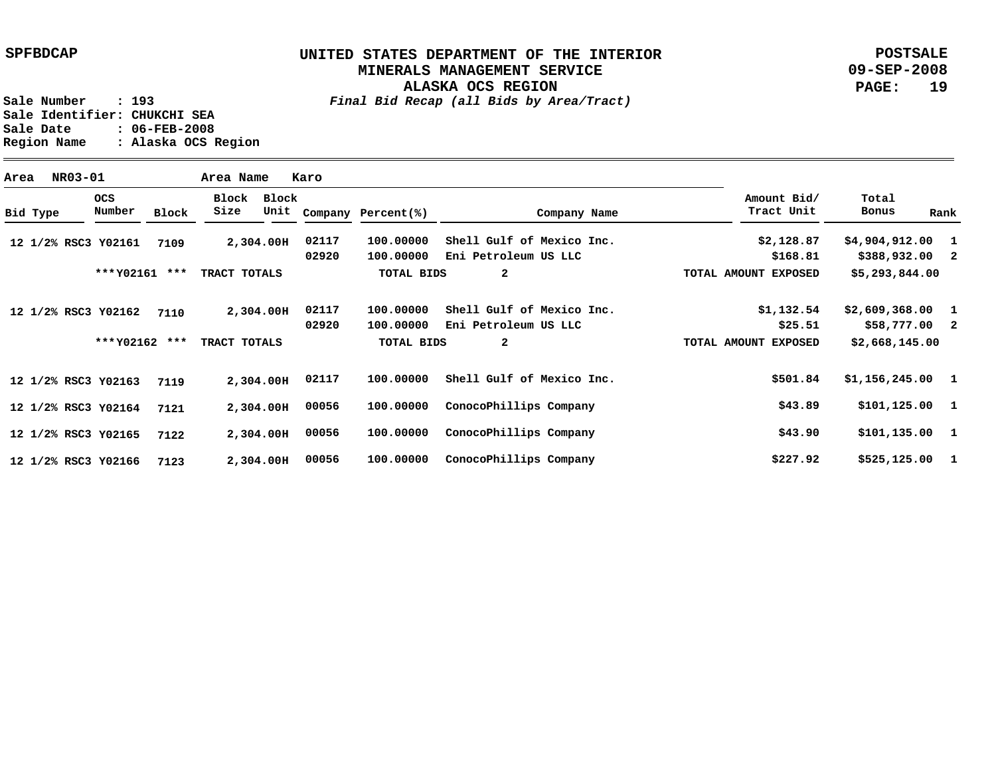### **UNITED STATES DEPARTMENT OF THE INTERIOR MINERALS MANAGEMENT SERVICE**

**ALASKA OCS REGION**

**POSTSALE 09-SEP-2008 PAGE: 19**

**Sale Number : 193** *Final Bid Recap (all Bids by Area/Tract)* **Sale Identifier: CHUKCHI SEA Sale Date : 06-FEB-2008 Region Name : Alaska OCS Region**

**Area NR03-01 Area Name Karo Y02161 7109 12 1/2% RSC3 Y02162 7110 12 1/2% RSC3 Y02163 12 1/2% RSC3 Y02164 12 1/2% RSC3 Y02165 12 1/2% RSC3 Y02166 12 1/2% RSC3 2,304.00 H 02117 2,304.00 H 2,304.00 H 2,304.00 H 00056 2,304.00 H 00056 2,304.00 H 00056 7119 7121 7122 7123 1 \$4,904,912.00 2 \$388,932.00 1 \$2,609,368.00 2 1 \$1,156,245.00 1 \$101,125.00 1 \$101,135.00 1 \$525,125.00 \$58,777.00 \$2,128.87 \$168.81 \$1,132.54 \$25.51 \$501.84 \$43.89 \$43.90 \$227.92 100.00000 Shell Gulf of Mexico Inc. 100.00000 Eni Petroleum US LLC 100.00000 Shell Gulf of Mexico Inc. 100.00000 Eni Petroleum US LLC 100.00000 100.00000 ConocoPhillips Company 100.00000 100.00000 ConocoPhillips Company 02920 02117 02920 02117 Shell Gulf of Mexico Inc. ConocoPhillips Company Bid Type OCS Number Block Block Block Size Unit Company Percent(%) Company Name Amount Bid/ Tract Unit Total Bonus Rank \$5,293,844.00 \$2,668,145.00 2 2 \*\*\* \*\*\* TRACT TOTALS Y02161 \*\*\* \*\*\* TRACT TOTALS Y02162 TOTAL BIDS TOTAL BIDS TOTAL AMOUNT EXPOSED TOTAL AMOUNT EXPOSED**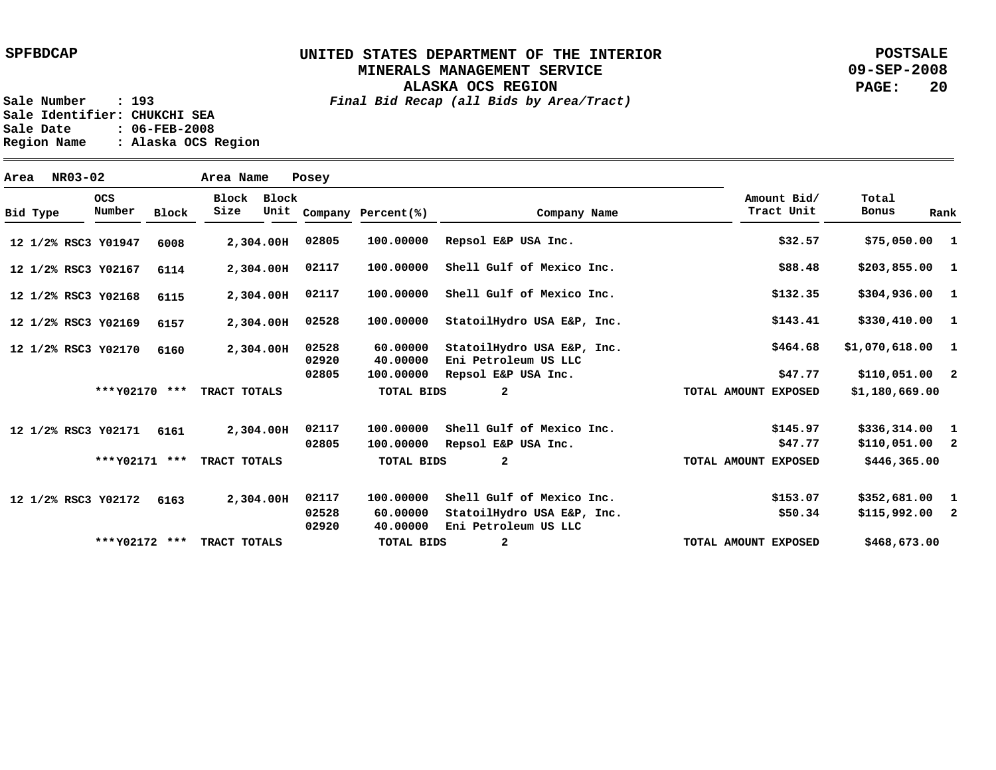**ALASKA OCS REGION**

**POSTSALE 09-SEP-2008 PAGE: 20**

| Area | NR03-02             |                      |              | Area Name     |               | Posey          |                      |                                                    |                           |                   |              |
|------|---------------------|----------------------|--------------|---------------|---------------|----------------|----------------------|----------------------------------------------------|---------------------------|-------------------|--------------|
|      | Bid Type            | <b>OCS</b><br>Number | <b>Block</b> | Block<br>Size | Block<br>Unit |                | Company Percent(%)   | Company Name                                       | Amount Bid/<br>Tract Unit | Total<br>Bonus    | Rank         |
|      | 12 1/2% RSC3 Y01947 |                      | 6008         |               | 2,304.00H     | 02805          | 100.00000            | Repsol E&P USA Inc.                                | \$32.57                   | \$75,050.00 1     |              |
|      | 12 1/2% RSC3 Y02167 |                      | 6114         |               | 2,304.00H     | 02117          | 100.00000            | Shell Gulf of Mexico Inc.                          | \$88.48                   | $$203,855.00$ 1   |              |
|      | 12 1/2% RSC3 Y02168 |                      | 6115         |               | 2,304.00H     | 02117          | 100.00000            | Shell Gulf of Mexico Inc.                          | \$132.35                  | $$304,936.00$ 1   |              |
|      | 12 1/2% RSC3 Y02169 |                      | 6157         |               | 2,304.00H     | 02528          | 100,00000            | StatoilHydro USA E&P, Inc.                         | \$143.41                  | \$330,410.00 1    |              |
|      | 12 1/2% RSC3 Y02170 |                      | 6160         |               | 2,304.00H     | 02528<br>02920 | 60.00000<br>40.00000 | StatoilHydro USA E&P, Inc.<br>Eni Petroleum US LLC | \$464.68                  | $$1,070,618.00$ 1 |              |
|      |                     |                      |              |               |               | 02805          | 100.00000            | Repsol E&P USA Inc.                                | \$47.77                   | $$110,051.00$ 2   |              |
|      |                     | *** Y02170 ***       |              | TRACT TOTALS  |               |                | <b>TOTAL BIDS</b>    | 2                                                  | TOTAL AMOUNT EXPOSED      | \$1,180,669.00    |              |
|      | 12 1/2% RSC3 Y02171 |                      | 6161         |               | 2,304.00H     | 02117          | 100.00000            | Shell Gulf of Mexico Inc.                          | \$145.97                  | $$336,314.00$ 1   |              |
|      |                     |                      |              |               |               | 02805          | 100.00000            | Repsol E&P USA Inc.                                | \$47.77                   | $$110,051.00$ 2   |              |
|      |                     | *** Y02171 ***       |              | TRACT TOTALS  |               |                | <b>TOTAL BIDS</b>    | $\overline{\mathbf{2}}$                            | TOTAL AMOUNT EXPOSED      | \$446,365.00      |              |
|      | 12 1/2% RSC3 Y02172 |                      | 6163         |               | 2,304.00H     | 02117          | 100.00000            | Shell Gulf of Mexico Inc.                          | \$153.07                  | \$352,681.00      | $\mathbf{1}$ |
|      |                     |                      |              |               |               | 02528<br>02920 | 60.00000<br>40.00000 | StatoilHydro USA E&P, Inc.<br>Eni Petroleum US LLC | \$50.34                   | $$115,992.00$ 2   |              |
|      |                     | *** Y02172 ***       |              | TRACT TOTALS  |               |                | <b>TOTAL BIDS</b>    | $\mathbf{2}$                                       | TOTAL AMOUNT EXPOSED      | \$468,673.00      |              |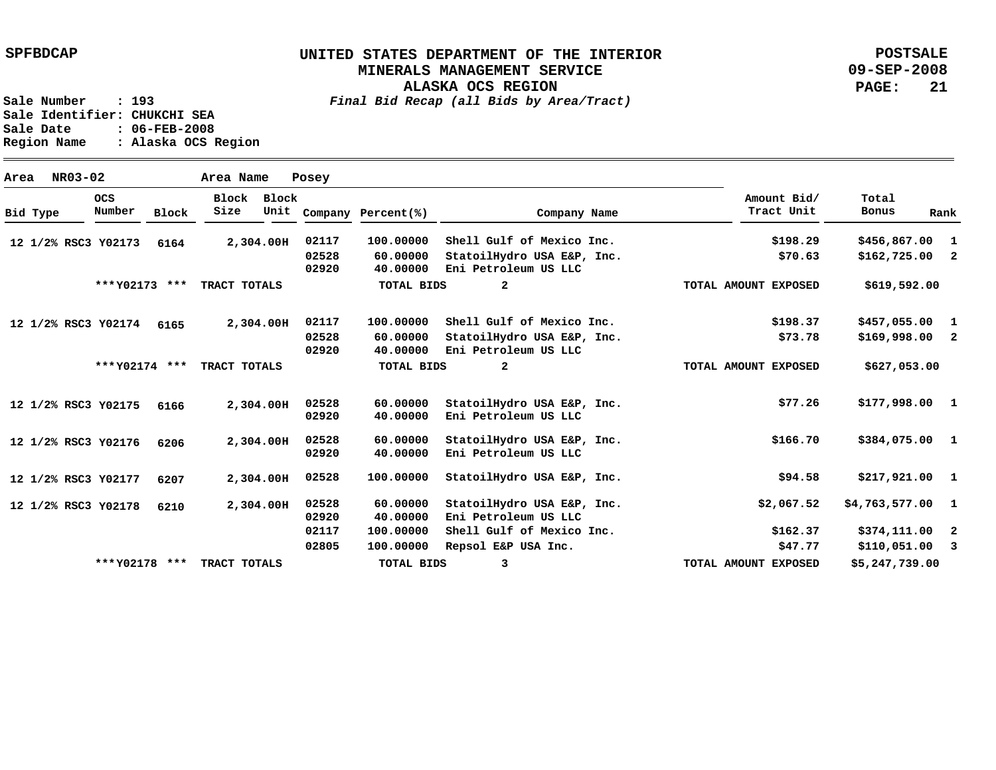**POSTSALE 09-SEP-2008 PAGE: 21**

**Sale Number : 193** *Final Bid Recap (all Bids by Area/Tract)*

**ALASKA OCS REGION**

**Sale Identifier: CHUKCHI SEA Sale Date : 06-FEB-2008 Region Name : Alaska OCS Region**

| Area |          | NR03-02        |                     |              | Area Name     |               | Posey             |                      |                                                    |                           |                   |      |
|------|----------|----------------|---------------------|--------------|---------------|---------------|-------------------|----------------------|----------------------------------------------------|---------------------------|-------------------|------|
|      | Bid Type |                | OCS<br>Number       | <b>Block</b> | Block<br>Size | Block<br>Unit |                   | Company Percent(%)   | Company Name                                       | Amount Bid/<br>Tract Unit | Total<br>Bonus    | Rank |
|      |          |                | 12 1/2% RSC3 Y02173 | 6164         |               | 2,304.00H     | 02117             | 100.00000            | Shell Gulf of Mexico Inc.                          | \$198.29                  | $$456,867.00$ 1   |      |
|      |          |                |                     |              |               |               | 02528<br>02920    | 60.00000<br>40.00000 | StatoilHydro USA E&P, Inc.<br>Eni Petroleum US LLC | \$70.63                   | $$162,725.00$ 2   |      |
|      |          |                | *** Y02173 ***      |              | TRACT TOTALS  |               |                   | <b>TOTAL BIDS</b>    | $\mathbf{2}$                                       | TOTAL AMOUNT EXPOSED      | \$619,592.00      |      |
|      |          |                | 12 1/2% RSC3 Y02174 | 6165         |               | 2,304.00H     | 02117             | 100.00000            | Shell Gulf of Mexico Inc.                          | \$198.37                  | \$457,055.00      | 1    |
|      |          |                |                     |              |               |               | 02528<br>02920    | 60.00000<br>40.00000 | StatoilHydro USA E&P, Inc.<br>Eni Petroleum US LLC | \$73.78                   | $$169,998.00$ 2   |      |
|      |          | *** Y02174 *** |                     | TRACT TOTALS |               |               | <b>TOTAL BIDS</b> | $\mathbf{2}$         | TOTAL AMOUNT EXPOSED                               | \$627,053.00              |                   |      |
|      |          |                | 12 1/2% RSC3 Y02175 | 6166         |               | 2,304.00H     | 02528<br>02920    | 60.00000<br>40.00000 | StatoilHydro USA E&P, Inc.<br>Eni Petroleum US LLC | \$77.26                   | $$177,998.00$ 1   |      |
|      |          |                | 12 1/2% RSC3 Y02176 | 6206         |               | 2,304.00H     | 02528<br>02920    | 60.00000<br>40.00000 | StatoilHydro USA E&P, Inc.<br>Eni Petroleum US LLC | \$166.70                  | \$384,075.00 1    |      |
|      |          |                | 12 1/2% RSC3 Y02177 | 6207         |               | 2,304.00H     | 02528             | 100.00000            | StatoilHydro USA E&P, Inc.                         | \$94.58                   | $$217,921.00$ 1   |      |
|      |          |                | 12 1/2% RSC3 Y02178 | 6210         |               | 2,304.00H     | 02528<br>02920    | 60.00000<br>40.00000 | StatoilHydro USA E&P, Inc.<br>Eni Petroleum US LLC | \$2,067.52                | $$4,763,577.00$ 1 |      |
|      |          |                |                     |              |               |               | 02117             | 100.00000            | Shell Gulf of Mexico Inc.                          | \$162.37                  | \$374,111.00 2    |      |
|      |          |                |                     |              |               |               | 02805             | 100.00000            | Repsol E&P USA Inc.                                | \$47.77                   | $$110,051.00$ 3   |      |
|      |          |                | ***Y02178           | ***          | TRACT TOTALS  |               |                   | TOTAL BIDS           | 3                                                  | TOTAL AMOUNT EXPOSED      | \$5,247,739.00    |      |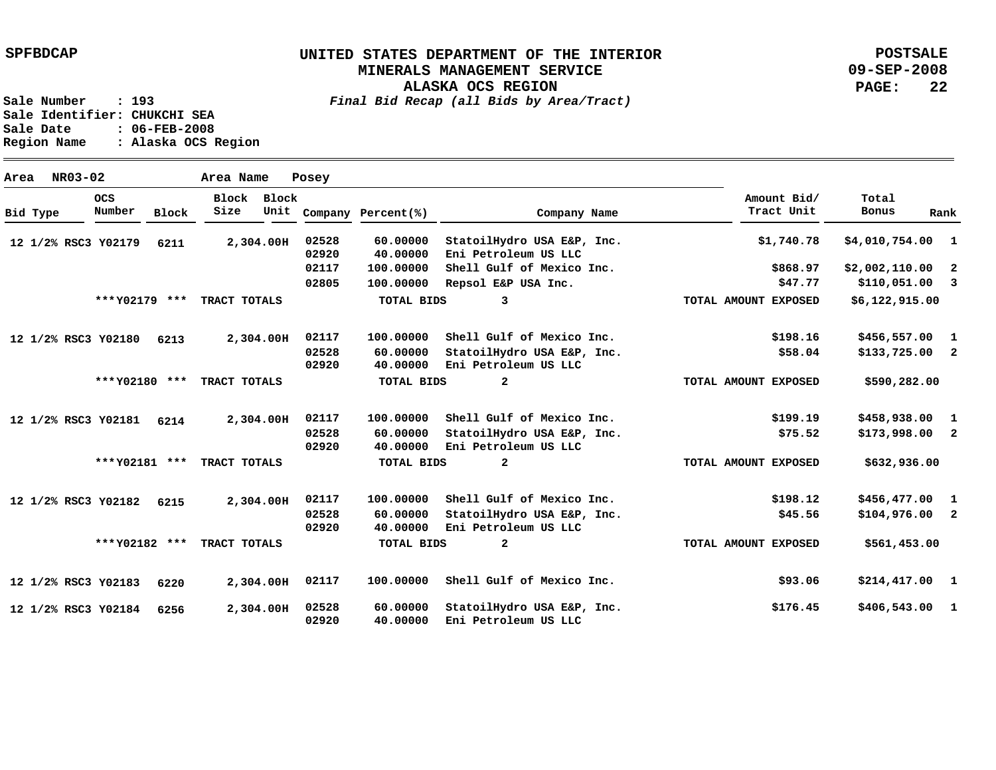**ALASKA OCS REGION**

**POSTSALE 09-SEP-2008 PAGE: 22**

| Area     | NR03-02 |                      |              | Area Name     |               | Posey          |                      |                                                    |                           |                 |                          |
|----------|---------|----------------------|--------------|---------------|---------------|----------------|----------------------|----------------------------------------------------|---------------------------|-----------------|--------------------------|
| Bid Type |         | <b>OCS</b><br>Number | <b>Block</b> | Block<br>Size | Block<br>Unit |                | Company Percent(%)   | Company Name                                       | Amount Bid/<br>Tract Unit | Total<br>Bonus  | Rank                     |
|          |         | 12 1/2% RSC3 Y02179  | 6211         |               | 2,304.00H     | 02528<br>02920 | 60.00000<br>40.00000 | StatoilHydro USA E&P, Inc.<br>Eni Petroleum US LLC | \$1,740.78                | \$4,010,754.00  | $\mathbf{1}$             |
|          |         |                      |              |               |               | 02117          | 100.00000            | Shell Gulf of Mexico Inc.                          | \$868.97                  | \$2,002,110.00  | $\overline{\mathbf{2}}$  |
|          |         |                      |              |               |               | 02805          | 100.00000            | Repsol E&P USA Inc.                                | \$47.77                   | \$110,051.00    | $\overline{\mathbf{3}}$  |
|          |         | *** Y02179 ***       |              | TRACT TOTALS  |               |                | TOTAL BIDS           | 3                                                  | TOTAL AMOUNT EXPOSED      | \$6,122,915.00  |                          |
|          |         | 12 1/2% RSC3 Y02180  | 6213         |               | 2,304.00H     | 02117          | 100.00000            | Shell Gulf of Mexico Inc.                          | \$198.16                  | \$456,557.00    | $\mathbf{1}$             |
|          |         |                      |              |               |               | 02528<br>02920 | 60.00000<br>40.00000 | StatoilHydro USA E&P, Inc.<br>Eni Petroleum US LLC | \$58.04                   | $$133,725.00$ 2 |                          |
|          |         | *** Y02180 ***       |              | TRACT TOTALS  |               |                | TOTAL BIDS           | $\mathbf{2}$                                       | TOTAL AMOUNT EXPOSED      | \$590,282.00    |                          |
|          |         | 12 1/2% RSC3 Y02181  | 6214         |               | 2,304.00H     | 02117          | 100.00000            | Shell Gulf of Mexico Inc.                          | \$199.19                  | \$458,938.00    | 1                        |
|          |         |                      |              |               |               | 02528<br>02920 | 60.00000<br>40.00000 | StatoilHydro USA E&P, Inc.<br>Eni Petroleum US LLC | \$75.52                   | $$173,998.00$ 2 |                          |
|          |         | *** Y02181 ***       |              | TRACT TOTALS  |               |                | TOTAL BIDS           | 2                                                  | TOTAL AMOUNT EXPOSED      | \$632,936.00    |                          |
|          |         | 12 1/2% RSC3 Y02182  | 6215         |               | 2,304.00H     | 02117          | 100.00000            | Shell Gulf of Mexico Inc.                          | \$198.12                  | \$456,477.00    | $\mathbf{1}$             |
|          |         |                      |              |               |               | 02528<br>02920 | 60.00000<br>40.00000 | StatoilHydro USA E&P, Inc.<br>Eni Petroleum US LLC | \$45.56                   | \$104,976.00    | $\overline{\mathbf{2}}$  |
|          |         | *** Y02182 ***       |              | TRACT TOTALS  |               |                | TOTAL BIDS           | $\mathbf{2}$                                       | TOTAL AMOUNT EXPOSED      | \$561,453.00    |                          |
|          |         | 12 1/2% RSC3 Y02183  | 6220         |               | 2,304.00H     | 02117          | 100.00000            | Shell Gulf of Mexico Inc.                          | \$93.06                   | $$214,417.00$ 1 |                          |
|          |         | 12 1/2% RSC3 Y02184  | 6256         |               | 2,304.00H     | 02528<br>02920 | 60.00000<br>40.00000 | StatoilHydro USA E&P, Inc.<br>Eni Petroleum US LLC | \$176.45                  | \$406,543.00    | $\overline{\phantom{a}}$ |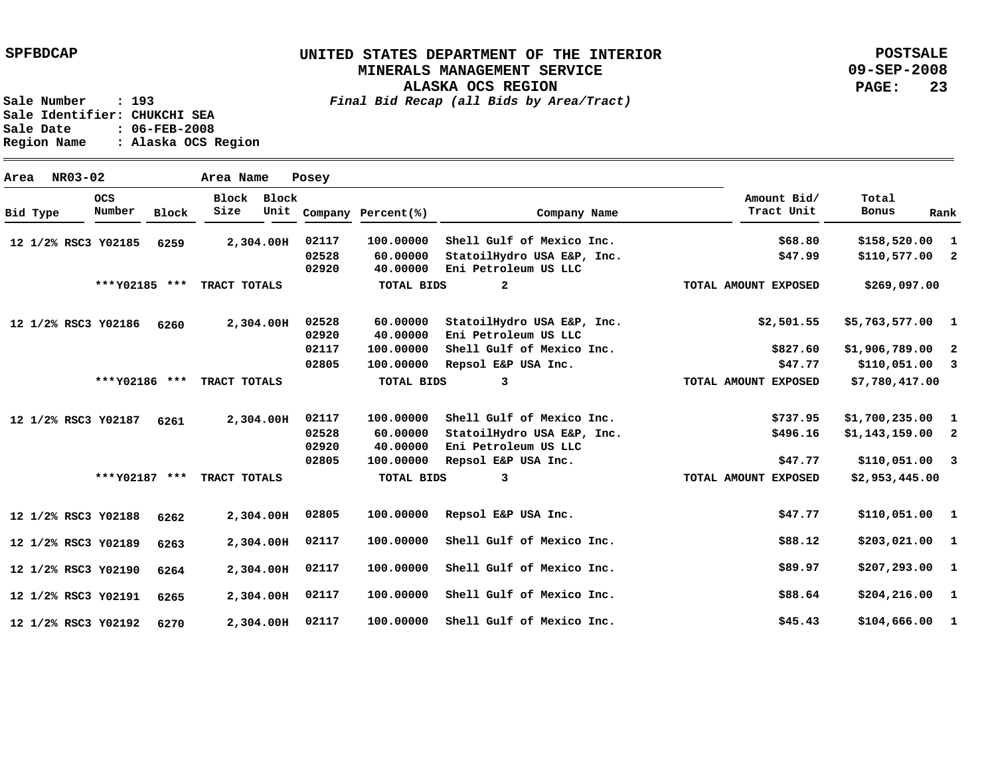**ALASKA OCS REGION**

**POSTSALE 09-SEP-2008 PAGE: 23**

**Sale Number : 193** *Final Bid Recap (all Bids by Area/Tract)* **Sale Identifier: CHUKCHI SEA Sale Date : 06-FEB-2008 Region Name : Alaska OCS Region**

**Area NR03-02 Area Name Posey Y02185 12 1/2% RSC3 Y02186 12 1/2% RSC3 Y02187 12 1/2% RSC3 Y02188 12 1/2% RSC3 Y02189 12 1/2% RSC3 Y02190 12 1/2% RSC3 Y02191 12 1/2% RSC3 Y02192 12 1/2% RSC3 2,304.00 H 2,304.00 H 2,304.00 H 2,304.00 H 2,304.00 H 2,304.00 H 2,304.00 H 2,304.00 H 02117 6259 6260 6261 6262 6263 6264 6265 6270 1 \$158,520.00 2 1 \$5,763,577.00 2 3 1 2 3 \$110,051.00 1 1 1 \$207,293.00 1 \$204,216.00 1 \$104,666.00 \$110,577.00 \$1,906,789.00 \$110,051.00 \$1,700,235.00 \$1,143,159.00 \$110,051.00 \$203,021.00 \$68.80 \$47.99 \$2,501.55 \$827.60 \$47.77 \$737.95 \$496.16 \$47.77 \$47.77 \$88.12 \$89.97 \$88.64 \$45.43 100.00000 60.00000 40.00000 60.00000 40.00000 100.00000 100.00000 100.00000 Shell Gulf of Mexico Inc. 60.00000 40.00000 100.00000 Repsol E&P USA Inc. 100.00000 100.00000 100.00000 100.00000 100.00000 Shell Gulf of Mexico Inc. 02117 02528 02920 02528 02920 02117 02805 02117 02528 02920 02805 02805 02117 02117 02117 Shell Gulf of Mexico Inc. StatoilHydro USA E&P, Inc. Eni Petroleum US LLC StatoilHydro USA E&P, Inc. Eni Petroleum US LLC Shell Gulf of Mexico Inc. Repsol E&P USA Inc. StatoilHydro USA E&P, Inc. Eni Petroleum US LLC Repsol E&P USA Inc. Shell Gulf of Mexico Inc. Shell Gulf of Mexico Inc. Shell Gulf of Mexico Inc. Bid Type OCS Number Block Block Block Size Unit Company Percent(%) Company Name Amount Bid/ Tract Unit Total Bonus Rank \$269,097.00 \$7,780,417.00 \$2,953,445.00 2 3 3 \*\*\* \*\*\* TRACT TOTALS Y02185 \*\*\* \*\*\* TRACT TOTALS Y02186 \*\*\* \*\*\* TRACT TOTALS Y02187 TOTAL BIDS TOTAL BIDS TOTAL BIDS TOTAL AMOUNT EXPOSED TOTAL AMOUNT EXPOSED TOTAL AMOUNT EXPOSED**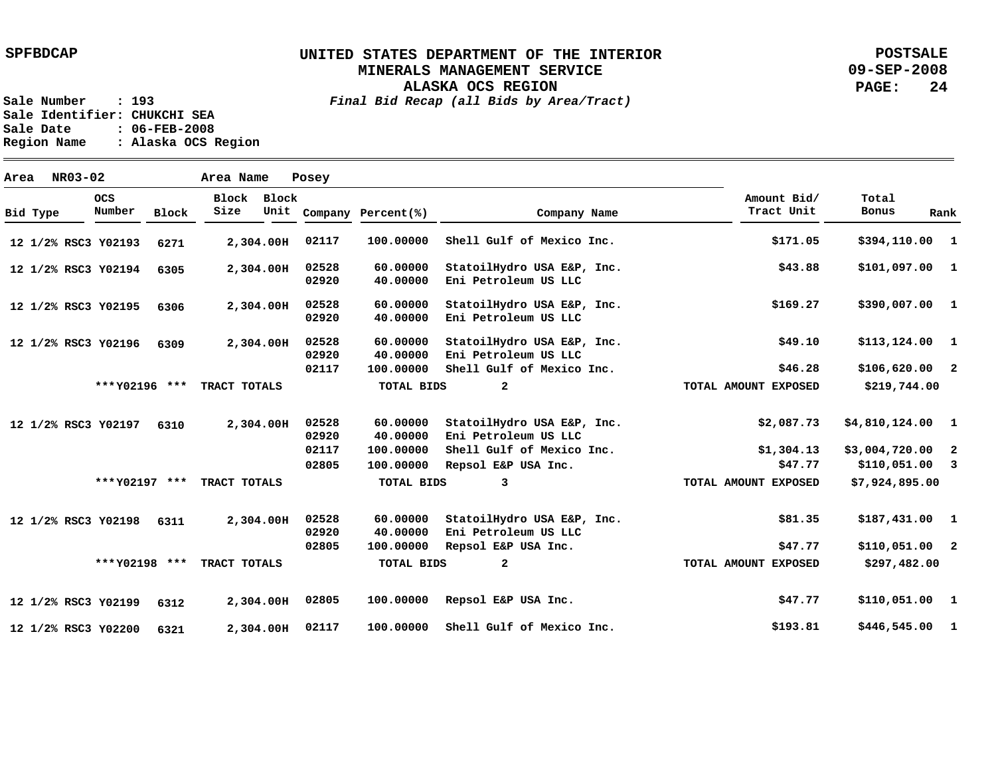**ALASKA OCS REGION**

**POSTSALE 09-SEP-2008 PAGE: 24**

**Sale Number : 193** *Final Bid Recap (all Bids by Area/Tract)* **Sale Identifier: CHUKCHI SEA Sale Date : 06-FEB-2008 Region Name : Alaska OCS Region**

**Area NR03-02 Area Name Posey Y02193 12 1/2% RSC3 Y02194 12 1/2% RSC3 Y02195 12 1/2% RSC3 Y02196 12 1/2% RSC3 Y02197 6310 12 1/2% RSC3 Y02198 12 1/2% RSC3 Y02199 12 1/2% RSC3 Y02200 12 1/2% RSC3 2,304.00 H 2,304.00 H 02528 2,304.00 H 02528 2,304.00 H 2,304.00 H 2,304.00 H 2,304.00 H 2,304.00 H 02117 6271 6305 6306 6309 6311 6312 6321 1 \$394,110.00 1 1 \$390,007.00 1 \$113,124.00 2 \$106,620.00 1 \$4,810,124.00 2 3 \$110,051.00 1 \$187,431.00 2 \$110,051.00 1 \$110,051.00 1 \$446,545.00 \$101,097.00 \$3,004,720.00 \$171.05 \$43.88 \$169.27 \$49.10 \$46.28 \$2,087.73 \$1,304.13 \$47.77 \$81.35 \$47.77 \$47.77 \$193.81 100.00000 60.00000 40.00000 60.00000 40.00000 Eni Petroleum US LLC 60.00000 40.00000 Eni Petroleum US LLC 100.00000 Shell Gulf of Mexico Inc. 60.00000 40.00000 100.00000 Shell Gulf of Mexico Inc. 100.00000 Repsol E&P USA Inc. 60.00000 40.00000 100.00000 100.00000 100.00000 Shell Gulf of Mexico Inc. 02117 02920 02920 02528 02920 02117 02528 02920 02117 02805 02528 02920 02805 02805 Shell Gulf of Mexico Inc. StatoilHydro USA E&P, Inc. Eni Petroleum US LLC StatoilHydro USA E&P, Inc. StatoilHydro USA E&P, Inc. StatoilHydro USA E&P, Inc. Eni Petroleum US LLC StatoilHydro USA E&P, Inc. Eni Petroleum US LLC Repsol E&P USA Inc. Repsol E&P USA Inc. Bid Type OCS Number Block Block Block Size Unit Company Percent(%) Company Name Amount Bid/ Tract Unit Total Bonus Rank \$219,744.00 \$7,924,895.00 \$297,482.00 2 3 2 \*\*\* \*\*\* TRACT TOTALS Y02196 \*\*\* \*\*\* TRACT TOTALS Y02197 \*\*\* \*\*\* TRACT TOTALS Y02198 TOTAL BIDS TOTAL BIDS TOTAL BIDS TOTAL AMOUNT EXPOSED TOTAL AMOUNT EXPOSED TOTAL AMOUNT EXPOSED**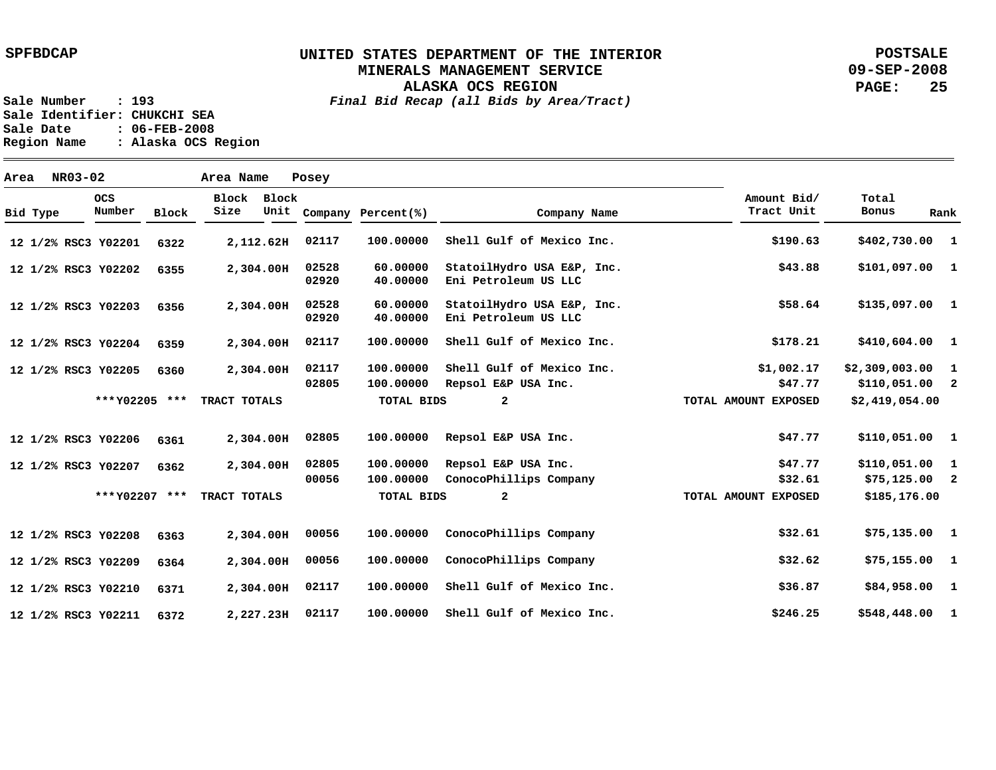**ALASKA OCS REGION**

**POSTSALE 09-SEP-2008 PAGE: 25**

| Area |          | NR03-02 |                      |              | Area Name     |               | Posey          |                        |                                                    |                           |                                   |                |
|------|----------|---------|----------------------|--------------|---------------|---------------|----------------|------------------------|----------------------------------------------------|---------------------------|-----------------------------------|----------------|
|      | Bid Type |         | <b>OCS</b><br>Number | <b>Block</b> | Block<br>Size | Block<br>Unit |                | Company Percent(%)     | Company Name                                       | Amount Bid/<br>Tract Unit | Total<br>Bonus                    | Rank           |
|      |          |         | 12 1/2% RSC3 Y02201  | 6322         |               | 2,112.62H     | 02117          | 100.00000              | Shell Gulf of Mexico Inc.                          | \$190.63                  | \$402,730.00 1                    |                |
|      |          |         | 12 1/2% RSC3 Y02202  | 6355         |               | 2,304.00H     | 02528<br>02920 | 60.00000<br>40.00000   | StatoilHydro USA E&P, Inc.<br>Eni Petroleum US LLC | \$43.88                   | $$101,097.00$ 1                   |                |
|      |          |         | 12 1/2% RSC3 Y02203  | 6356         |               | 2,304.00H     | 02528<br>02920 | 60.00000<br>40.00000   | StatoilHydro USA E&P, Inc.<br>Eni Petroleum US LLC | \$58.64                   | $$135,097.00$ 1                   |                |
|      |          |         | 12 1/2% RSC3 Y02204  | 6359         |               | 2,304.00H     | 02117          | 100.00000              | Shell Gulf of Mexico Inc.                          | \$178.21                  | \$410,604.00                      | $\mathbf{1}$   |
|      |          |         | 12 1/2% RSC3 Y02205  | 6360         |               | 2,304.00H     | 02117<br>02805 | 100.00000<br>100.00000 | Shell Gulf of Mexico Inc.<br>Repsol E&P USA Inc.   | \$1,002.17<br>\$47.77     | \$2,309,003.00<br>$$110,051.00$ 2 | -1             |
|      |          |         | *** Y02205 ***       |              | TRACT TOTALS  |               |                | <b>TOTAL BIDS</b>      | $\mathbf{2}$                                       | TOTAL AMOUNT EXPOSED      | \$2,419,054.00                    |                |
|      |          |         | 12 1/2% RSC3 Y02206  | 6361         |               | 2,304.00H     | 02805          | 100.00000              | Repsol E&P USA Inc.                                | \$47.77                   | $$110,051.00$ 1                   |                |
|      |          |         | 12 1/2% RSC3 Y02207  | 6362         |               | 2,304.00H     | 02805          | 100.00000              | Repsol E&P USA Inc.                                | \$47.77                   | \$110,051.00                      | $\mathbf{1}$   |
|      |          |         |                      |              |               |               | 00056          | 100.00000              | ConocoPhillips Company                             | \$32.61                   | $$75,125.00$ 2                    |                |
|      |          |         | *** Y02207 ***       |              | TRACT TOTALS  |               |                | TOTAL BIDS             | $\mathbf{2}$                                       | TOTAL AMOUNT EXPOSED      | \$185,176.00                      |                |
|      |          |         | 12 1/2% RSC3 Y02208  | 6363         |               | 2,304.00H     | 00056          | 100.00000              | ConocoPhillips Company                             | \$32.61                   | $$75,135.00$ 1                    |                |
|      |          |         | 12 1/2% RSC3 Y02209  | 6364         |               | 2,304.00H     | 00056          | 100.00000              | ConocoPhillips Company                             | \$32.62                   | $$75,155.00$ 1                    |                |
|      |          |         | 12 1/2% RSC3 Y02210  | 6371         |               | 2,304.00H     | 02117          | 100.00000              | Shell Gulf of Mexico Inc.                          | \$36.87                   | \$84,958.00                       | $\blacksquare$ |
|      |          |         | 12 1/2% RSC3 Y02211  | 6372         |               | 2,227.23H     | 02117          | 100.00000              | Shell Gulf of Mexico Inc.                          | \$246.25                  | \$548,448.00                      | 1              |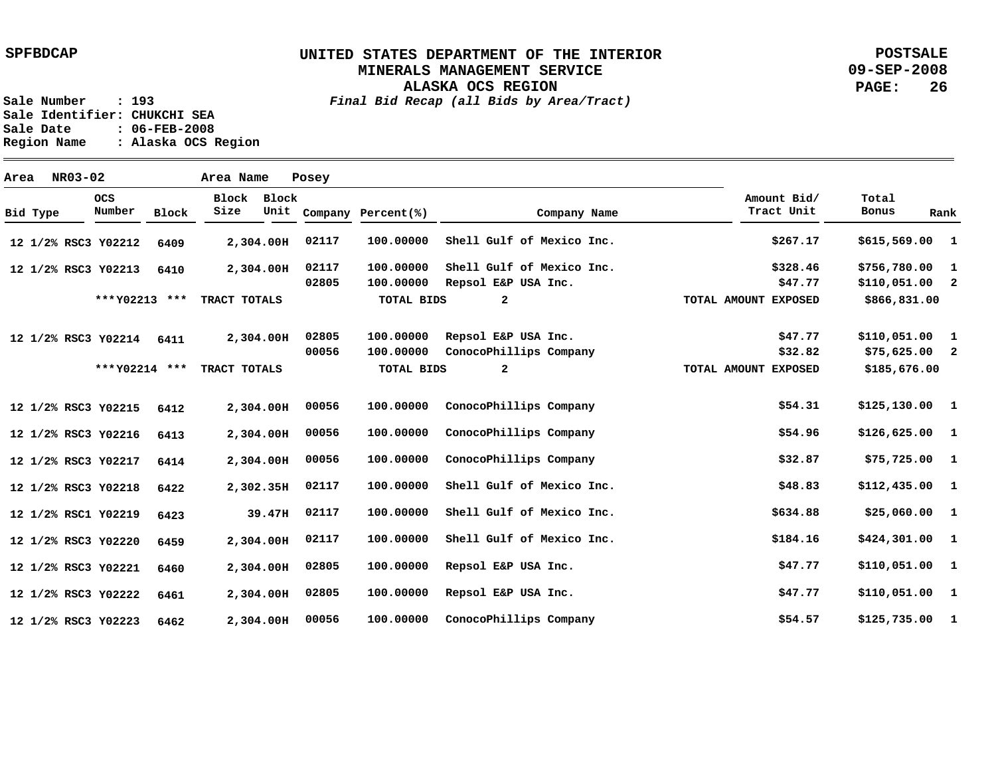# **UNITED STATES DEPARTMENT OF THE INTERIOR MINERALS MANAGEMENT SERVICE**

**POSTSALE 09-SEP-2008 PAGE: 26**

**ALASKA OCS REGION Sale Number : 193** *Final Bid Recap (all Bids by Area/Tract)*

Sale Identifier: CHUKCHI SEA<br>Sale Date : 06-FEB-2008 **Sale Date : 06-FEB-2008 Region Name : Alaska OCS Region**

| Area |          | NR03-02 |                     |              | Area Name     |               | Posey          |                        |                                                  |                           |                                   |              |
|------|----------|---------|---------------------|--------------|---------------|---------------|----------------|------------------------|--------------------------------------------------|---------------------------|-----------------------------------|--------------|
|      | Bid Type |         | OCS<br>Number       | <b>Block</b> | Block<br>Size | Block<br>Unit |                | Company Percent(%)     | Company Name                                     | Amount Bid/<br>Tract Unit | Total<br><b>Bonus</b>             | Rank         |
|      |          |         | 12 1/2% RSC3 Y02212 | 6409         |               | 2,304.00H     | 02117          | 100.00000              | Shell Gulf of Mexico Inc.                        | \$267.17                  | \$615,569.00                      | $\mathbf{1}$ |
|      |          |         | 12 1/2% RSC3 Y02213 | 6410         |               | 2,304.00H     | 02117<br>02805 | 100.00000<br>100.00000 | Shell Gulf of Mexico Inc.<br>Repsol E&P USA Inc. | \$328.46<br>\$47.77       | \$756,780.00<br>$$110,051.00$ 2   | $\mathbf{1}$ |
|      |          |         | *** Y02213 ***      |              | TRACT TOTALS  |               |                | <b>TOTAL BIDS</b>      | $\overline{a}$                                   | TOTAL AMOUNT EXPOSED      | \$866,831.00                      |              |
|      |          |         | 12 1/2% RSC3 Y02214 | 6411         |               | 2,304.00H     | 02805<br>00056 | 100.00000<br>100.00000 | Repsol E&P USA Inc.<br>ConocoPhillips Company    | \$47.77<br>\$32.82        | $$110,051.00$ 1<br>$$75,625.00$ 2 |              |
|      |          |         | *** Y02214 ***      |              | TRACT TOTALS  |               |                | <b>TOTAL BIDS</b>      | $\mathbf{2}$                                     | TOTAL AMOUNT EXPOSED      | \$185,676.00                      |              |
|      |          |         | 12 1/2% RSC3 Y02215 | 6412         |               | 2,304.00H     | 00056          | 100.00000              | ConocoPhillips Company                           | \$54.31                   | $$125,130.00$ 1                   |              |
|      |          |         | 12 1/2% RSC3 Y02216 | 6413         |               | 2,304.00H     | 00056          | 100.00000              | ConocoPhillips Company                           | \$54.96                   | $$126,625.00$ 1                   |              |
|      |          |         | 12 1/2% RSC3 Y02217 | 6414         |               | 2,304.00H     | 00056          | 100.00000              | ConocoPhillips Company                           | \$32.87                   | $$75,725.00$ 1                    |              |
|      |          |         | 12 1/2% RSC3 Y02218 | 6422         |               | 2,302.35H     | 02117          | 100.00000              | Shell Gulf of Mexico Inc.                        | \$48.83                   | $$112,435.00$ 1                   |              |
|      |          |         | 12 1/2% RSC1 Y02219 | 6423         |               | 39.47H        | 02117          | 100.00000              | Shell Gulf of Mexico Inc.                        | \$634.88                  | \$25,060.00 1                     |              |
|      |          |         | 12 1/2% RSC3 Y02220 | 6459         |               | 2,304.00H     | 02117          | 100.00000              | Shell Gulf of Mexico Inc.                        | \$184.16                  | \$424,301.00 1                    |              |
|      |          |         | 12 1/2% RSC3 Y02221 | 6460         |               | 2,304.00H     | 02805          | 100.00000              | Repsol E&P USA Inc.                              | \$47.77                   | \$110,051.00 1                    |              |
|      |          |         | 12 1/2% RSC3 Y02222 | 6461         |               | 2,304.00H     | 02805          | 100.00000              | Repsol E&P USA Inc.                              | \$47.77                   | $$110,051.00$ 1                   |              |
|      |          |         | 12 1/2% RSC3 Y02223 | 6462         |               | 2,304.00H     | 00056          | 100,00000              | ConocoPhillips Company                           | \$54.57                   | \$125,735.00                      | $\mathbf{1}$ |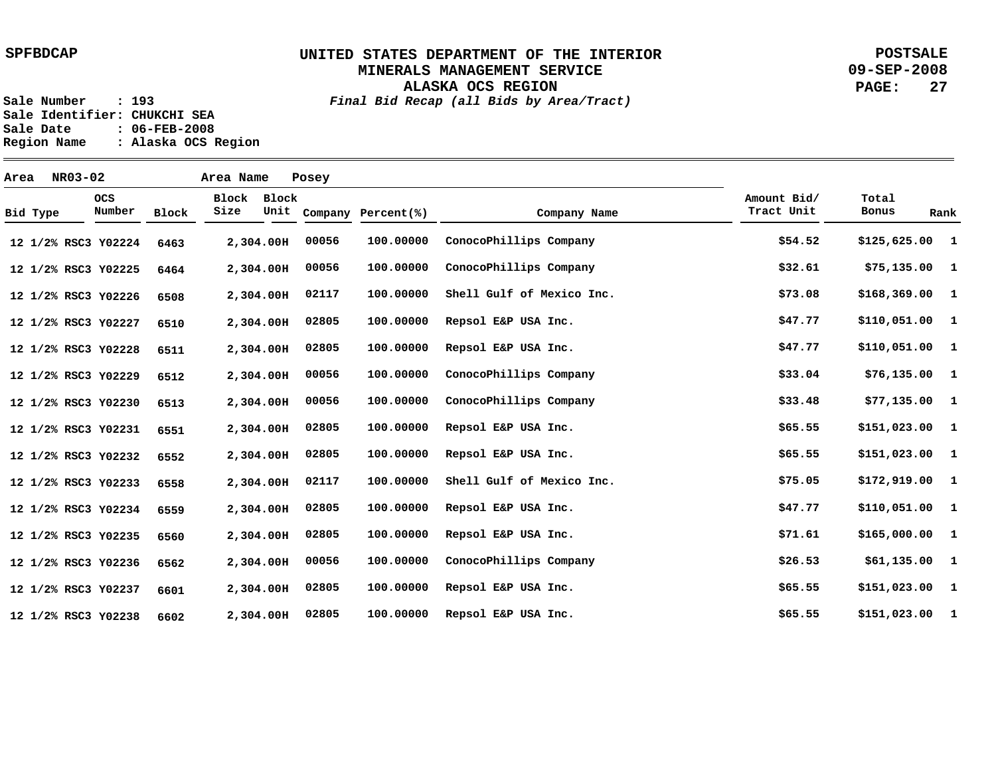**ALASKA OCS REGION**

**POSTSALE 09-SEP-2008 PAGE: 27**

**Sale Number : 193** *Final Bid Recap (all Bids by Area/Tract)*

Sale Identifier: CHUKCHI SEA<br>Sale Date : 06-FEB-2008 **Sale Date : 06-FEB-2008 Region Name : Alaska OCS Region**

| Area |          | NR03-02 |                      |       | Area Name     |           | Posey |                         |                           |                           |                 |      |
|------|----------|---------|----------------------|-------|---------------|-----------|-------|-------------------------|---------------------------|---------------------------|-----------------|------|
|      | Bid Type |         | <b>OCS</b><br>Number | Block | Block<br>Size | Block     |       | Unit Company Percent(%) | Company Name              | Amount Bid/<br>Tract Unit | Total<br>Bonus  | Rank |
|      |          |         | 12 1/2% RSC3 Y02224  | 6463  |               | 2,304.00H | 00056 | 100.00000               | ConocoPhillips Company    | \$54.52                   | $$125,625.00$ 1 |      |
|      |          |         | 12 1/2% RSC3 Y02225  | 6464  |               | 2,304.00H | 00056 | 100.00000               | ConocoPhillips Company    | \$32.61                   | $$75,135.00$ 1  |      |
|      |          |         | 12 1/2% RSC3 Y02226  | 6508  |               | 2,304.00H | 02117 | 100.00000               | Shell Gulf of Mexico Inc. | \$73.08                   | $$168,369.00$ 1 |      |
|      |          |         | 12 1/2% RSC3 Y02227  | 6510  |               | 2,304.00H | 02805 | 100.00000               | Repsol E&P USA Inc.       | \$47.77                   | $$110,051.00$ 1 |      |
|      |          |         | 12 1/2% RSC3 Y02228  | 6511  |               | 2,304.00H | 02805 | 100.00000               | Repsol E&P USA Inc.       | \$47.77                   | \$110,051.00 1  |      |
|      |          |         | 12 1/2% RSC3 Y02229  | 6512  |               | 2,304.00H | 00056 | 100.00000               | ConocoPhillips Company    | \$33.04                   | $$76,135.00$ 1  |      |
|      |          |         | 12 1/2% RSC3 Y02230  | 6513  |               | 2,304.00H | 00056 | 100.00000               | ConocoPhillips Company    | \$33.48                   | $$77,135.00$ 1  |      |
|      |          |         | 12 1/2% RSC3 Y02231  | 6551  |               | 2,304.00H | 02805 | 100.00000               | Repsol E&P USA Inc.       | \$65.55                   | \$151,023.00 1  |      |
|      |          |         | 12 1/2% RSC3 Y02232  | 6552  |               | 2,304.00H | 02805 | 100.00000               | Repsol E&P USA Inc.       | \$65.55                   | \$151,023.00 1  |      |
|      |          |         | 12 1/2% RSC3 Y02233  | 6558  |               | 2,304.00H | 02117 | 100.00000               | Shell Gulf of Mexico Inc. | \$75.05                   | \$172,919.00 1  |      |
|      |          |         | 12 1/2% RSC3 Y02234  | 6559  |               | 2,304.00H | 02805 | 100.00000               | Repsol E&P USA Inc.       | \$47.77                   | $$110,051.00$ 1 |      |
|      |          |         | 12 1/2% RSC3 Y02235  | 6560  |               | 2,304.00H | 02805 | 100.00000               | Repsol E&P USA Inc.       | \$71.61                   | \$165,000.001   |      |
|      |          |         | 12 1/2% RSC3 Y02236  | 6562  |               | 2,304.00H | 00056 | 100.00000               | ConocoPhillips Company    | \$26.53                   | $$61,135.00$ 1  |      |
|      |          |         | 12 1/2% RSC3 Y02237  | 6601  |               | 2,304.00H | 02805 | 100.00000               | Repsol E&P USA Inc.       | \$65.55                   | $$151,023.00$ 1 |      |
|      |          |         | 12 1/2% RSC3 Y02238  | 6602  |               | 2,304.00H | 02805 | 100.00000               | Repsol E&P USA Inc.       | \$65.55                   | $$151,023.00$ 1 |      |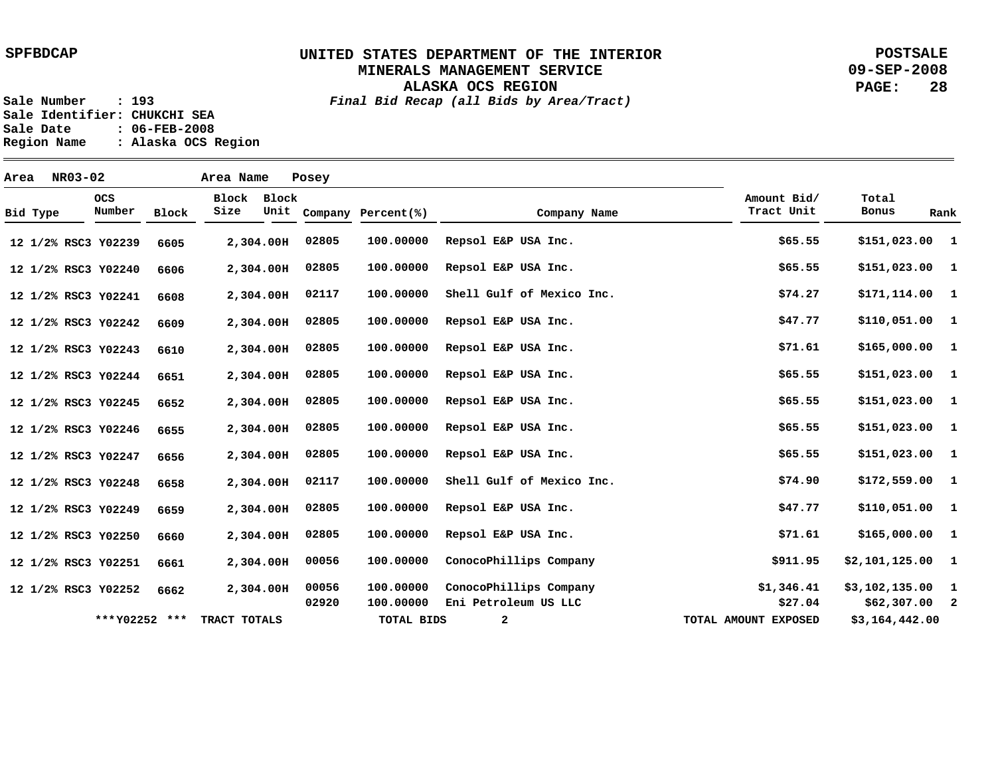**ALASKA OCS REGION**

**POSTSALE 09-SEP-2008 PAGE: 28**

**Sale Number : 193** *Final Bid Recap (all Bids by Area/Tract)* Sale Identifier: CHUKCHI SEA<br>Sale Date : 06-FEB-2008 **Sale Date : 06-FEB-2008**

**Region Name : Alaska OCS Region**

| Area     | NR03-02 |                      |       | Area Name     |               | Posey          |                        |                                                |                           |                                  |              |
|----------|---------|----------------------|-------|---------------|---------------|----------------|------------------------|------------------------------------------------|---------------------------|----------------------------------|--------------|
| Bid Type |         | <b>OCS</b><br>Number | Block | Block<br>Size | Block<br>Unit |                | Company Percent(%)     | Company Name                                   | Amount Bid/<br>Tract Unit | Total<br>Bonus                   | Rank         |
|          |         | 12 1/2% RSC3 Y02239  | 6605  |               | 2,304.00H     | 02805          | 100.00000              | Repsol E&P USA Inc.                            | \$65.55                   | \$151,023.00 1                   |              |
|          |         | 12 1/2% RSC3 Y02240  | 6606  |               | 2,304.00H     | 02805          | 100.00000              | Repsol E&P USA Inc.                            | \$65.55                   | $$151,023.00$ 1                  |              |
|          |         | 12 1/2% RSC3 Y02241  | 6608  |               | 2,304.00H     | 02117          | 100.00000              | Shell Gulf of Mexico Inc.                      | \$74.27                   | $$171,114.00$ 1                  |              |
|          |         | 12 1/2% RSC3 Y02242  | 6609  |               | 2,304.00H     | 02805          | 100.00000              | Repsol E&P USA Inc.                            | \$47.77                   | \$110,051.00 1                   |              |
|          |         | 12 1/2% RSC3 Y02243  | 6610  |               | 2,304.00H     | 02805          | 100.00000              | Repsol E&P USA Inc.                            | \$71.61                   | \$165,000.00 1                   |              |
|          |         | 12 1/2% RSC3 Y02244  | 6651  |               | 2,304.00H     | 02805          | 100.00000              | Repsol E&P USA Inc.                            | \$65.55                   | $$151,023.00$ 1                  |              |
|          |         | 12 1/2% RSC3 Y02245  | 6652  |               | 2,304.00H     | 02805          | 100.00000              | Repsol E&P USA Inc.                            | \$65.55                   | $$151,023.00$ 1                  |              |
|          |         | 12 1/2% RSC3 Y02246  | 6655  |               | 2,304.00H     | 02805          | 100.00000              | Repsol E&P USA Inc.                            | \$65.55                   | \$151,023.00 1                   |              |
|          |         | 12 1/2% RSC3 Y02247  | 6656  |               | 2,304.00H     | 02805          | 100.00000              | Repsol E&P USA Inc.                            | \$65.55                   | $$151,023.00$ 1                  |              |
|          |         | 12 1/2% RSC3 Y02248  | 6658  |               | 2,304.00H     | 02117          | 100.00000              | Shell Gulf of Mexico Inc.                      | \$74.90                   | $$172,559.00$ 1                  |              |
|          |         | 12 1/2% RSC3 Y02249  | 6659  |               | 2,304.00H     | 02805          | 100.00000              | Repsol E&P USA Inc.                            | \$47.77                   | \$110,051.00 1                   |              |
|          |         | 12 1/2% RSC3 Y02250  | 6660  |               | 2,304.00H     | 02805          | 100.00000              | Repsol E&P USA Inc.                            | \$71.61                   | \$165,000.00 1                   |              |
|          |         | 12 1/2% RSC3 Y02251  | 6661  |               | 2,304.00H     | 00056          | 100.00000              | ConocoPhillips Company                         | \$911.95                  | $$2,101,125.00$ 1                |              |
|          |         | 12 1/2% RSC3 Y02252  | 6662  |               | 2,304.00H     | 00056<br>02920 | 100.00000<br>100.00000 | ConocoPhillips Company<br>Eni Petroleum US LLC | \$1,346.41<br>\$27.04     | \$3,102,135.00<br>$$62,307.00$ 2 | $\mathbf{1}$ |
|          |         | *** Y02252 ***       |       | TRACT TOTALS  |               |                | <b>TOTAL BIDS</b>      | $\mathbf{2}$                                   | TOTAL AMOUNT EXPOSED      | \$3,164,442.00                   |              |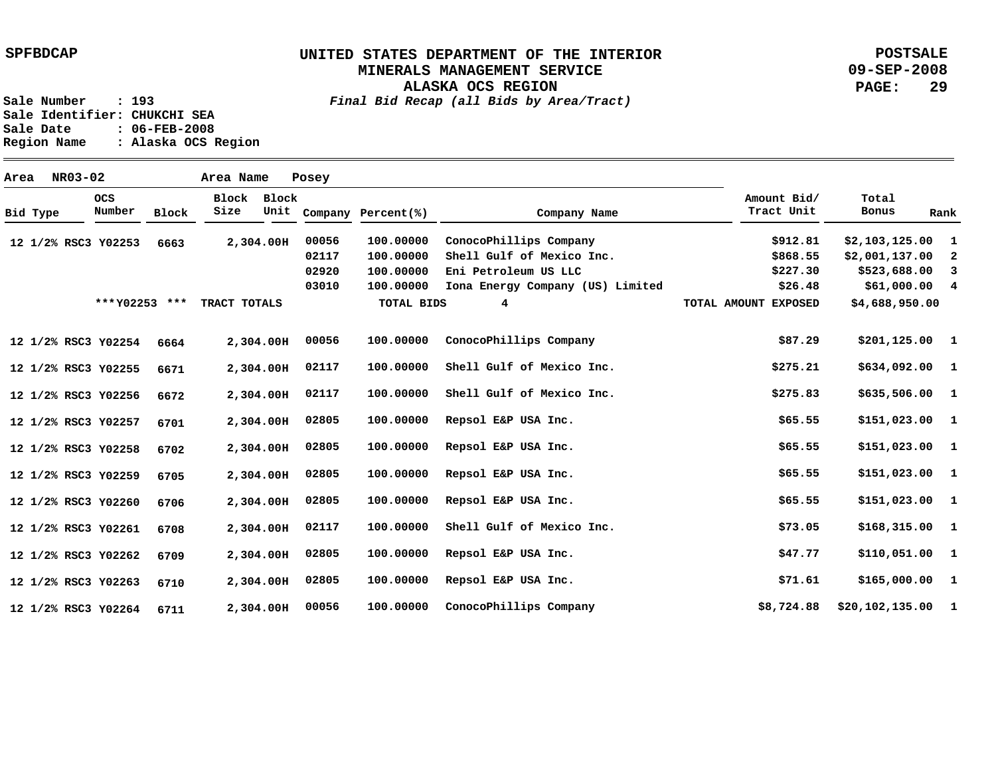## **UNITED STATES DEPARTMENT OF THE INTERIOR MINERALS MANAGEMENT SERVICE**

**ALASKA OCS REGION**

**POSTSALE 09-SEP-2008 PAGE: 29**

**Sale Number : 193** *Final Bid Recap (all Bids by Area/Tract)* **Sale Identifier: CHUKCHI SEA Sale Date : 06-FEB-2008 Region Name : Alaska OCS Region**

**Area NR03-02 Area Name Posey Y02253 12 1/2% RSC3 Y02254 12 1/2% RSC3 Y02255 12 1/2% RSC3 Y02256 12 1/2% RSC3 Y02257 12 1/2% RSC3 Y02258 12 1/2% RSC3 Y02259 12 1/2% RSC3 Y02260 12 1/2% RSC3 Y02261 12 1/2% RSC3 Y02262 12 1/2% RSC3 Y02263 12 1/2% RSC3 Y02264 12 1/2% RSC3 2,304.00 H 2,304.00 H 2,304.00 H 2,304.00 H 2,304.00 H 2,304.00 H 2,304.00 H 2,304.00 H 2,304.00 H 2,304.00 H 2,304.00 H 2,304.00 H 6663 6664 6671 6672 6701 6702 6705 6706 6708 6709 6710 6711 1 \$2,103,125.00 2 3 \$523,688.00 4 \$61,000.00 1 1 1 \$635,506.00 1 1 \$151,023.00 1 1 1 \$168,315.00 1 1 \$165,000.00 1 \$20,102,135.00 \$2,001,137.00 \$201,125.00 \$634,092.00 \$151,023.00 \$151,023.00 \$151,023.00 \$110,051.00 \$912.81 \$868.55 \$227.30 \$26.48 \$87.29 \$275.21 \$275.83 \$65.55 \$65.55 \$65.55 \$65.55 \$73.05 \$47.77 \$71.61 \$8,724.88 100.00000 100.00000 100.00000 100.00000 Iona Energy Company (US) Limited 100.00000 100.00000 100.00000 100.00000 100.00000 100.00000 100.00000 100.00000 100.00000 100.00000 100.00000 00056 02117 02920 03010 00056 02117 02117 02805 02805 02805 02805 02117 02805 02805 00056 ConocoPhillips Company Shell Gulf of Mexico Inc. Eni Petroleum US LLC ConocoPhillips Company Shell Gulf of Mexico Inc. Shell Gulf of Mexico Inc. Repsol E&P USA Inc. Repsol E&P USA Inc. Repsol E&P USA Inc. Repsol E&P USA Inc. Shell Gulf of Mexico Inc. Repsol E&P USA Inc. Repsol E&P USA Inc. ConocoPhillips Company Bid Type OCS Number Block Block Block Size Unit Company Percent(%) Company Name Amount Bid/ Tract Unit Total Bonus Rank \*\*\*Y02253 \*\*\* TRACT TOTALS TOTAL BIDS 4 TOTAL AMOUNT EXPOSED \$4,688,950.00**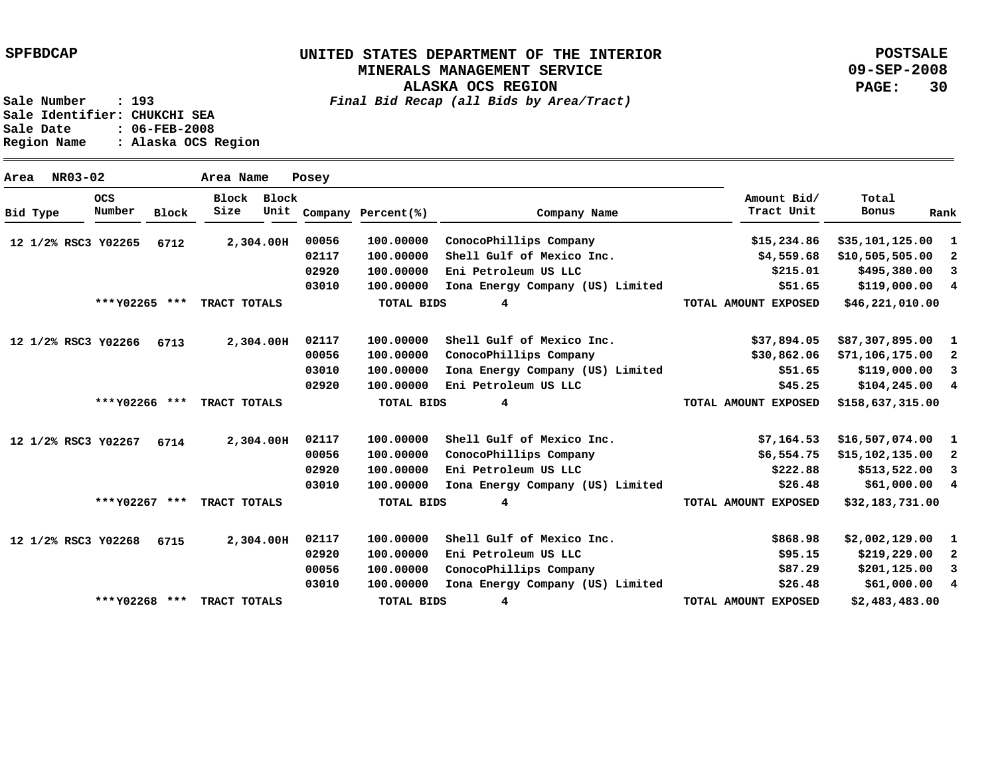**ALASKA OCS REGION**

**POSTSALE 09-SEP-2008 PAGE: 30**

**Sale Number : 193** *Final Bid Recap (all Bids by Area/Tract)* **Sale Identifier: CHUKCHI SEA Sale Date : 06-FEB-2008 Region Name : Alaska OCS Region**

**Area NR03-02 Area Name Posey Y02265 12 1/2% RSC3 Y02266 6713 12 1/2% RSC3 Y02267 12 1/2% RSC3 Y02268 12 1/2% RSC3 2,304.00 H 2,304.00 H 2,304.00 H 2,304.00 H 6712 6714 6715 1 2 3 4 \$119,000.00 1 2 3 4 1 2 3 4 1 2 3 4 \$35,101,125.00 \$10,505,505.00 \$495,380.00 \$87,307,895.00 \$71,106,175.00 \$119,000.00 \$104,245.00 \$16,507,074.00 \$15,102,135.00 \$513,522.00 \$61,000.00 \$2,002,129.00 \$219,229.00 \$201,125.00 \$61,000.00 \$15,234.86 \$4,559.68 \$215.01 \$51.65 \$37,894.05 \$30,862.06 \$51.65 \$45.25 \$7,164.53 \$6,554.75 \$222.88 \$26.48 \$868.98 \$95.15 \$87.29 \$26.48 100.00000 100.00000 100.00000 Eni Petroleum US LLC 100.00000 Iona Energy Company (US) Limited 100.00000 100.00000 100.00000 100.00000 Eni Petroleum US LLC 100.00000 100.00000 100.00000 100.00000 Iona Energy Company (US) Limited 100.00000 100.00000 100.00000 100.00000 Iona Energy Company (US) Limited 00056 02117 02920 03010 02117 00056 03010 02920 02117 00056 02920 03010 02117 02920 00056 03010 ConocoPhillips Company Shell Gulf of Mexico Inc. Shell Gulf of Mexico Inc. ConocoPhillips Company Iona Energy Company (US) Limited Shell Gulf of Mexico Inc. ConocoPhillips Company Eni Petroleum US LLC Shell Gulf of Mexico Inc. Eni Petroleum US LLC ConocoPhillips Company Bid Type OCS Number Block Block Block Size Unit Company Percent(%) Company Name Amount Bid/ Tract Unit Total Bonus Rank \$46,221,010.00 \$158,637,315.00 \$32,183,731.00 \$2,483,483.00 4 4 4 4 \*\*\* \*\*\* TRACT TOTALS Y02265 \*\*\* \*\*\* TRACT TOTALS Y02266 \*\*\* \*\*\* TRACT TOTALS Y02267 \*\*\* \*\*\* TRACT TOTALS Y02268 TOTAL BIDS TOTAL BIDS TOTAL BIDS TOTAL BIDS TOTAL AMOUNT EXPOSED TOTAL AMOUNT EXPOSED TOTAL AMOUNT EXPOSED TOTAL AMOUNT EXPOSED**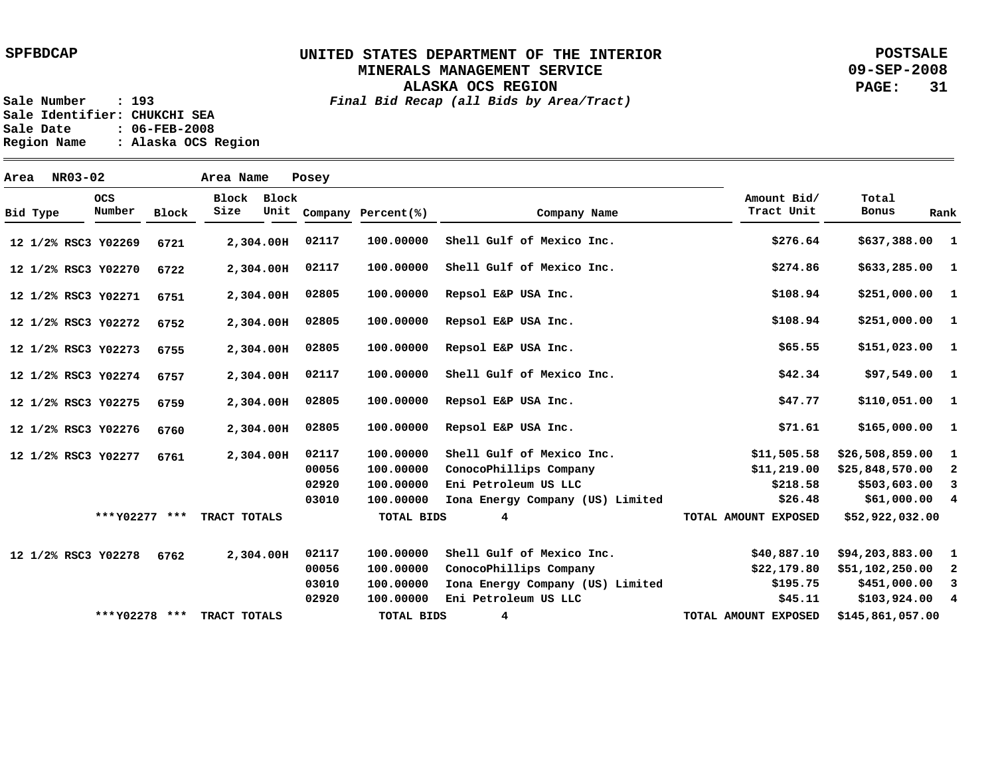**ALASKA OCS REGION**

**POSTSALE 09-SEP-2008 PAGE: 31**

| Area |                                           | NR03-02       |                     |      | Area Name          |              | Posey                     |                |                                  |                      |                  |                         |
|------|-------------------------------------------|---------------|---------------------|------|--------------------|--------------|---------------------------|----------------|----------------------------------|----------------------|------------------|-------------------------|
|      | <b>OCS</b><br>Number<br>Block<br>Bid Type | Block<br>Size | Block<br>Unit       |      | Company Percent(%) | Company Name | Amount Bid/<br>Tract Unit | Total<br>Bonus | Rank                             |                      |                  |                         |
|      |                                           |               | 12 1/2% RSC3 Y02269 | 6721 |                    | 2,304.00H    | 02117                     | 100.00000      | Shell Gulf of Mexico Inc.        | \$276.64             | \$637,388.00 1   |                         |
|      |                                           |               | 12 1/2% RSC3 Y02270 | 6722 | 2,304.00H          |              | 02117                     | 100.00000      | Shell Gulf of Mexico Inc.        | \$274.86             | \$633,285.00 1   |                         |
|      |                                           |               | 12 1/2% RSC3 Y02271 | 6751 |                    | 2,304.00H    | 02805                     | 100.00000      | Repsol E&P USA Inc.              | \$108.94             | \$251,000.001    |                         |
|      |                                           |               | 12 1/2% RSC3 Y02272 | 6752 | 2,304.00H          |              | 02805                     | 100.00000      | Repsol E&P USA Inc.              | \$108.94             | \$251,000.001    |                         |
|      |                                           |               | 12 1/2% RSC3 Y02273 | 6755 | 2,304.00H          |              | 02805                     | 100.00000      | Repsol E&P USA Inc.              | \$65.55              | \$151,023.00 1   |                         |
|      |                                           |               | 12 1/2% RSC3 Y02274 | 6757 |                    | 2,304.00H    | 02117                     | 100.00000      | Shell Gulf of Mexico Inc.        | \$42.34              | $$97,549.00$ 1   |                         |
|      |                                           |               | 12 1/2% RSC3 Y02275 | 6759 | 2,304.00H          |              | 02805                     | 100.00000      | Repsol E&P USA Inc.              | \$47.77              | \$110,051.00 1   |                         |
|      |                                           |               | 12 1/2% RSC3 Y02276 | 6760 |                    | 2,304.00H    | 02805                     | 100.00000      | Repsol E&P USA Inc.              | \$71.61              | \$165,000.00 1   |                         |
|      |                                           |               | 12 1/2% RSC3 Y02277 | 6761 |                    | 2,304.00H    | 02117                     | 100.00000      | Shell Gulf of Mexico Inc.        | \$11,505.58          | \$26,508,859.00  | $\mathbf{1}$            |
|      |                                           |               |                     |      |                    |              | 00056                     | 100.00000      | ConocoPhillips Company           | \$11,219.00          | \$25,848,570.00  | $\overline{2}$          |
|      |                                           |               |                     |      |                    |              | 02920                     | 100,00000      | Eni Petroleum US LLC             | \$218.58             | \$503,603.00     | $\overline{\mathbf{3}}$ |
|      |                                           |               |                     |      |                    |              | 03010                     | 100.00000      | Iona Energy Company (US) Limited | \$26.48              | \$61,000.00 4    |                         |
|      |                                           |               | *** Y02277 ***      |      | TRACT TOTALS       |              |                           | TOTAL BIDS     | 4                                | TOTAL AMOUNT EXPOSED | \$52,922,032.00  |                         |
|      |                                           |               | 12 1/2% RSC3 Y02278 | 6762 | 2,304.00H          |              | 02117                     | 100.00000      | Shell Gulf of Mexico Inc.        | \$40,887.10          | \$94,203,883.00  | $\mathbf{1}$            |
|      |                                           |               |                     |      |                    |              | 00056                     | 100.00000      | ConocoPhillips Company           | \$22,179.80          | \$51,102,250.00  | $\overline{\mathbf{2}}$ |
|      |                                           |               |                     |      |                    |              | 03010                     | 100.00000      | Iona Energy Company (US) Limited | \$195.75             | \$451,000.00     | 3                       |
|      |                                           |               |                     |      |                    |              | 02920                     | 100.00000      | Eni Petroleum US LLC             | \$45.11              | $$103,924.00$ 4  |                         |
|      |                                           |               | *** Y02278 ***      |      | TRACT TOTALS       |              |                           | TOTAL BIDS     | 4                                | TOTAL AMOUNT EXPOSED | \$145,861,057.00 |                         |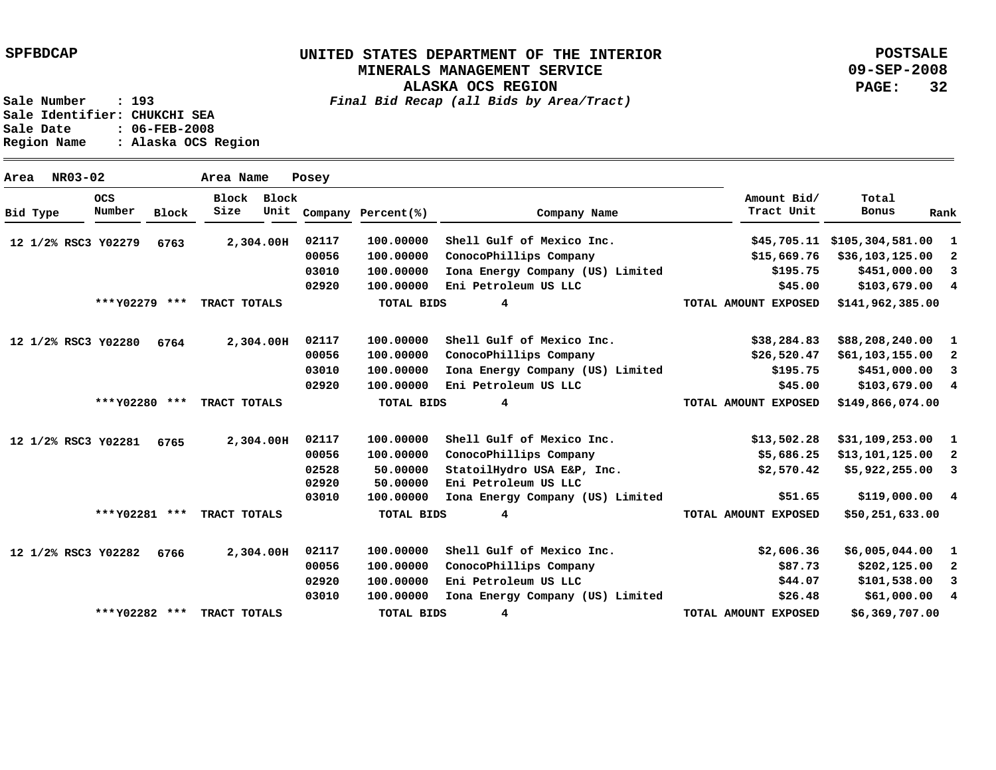**ALASKA OCS REGION**

**POSTSALE 09-SEP-2008 PAGE: 32**

**Sale Number : 193** *Final Bid Recap (all Bids by Area/Tract)*

**Sale Identifier: CHUKCHI SEA Sale Date : 06-FEB-2008 Region Name : Alaska OCS Region**

| Area     | NR03-02             |                      |              | Area Name           |           | Posey |                    |                                  |                           |                    |                          |
|----------|---------------------|----------------------|--------------|---------------------|-----------|-------|--------------------|----------------------------------|---------------------------|--------------------|--------------------------|
| Bid Type |                     | <b>OCS</b><br>Number | <b>Block</b> | Block Block<br>Size | Unit      |       | Company Percent(%) | Company Name                     | Amount Bid/<br>Tract Unit | Total<br>Bonus     | Rank                     |
|          | 12 1/2% RSC3 Y02279 |                      | 6763         |                     | 2,304.00H | 02117 | 100.00000          | Shell Gulf of Mexico Inc.        | \$45,705.11               | \$105,304,581.00   | $\mathbf{1}$             |
|          |                     |                      |              |                     |           | 00056 | 100.00000          | ConocoPhillips Company           | \$15,669.76               | \$36,103,125.00    | 2                        |
|          |                     |                      |              |                     |           | 03010 | 100.00000          | Iona Energy Company (US) Limited | \$195.75                  | \$451,000.00       | 3                        |
|          |                     |                      |              |                     |           | 02920 | 100.00000          | Eni Petroleum US LLC             | \$45.00                   | $$103,679.00$ 4    |                          |
|          |                     | *** Y02279 ***       |              | TRACT TOTALS        |           |       | <b>TOTAL BIDS</b>  | 4                                | TOTAL AMOUNT EXPOSED      | \$141,962,385.00   |                          |
|          | 12 1/2% RSC3 Y02280 |                      | 6764         |                     | 2,304.00H | 02117 | 100.00000          | Shell Gulf of Mexico Inc.        | \$38,284.83               | \$88,208,240.00 1  |                          |
|          |                     |                      |              |                     |           | 00056 | 100.00000          | ConocoPhillips Company           | \$26,520.47               | $$61,103,155.00$ 2 |                          |
|          |                     |                      |              |                     |           | 03010 | 100.00000          | Iona Energy Company (US) Limited | \$195.75                  | \$451,000.00       | 3                        |
|          |                     |                      |              |                     |           | 02920 | 100.00000          | Eni Petroleum US LLC             | \$45.00                   | \$103,679.00 4     |                          |
|          |                     | *** Y02280 ***       |              | TRACT TOTALS        |           |       | <b>TOTAL BIDS</b>  | 4                                | TOTAL AMOUNT EXPOSED      | \$149,866,074.00   |                          |
|          | 12 1/2% RSC3 Y02281 |                      | 6765         |                     | 2,304.00H | 02117 | 100.00000          | Shell Gulf of Mexico Inc.        | \$13,502.28               | $$31,109,253.00$ 1 |                          |
|          |                     |                      |              |                     |           | 00056 | 100.00000          | ConocoPhillips Company           | \$5,686.25                | \$13,101,125.00    | $\mathbf{2}$             |
|          |                     |                      |              |                     |           | 02528 | 50.00000           | StatoilHydro USA E&P, Inc.       | \$2,570.42                | \$5,922,255.00     | $\overline{\phantom{a}}$ |
|          |                     |                      |              |                     |           | 02920 | 50.00000           | Eni Petroleum US LLC             |                           |                    |                          |
|          |                     |                      |              |                     |           | 03010 | 100.00000          | Iona Energy Company (US) Limited | \$51.65                   | \$119,000.00 4     |                          |
|          |                     | *** Y02281 ***       |              | TRACT TOTALS        |           |       | <b>TOTAL BIDS</b>  | 4                                | TOTAL AMOUNT EXPOSED      | \$50,251,633.00    |                          |
|          | 12 1/2% RSC3 Y02282 |                      | 6766         |                     | 2,304.00H | 02117 | 100.00000          | Shell Gulf of Mexico Inc.        | \$2,606.36                | $$6,005,044.00$ 1  |                          |
|          |                     |                      |              |                     |           | 00056 | 100.00000          | ConocoPhillips Company           | \$87.73                   | \$202,125.00       | $\overline{\phantom{a}}$ |
|          |                     |                      |              |                     |           | 02920 | 100.00000          | Eni Petroleum US LLC             | \$44.07                   | \$101,538.00       | 3                        |
|          |                     |                      |              |                     |           | 03010 | 100.00000          | Iona Energy Company (US) Limited | \$26.48                   | \$61,000.004       |                          |
|          |                     | *** Y02282 ***       |              | TRACT TOTALS        |           |       | <b>TOTAL BIDS</b>  | 4                                | TOTAL AMOUNT EXPOSED      | \$6,369,707.00     |                          |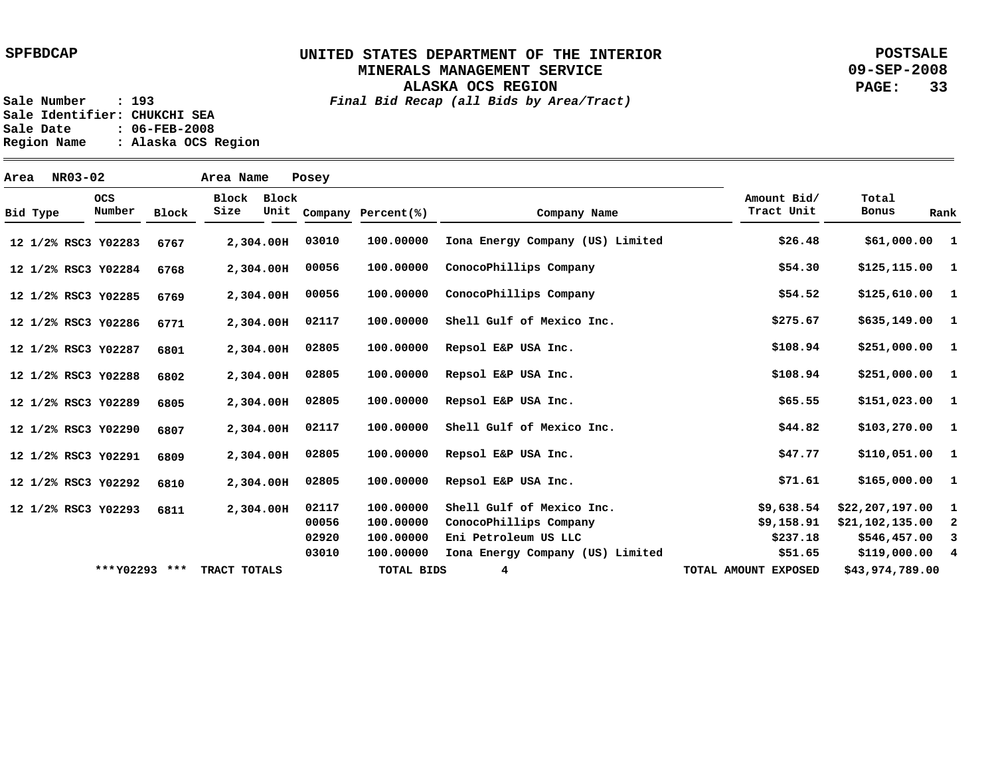**ALASKA OCS REGION**

**POSTSALE 09-SEP-2008 PAGE: 33**

**Sale Number : 193** *Final Bid Recap (all Bids by Area/Tract)* **Sale Identifier: CHUKCHI SEA Sale Date : 06-FEB-2008 Region Name : Alaska OCS Region**

**Area NR03-02 Area Name Posey Y02283 12 1/2% RSC3 Y02284 12 1/2% RSC3 Y02285 12 1/2% RSC3 Y02286 12 1/2% RSC3 Y02287 12 1/2% RSC3 Y02288 12 1/2% RSC3 Y02289 12 1/2% RSC3 Y02290 12 1/2% RSC3 Y02291 12 1/2% RSC3 Y02292 12 1/2% RSC3 Y02293 12 1/2% RSC3 2,304.00 H 2,304.00 H 2,304.00 H 2,304.00 H 2,304.00 H 2,304.00 H 2,304.00 H 2,304.00 H 2,304.00 H 2,304.00 H 2,304.00 H 6767 6768 6769 6771 6801 6802 6805 6807 6809 6810 6811 1 \$61,000.00 1 1 1 1 1 1 1 \$103,270.00 1 1 \$165,000.00 1 2 3 4 \$119,000.00 \$125,115.00 \$125,610.00 \$635,149.00 \$251,000.00 \$251,000.00 \$151,023.00 \$110,051.00 \$22,207,197.00 \$21,102,135.00 \$546,457.00 \$26.48 \$54.30 \$54.52 \$275.67 \$108.94 \$108.94 \$65.55 \$44.82 \$47.77 \$71.61 \$9,638.54 \$9,158.91 \$237.18 \$51.65 100.00000 100.00000 100.00000 100.00000 100.00000 100.00000 100.00000 100.00000 100.00000 100.00000 100.00000 100.00000 100.00000 100.00000 03010 00056 00056 02117 02805 02805 02805 02117 02805 02805 02117 00056 02920 03010 Iona Energy Company (US) Limited ConocoPhillips Company ConocoPhillips Company Shell Gulf of Mexico Inc. Repsol E&P USA Inc. Repsol E&P USA Inc. Repsol E&P USA Inc. Shell Gulf of Mexico Inc. Repsol E&P USA Inc. Repsol E&P USA Inc. Shell Gulf of Mexico Inc. ConocoPhillips Company Eni Petroleum US LLC Iona Energy Company (US) Limited Bid Type OCS Number Block Block Block Size Unit Company Percent(%) Company Name Amount Bid/ Tract Unit Total Bonus Rank \*\*\*Y02293 \*\*\* TRACT TOTALS TOTAL BIDS 4 TOTAL AMOUNT EXPOSED \$43,974,789.00**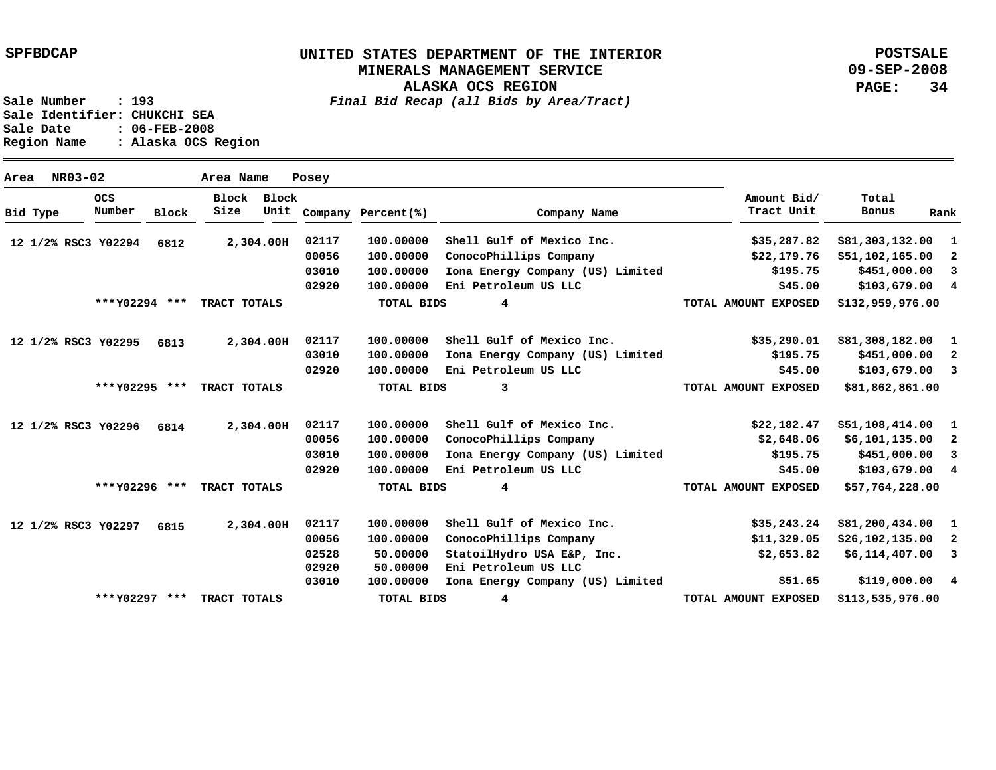**ALASKA OCS REGION**

**POSTSALE 09-SEP-2008 PAGE: 34**

**Sale Number : 193** *Final Bid Recap (all Bids by Area/Tract)* **Sale Identifier: CHUKCHI SEA Sale Date : 06-FEB-2008 Region Name : Alaska OCS Region**

**Area NR03-02 Area Name Posey Y02294 12 1/2% RSC3 Y02295 6813 12 1/2% RSC3 Y02296 12 1/2% RSC3 Y02297 12 1/2% RSC3 2,304.00 H 2,304.00 H 2,304.00 H 2,304.00 H 6812 6814 6815 1 2 3 4 1 2 3 1 2 3 4 1 2 3 4 \$119,000.00 \$81,303,132.00 \$51,102,165.00 \$451,000.00 \$103,679.00 \$81,308,182.00 \$451,000.00 \$103,679.00 \$51,108,414.00 \$6,101,135.00 \$451,000.00 \$103,679.00 \$81,200,434.00 \$26,102,135.00 \$6,114,407.00 \$35,287.82 \$22,179.76 \$195.75 \$45.00 \$35,290.01 \$195.75 \$45.00 \$22,182.47 \$2,648.06 \$195.75 \$45.00 \$35,243.24 \$11,329.05 \$2,653.82 \$51.65 100.00000 100.00000 100.00000 100.00000 Eni Petroleum US LLC 100.00000 100.00000 100.00000 Eni Petroleum US LLC 100.00000 100.00000 100.00000 100.00000 Eni Petroleum US LLC 100.00000 100.00000 50.00000 50.00000 100.00000 02117 00056 03010 02920 02117 03010 02920 02117 00056 03010 02920 02117 00056 02528 02920 03010 Shell Gulf of Mexico Inc. ConocoPhillips Company Iona Energy Company (US) Limited Shell Gulf of Mexico Inc. Iona Energy Company (US) Limited Shell Gulf of Mexico Inc. ConocoPhillips Company Iona Energy Company (US) Limited Shell Gulf of Mexico Inc. ConocoPhillips Company StatoilHydro USA E&P, Inc. Eni Petroleum US LLC Iona Energy Company (US) Limited Bid Type OCS Number Block Block Block Size Unit Company Percent(%) Company Name Amount Bid/ Tract Unit Total Bonus Rank \$132,959,976.00 \$81,862,861.00 \$57,764,228.00 \$113,535,976.00 4 3 4 4 \*\*\* \*\*\* TRACT TOTALS Y02294 \*\*\* \*\*\* TRACT TOTALS Y02295 \*\*\* \*\*\* TRACT TOTALS Y02296 \*\*\* \*\*\* TRACT TOTALS Y02297 TOTAL BIDS TOTAL BIDS TOTAL BIDS TOTAL BIDS TOTAL AMOUNT EXPOSED TOTAL AMOUNT EXPOSED TOTAL AMOUNT EXPOSED TOTAL AMOUNT EXPOSED**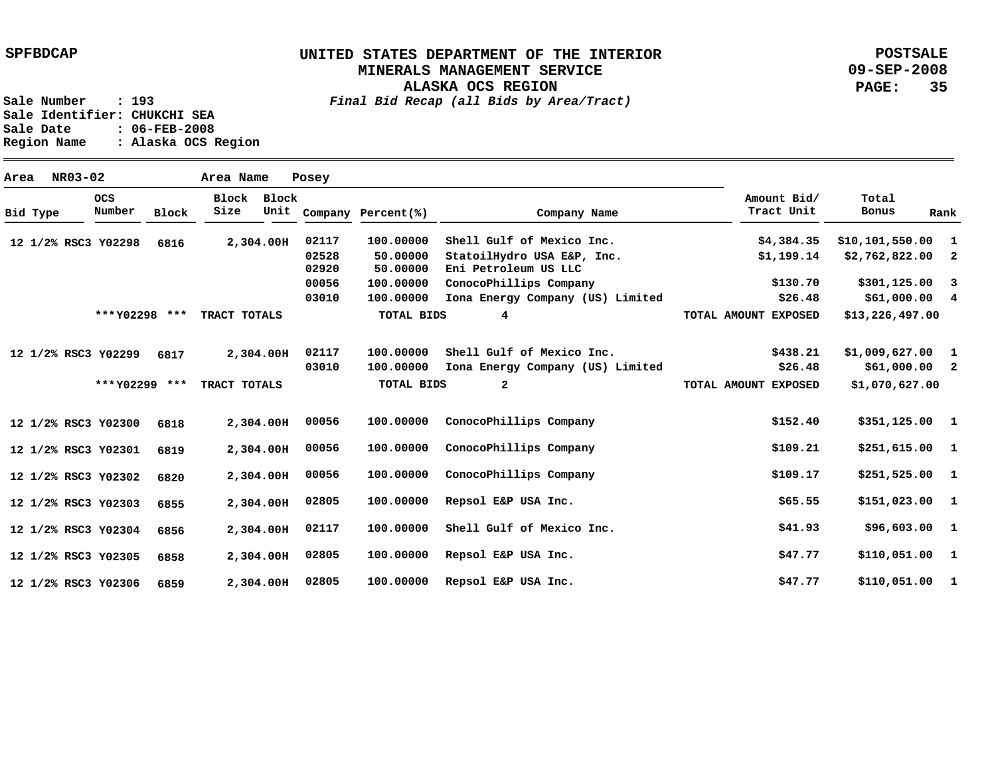**POSTSALE 09-SEP-2008 PAGE: 35**

| NR03-02<br>Area     |                      |       | Area Name     |               | Posey |                    |                                  |                           |                   |                         |
|---------------------|----------------------|-------|---------------|---------------|-------|--------------------|----------------------------------|---------------------------|-------------------|-------------------------|
| Bid Type            | <b>OCS</b><br>Number | Block | Block<br>Size | Block<br>Unit |       | Company Percent(%) | Company Name                     | Amount Bid/<br>Tract Unit | Total<br>Bonus    | Rank                    |
| 12 1/2% RSC3 Y02298 |                      | 6816  |               | 2,304.00H     | 02117 | 100.00000          | Shell Gulf of Mexico Inc.        | \$4,384.35                | \$10,101,550.00   | -1                      |
|                     |                      |       |               |               | 02528 | 50.00000           | StatoilHydro USA E&P, Inc.       | \$1,199.14                | \$2,762,822.00    | $\overline{\mathbf{2}}$ |
|                     |                      |       |               |               | 02920 | 50.00000           | Eni Petroleum US LLC             |                           |                   |                         |
|                     |                      |       |               |               | 00056 | 100.00000          | ConocoPhillips Company           | \$130.70                  | \$301,125.00      | $\overline{\mathbf{3}}$ |
|                     |                      |       |               |               | 03010 | 100.00000          | Iona Energy Company (US) Limited | \$26.48                   | \$61,000.00 4     |                         |
|                     | *** Y02298 ***       |       | TRACT TOTALS  |               |       | <b>TOTAL BIDS</b>  | 4                                | TOTAL AMOUNT EXPOSED      | \$13, 226, 497.00 |                         |
| 12 1/2% RSC3 Y02299 |                      | 6817  |               | 2,304.00H     | 02117 | 100.00000          | Shell Gulf of Mexico Inc.        | \$438.21                  | \$1,009,627.00    | $\mathbf{1}$            |
|                     |                      |       |               |               | 03010 | 100.00000          | Iona Energy Company (US) Limited | \$26.48                   | $$61,000.00$ 2    |                         |
|                     | *** Y02299 ***       |       | TRACT TOTALS  |               |       | TOTAL BIDS         | $\mathbf{2}$                     | TOTAL AMOUNT EXPOSED      | \$1,070,627.00    |                         |
| 12 1/2% RSC3 Y02300 |                      | 6818  |               | 2,304.00H     | 00056 | 100.00000          | ConocoPhillips Company           | \$152.40                  | \$351,125.00 1    |                         |
| 12 1/2% RSC3 Y02301 |                      | 6819  |               | 2,304.00H     | 00056 | 100.00000          | ConocoPhillips Company           | \$109.21                  | $$251,615.00$ 1   |                         |
| 12 1/2% RSC3 Y02302 |                      | 6820  |               | 2,304.00H     | 00056 | 100.00000          | ConocoPhillips Company           | \$109.17                  | $$251,525.00$ 1   |                         |
| 12 1/2% RSC3 Y02303 |                      | 6855  |               | 2,304.00H     | 02805 | 100.00000          | Repsol E&P USA Inc.              | \$65.55                   | $$151,023.00$ 1   |                         |
| 12 1/2% RSC3 Y02304 |                      | 6856  |               | 2,304.00H     | 02117 | 100.00000          | Shell Gulf of Mexico Inc.        | \$41.93                   | \$96,603.00 1     |                         |
| 12 1/2% RSC3 Y02305 |                      | 6858  |               | 2,304.00H     | 02805 | 100.00000          | Repsol E&P USA Inc.              | \$47.77                   | $$110,051.00$ 1   |                         |
| 12 1/2% RSC3 Y02306 |                      | 6859  |               | 2,304.00H     | 02805 | 100.00000          | Repsol E&P USA Inc.              | \$47.77                   | \$110,051.00      | $\mathbf{1}$            |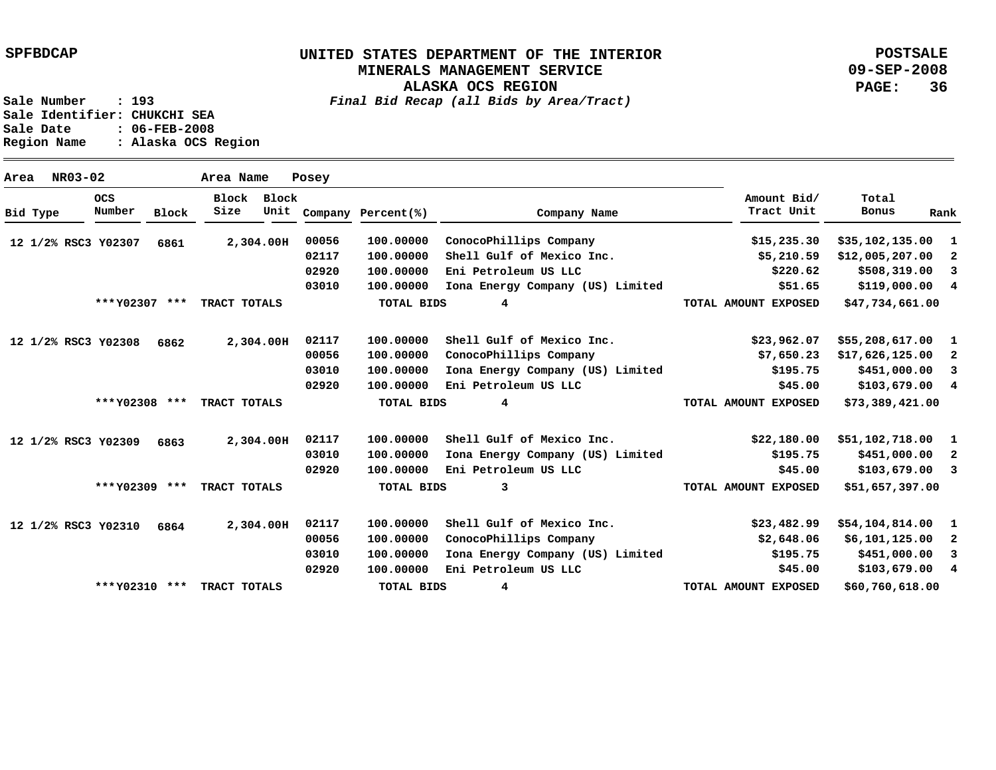**POSTSALE 09-SEP-2008 PAGE: 36**

| Area |          | NR03-02              |                | Area Name     |               | Posey |                    |                                  |                           |                    |                         |
|------|----------|----------------------|----------------|---------------|---------------|-------|--------------------|----------------------------------|---------------------------|--------------------|-------------------------|
|      | Bid Type | <b>OCS</b><br>Number | <b>Block</b>   | Block<br>Size | Block<br>Unit |       | Company Percent(%) | Company Name                     | Amount Bid/<br>Tract Unit | Total<br>Bonus     | Rank                    |
|      |          | 12 1/2% RSC3 Y02307  | 6861           |               | 2,304.00H     | 00056 | 100.00000          | ConocoPhillips Company           | \$15, 235.30              | \$35,102,135.00    | -1                      |
|      |          |                      |                |               |               | 02117 | 100.00000          | Shell Gulf of Mexico Inc.        | \$5,210.59                | \$12,005,207.00    | 2                       |
|      |          |                      |                |               |               | 02920 | 100,00000          | Eni Petroleum US LLC             | \$220.62                  | \$508,319.00       | $_{3}$                  |
|      |          |                      |                |               |               | 03010 | 100.00000          | Iona Energy Company (US) Limited | \$51.65                   | \$119,000.004      |                         |
|      |          |                      | *** Y02307 *** | TRACT TOTALS  |               |       | <b>TOTAL BIDS</b>  | 4                                | TOTAL AMOUNT EXPOSED      | \$47,734,661.00    |                         |
|      |          | 12 1/2% RSC3 Y02308  | 6862           |               | 2,304.00H     | 02117 | 100.00000          | Shell Gulf of Mexico Inc.        | \$23,962.07               | $$55,208,617.00$ 1 |                         |
|      |          |                      |                |               |               | 00056 | 100,00000          | ConocoPhillips Company           | \$7,650.23                | \$17,626,125.00    | - 2                     |
|      |          |                      |                |               |               | 03010 | 100.00000          | Iona Energy Company (US) Limited | \$195.75                  | \$451,000.00       | $\overline{\mathbf{3}}$ |
|      |          |                      |                |               |               | 02920 | 100.00000          | Eni Petroleum US LLC             | \$45.00                   | $$103,679.00$ 4    |                         |
|      |          |                      | *** Y02308 *** | TRACT TOTALS  |               |       | <b>TOTAL BIDS</b>  | 4                                | TOTAL AMOUNT EXPOSED      | \$73,389,421.00    |                         |
|      |          | 12 1/2% RSC3 Y02309  | 6863           |               | 2,304.00H     | 02117 | 100,00000          | Shell Gulf of Mexico Inc.        | \$22,180.00               | \$51,102,718.00    | 1                       |
|      |          |                      |                |               |               | 03010 | 100,00000          | Iona Energy Company (US) Limited | \$195.75                  | \$451,000.00       | $\mathbf{2}$            |
|      |          |                      |                |               |               | 02920 | 100.00000          | Eni Petroleum US LLC             | \$45.00                   | $$103,679.00$ 3    |                         |
|      |          |                      | *** Y02309 *** | TRACT TOTALS  |               |       | <b>TOTAL BIDS</b>  | 3                                | TOTAL AMOUNT EXPOSED      | \$51,657,397.00    |                         |
|      |          | 12 1/2% RSC3 Y02310  | 6864           |               | 2,304.00H     | 02117 | 100.00000          | Shell Gulf of Mexico Inc.        | \$23,482.99               | \$54,104,814.00    | -1                      |
|      |          |                      |                |               |               | 00056 | 100,00000          | ConocoPhillips Company           | \$2,648.06                | \$6,101,125.00     | 2                       |
|      |          |                      |                |               |               | 03010 | 100,00000          | Iona Energy Company (US) Limited | \$195.75                  | \$451,000.00       | $\overline{\mathbf{3}}$ |
|      |          |                      |                |               |               | 02920 | 100.00000          | Eni Petroleum US LLC             | \$45.00                   | $$103,679.00$ 4    |                         |
|      |          |                      | *** Y02310 *** | TRACT TOTALS  |               |       | TOTAL BIDS         | 4                                | TOTAL AMOUNT EXPOSED      | \$60,760,618.00    |                         |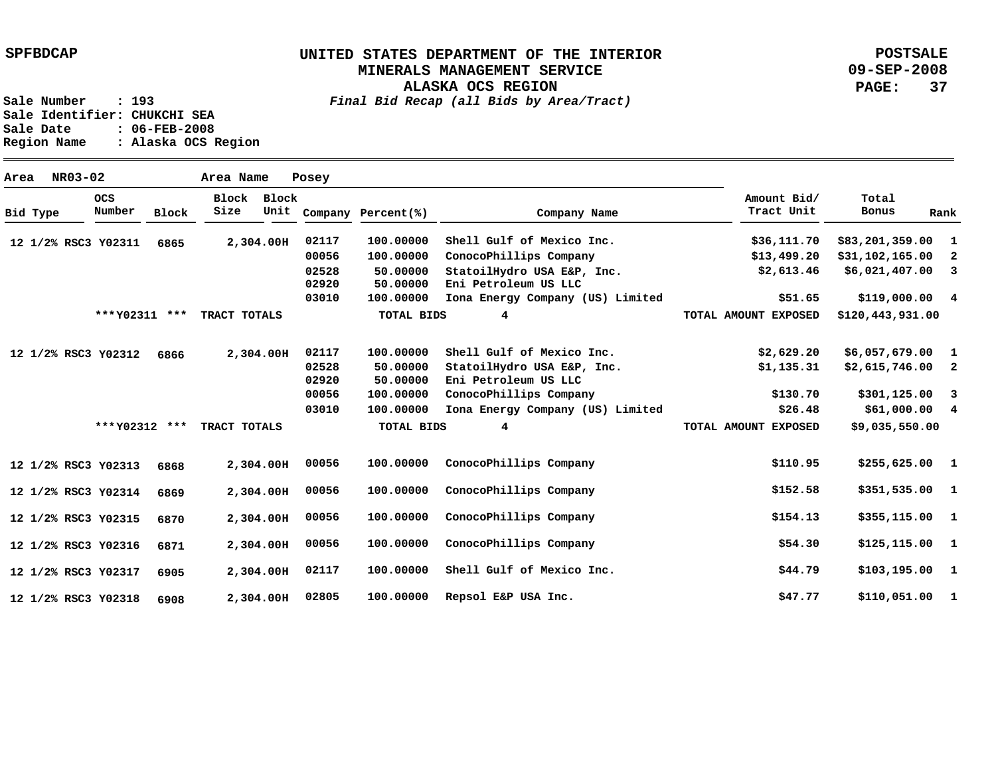**ALASKA OCS REGION**

**POSTSALE 09-SEP-2008 PAGE: 37**

**Sale Number : 193** *Final Bid Recap (all Bids by Area/Tract)*

Sale Identifier: CHUKCHI SEA<br>Sale Date : 06-FEB-2008 **Sale Date : 06-FEB-2008 Region Name : Alaska OCS Region**

|          | NR03-02<br>Area     |                      |              | Area Name           |           | Posey          |                      |                                                    |                           |                   |                         |
|----------|---------------------|----------------------|--------------|---------------------|-----------|----------------|----------------------|----------------------------------------------------|---------------------------|-------------------|-------------------------|
| Bid Type |                     | <b>OCS</b><br>Number | <b>Block</b> | Block Block<br>Size | Unit      |                | Company Percent(%)   | Company Name                                       | Amount Bid/<br>Tract Unit | Total<br>Bonus    | Rank                    |
|          | 12 1/2% RSC3 Y02311 |                      | 6865         |                     | 2,304.00H | 02117          | 100,00000            | Shell Gulf of Mexico Inc.                          | \$36,111.70               | \$83,201,359.00   | $\mathbf{1}$            |
|          |                     |                      |              |                     |           | 00056          | 100.00000            | ConocoPhillips Company                             | \$13,499.20               | \$31,102,165.00   | -2                      |
|          |                     |                      |              |                     |           | 02528<br>02920 | 50.00000<br>50.00000 | StatoilHydro USA E&P, Inc.<br>Eni Petroleum US LLC | \$2,613.46                | \$6,021,407.00    | $\overline{\mathbf{3}}$ |
|          |                     |                      |              |                     |           | 03010          | 100.00000            | Iona Energy Company (US) Limited                   | \$51.65                   | \$119,000.004     |                         |
|          |                     | *** Y02311 ***       |              | TRACT TOTALS        |           |                | <b>TOTAL BIDS</b>    | 4                                                  | TOTAL AMOUNT EXPOSED      | \$120,443,931.00  |                         |
|          | 12 1/2% RSC3 Y02312 |                      | 6866         |                     | 2,304.00H | 02117          | 100.00000            | Shell Gulf of Mexico Inc.                          | \$2,629.20                | \$6,057,679.00    | $\mathbf{1}$            |
|          |                     |                      |              |                     |           | 02528          | 50.00000             | StatoilHydro USA E&P, Inc.                         | \$1,135.31                | $$2,615,746.00$ 2 |                         |
|          |                     |                      |              |                     |           | 02920          | 50.00000             | Eni Petroleum US LLC                               |                           |                   |                         |
|          |                     |                      |              |                     |           | 00056          | 100,00000            | ConocoPhillips Company                             | \$130.70                  | $$301,125.00$ 3   |                         |
|          |                     |                      |              |                     |           | 03010          | 100.00000            | Iona Energy Company (US) Limited                   | \$26.48                   | \$61,000.00 4     |                         |
|          |                     | *** Y02312 ***       |              | TRACT TOTALS        |           |                | TOTAL BIDS           | 4                                                  | TOTAL AMOUNT EXPOSED      | \$9,035,550.00    |                         |
|          | 12 1/2% RSC3 Y02313 |                      | 6868         |                     | 2,304.00H | 00056          | 100.00000            | ConocoPhillips Company                             | \$110.95                  | $$255,625.00$ 1   |                         |
|          | 12 1/2% RSC3 Y02314 |                      | 6869         |                     | 2,304.00H | 00056          | 100.00000            | ConocoPhillips Company                             | \$152.58                  | \$351,535.00 1    |                         |
|          | 12 1/2% RSC3 Y02315 |                      | 6870         |                     | 2,304.00H | 00056          | 100.00000            | ConocoPhillips Company                             | \$154.13                  | \$355,115.00 1    |                         |
|          | 12 1/2% RSC3 Y02316 |                      | 6871         |                     | 2,304.00H | 00056          | 100.00000            | ConocoPhillips Company                             | \$54.30                   | $$125,115.00$ 1   |                         |
|          | 12 1/2% RSC3 Y02317 |                      | 6905         |                     | 2,304.00H | 02117          | 100.00000            | Shell Gulf of Mexico Inc.                          | \$44.79                   | $$103,195.00$ 1   |                         |
|          | 12 1/2% RSC3 Y02318 |                      | 6908         |                     | 2,304.00H | 02805          | 100.00000            | Repsol E&P USA Inc.                                | \$47.77                   | \$110,051.00 1    |                         |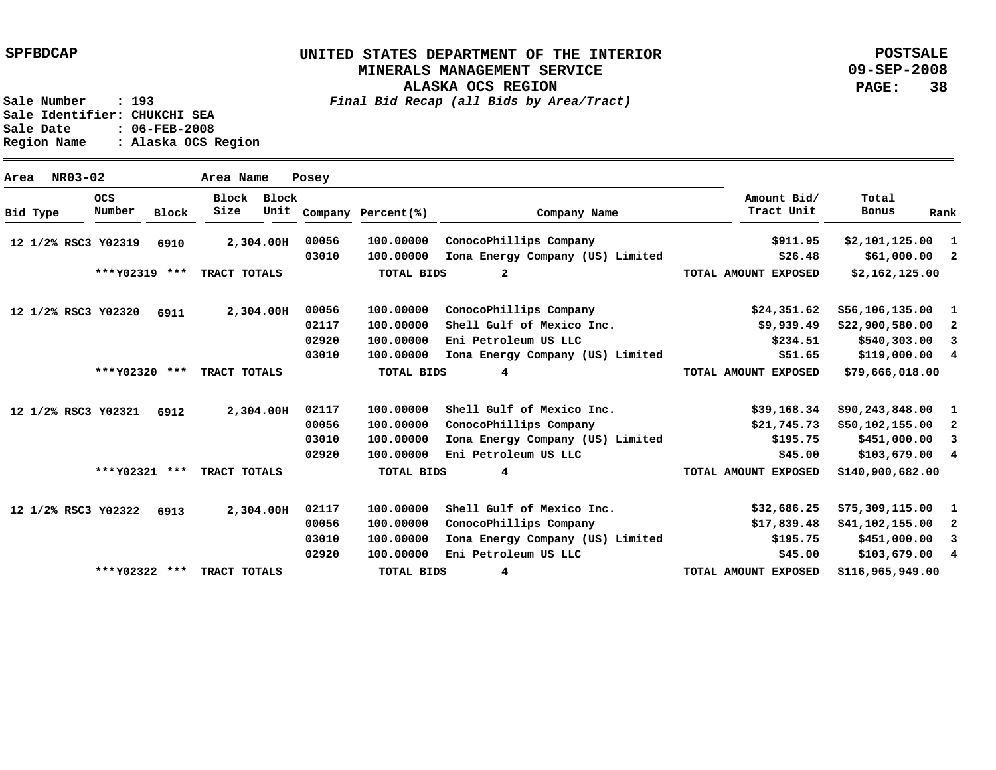**ALASKA OCS REGION**

**POSTSALE 09-SEP-2008 PAGE: 38**

**Sale Number : 193** *Final Bid Recap (all Bids by Area/Tract)* **Sale Identifier: CHUKCHI SEA Sale Date : 06-FEB-2008 Region Name : Alaska OCS Region**

**Area NR03-02 Area Name Posey Y02319 12 1/2% RSC3 Y02320 12 1/2% RSC3 Y02321 12 1/2% RSC3 Y02322 12 1/2% RSC3 2,304.00 H 2,304.00 H 2,304.00 H 2,304.00 H 6910 6911 6912 6913 1 2 1 2 3 4 1 2 3 4 1 2 3 4 \$103,679.00 \$2,101,125.00 \$61,000.00 \$56,106,135.00 \$22,900,580.00 \$540,303.00 \$119,000.00 \$90,243,848.00 \$50,102,155.00 \$451,000.00 \$103,679.00 \$75,309,115.00 \$41,102,155.00 \$451,000.00 \$911.95 \$26.48 \$24,351.62 \$9,939.49 \$234.51 \$51.65 \$39,168.34 \$21,745.73 \$195.75 \$45.00 \$32,686.25 \$17,839.48 \$195.75 \$45.00 100.00000 100.00000 100.00000 100.00000 100.00000 100.00000 100.00000 100.00000 100.00000 100.00000 Eni Petroleum US LLC 100.00000 100.00000 100.00000 100.00000 Eni Petroleum US LLC 00056 03010 00056 02117 02920 03010 02117 00056 03010 02920 02117 00056 03010 02920 ConocoPhillips Company Iona Energy Company (US) Limited ConocoPhillips Company Shell Gulf of Mexico Inc. Eni Petroleum US LLC Iona Energy Company (US) Limited Shell Gulf of Mexico Inc. ConocoPhillips Company Iona Energy Company (US) Limited Shell Gulf of Mexico Inc. ConocoPhillips Company Iona Energy Company (US) Limited Bid Type OCS Number Block Block Block Size Unit Company Percent(%) Company Name Amount Bid/ Tract Unit Total Bonus Rank \$2,162,125.00 \$79,666,018.00 \$140,900,682.00 \$116,965,949.00 2 4 4 4 \*\*\* \*\*\* TRACT TOTALS Y02319 \*\*\* \*\*\* TRACT TOTALS Y02320 \*\*\* \*\*\* TRACT TOTALS Y02321 \*\*\* \*\*\* TRACT TOTALS Y02322 TOTAL BIDS TOTAL BIDS TOTAL BIDS TOTAL BIDS TOTAL AMOUNT EXPOSED TOTAL AMOUNT EXPOSED TOTAL AMOUNT EXPOSED TOTAL AMOUNT EXPOSED**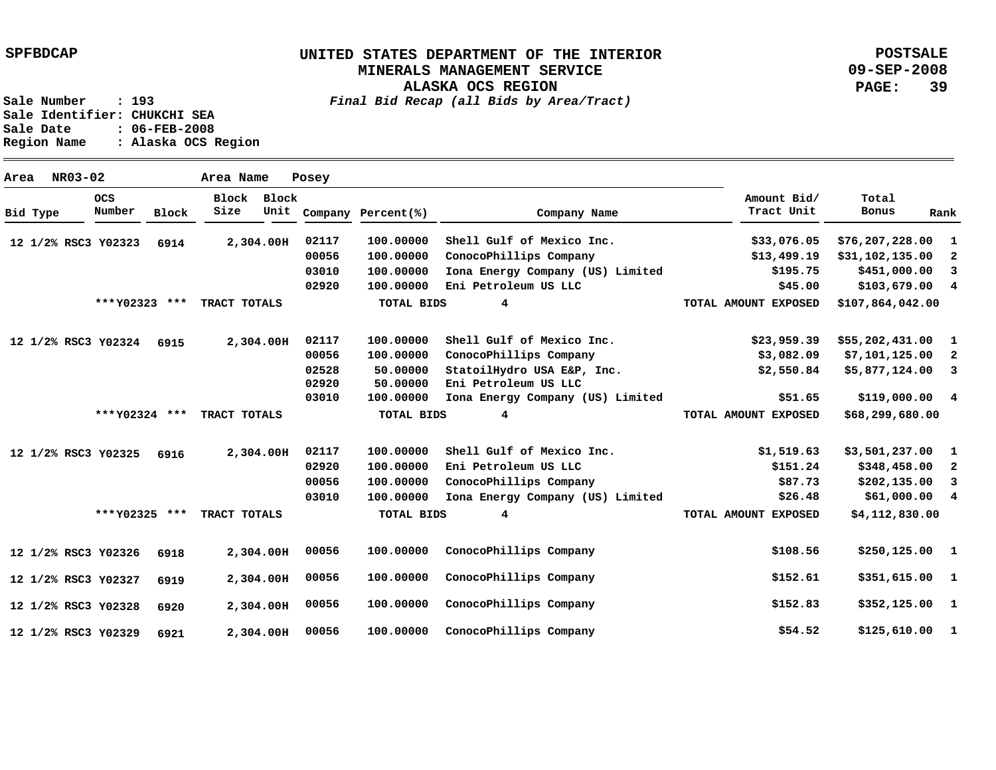**ALASKA OCS REGION**

**POSTSALE 09-SEP-2008 PAGE: 39**

**Sale Number : 193** *Final Bid Recap (all Bids by Area/Tract)*

Sale Identifier: CHUKCHI SEA<br>Sale Date : 06-FEB-2008 **Sale Date : 06-FEB-2008 Region Name : Alaska OCS Region**

| Area |          | NR03-02              |                     |               | Area Name     |           | Posey              |                      |                                                    |                      |                  |                         |
|------|----------|----------------------|---------------------|---------------|---------------|-----------|--------------------|----------------------|----------------------------------------------------|----------------------|------------------|-------------------------|
|      | Bid Type | <b>OCS</b><br>Number | Block               | Block<br>Size | Block<br>Unit |           | Company Percent(%) | Company Name         | Amount Bid/<br>Tract Unit                          | Total<br>Bonus       | Rank             |                         |
|      |          |                      | 12 1/2% RSC3 Y02323 | 6914          |               | 2,304.00H | 02117              | 100,00000            | Shell Gulf of Mexico Inc.                          | \$33,076.05          | \$76,207,228.00  | -1                      |
|      |          |                      |                     |               |               |           | 00056              | 100.00000            | ConocoPhillips Company                             | \$13,499.19          | \$31,102,135.00  | -2                      |
|      |          |                      |                     |               |               |           | 03010              | 100,00000            | Iona Energy Company (US) Limited                   | \$195.75             | \$451,000.00     | 3                       |
|      |          |                      |                     |               |               |           | 02920              | 100.00000            | Eni Petroleum US LLC                               | \$45.00              | \$103,679.00     | $\overline{\mathbf{4}}$ |
|      |          |                      | *** Y02323 ***      |               | TRACT TOTALS  |           |                    | TOTAL BIDS           | 4                                                  | TOTAL AMOUNT EXPOSED | \$107,864,042.00 |                         |
|      |          |                      | 12 1/2% RSC3 Y02324 | 6915          |               | 2,304.00H | 02117              | 100,00000            | Shell Gulf of Mexico Inc.                          | \$23,959.39          | \$55,202,431.00  | $\mathbf{1}$            |
|      |          |                      |                     |               |               |           | 00056              | 100.00000            | ConocoPhillips Company                             | \$3,082.09           | \$7,101,125.00   | -2                      |
|      |          |                      |                     |               |               |           | 02528<br>02920     | 50.00000<br>50.00000 | StatoilHydro USA E&P, Inc.<br>Eni Petroleum US LLC | \$2,550.84           | \$5,877,124.00   | 3                       |
|      |          |                      |                     |               |               |           | 03010              | 100.00000            | Iona Energy Company (US) Limited                   | \$51.65              | \$119,000.00 4   |                         |
|      |          |                      | *** Y02324 ***      |               | TRACT TOTALS  |           |                    | TOTAL BIDS           | 4                                                  | TOTAL AMOUNT EXPOSED | \$68,299,680.00  |                         |
|      |          |                      | 12 1/2% RSC3 Y02325 | 6916          |               | 2,304.00H | 02117              | 100.00000            | Shell Gulf of Mexico Inc.                          | \$1,519.63           | \$3,501,237.00   | $\blacksquare$          |
|      |          |                      |                     |               |               |           | 02920              | 100.00000            | Eni Petroleum US LLC                               | \$151.24             | \$348,458.00     | 2                       |
|      |          |                      |                     |               |               |           | 00056              | 100,00000            | ConocoPhillips Company                             | \$87.73              | \$202,135.00     | $\overline{\mathbf{3}}$ |
|      |          |                      |                     |               |               |           | 03010              | 100.00000            | Iona Energy Company (US) Limited                   | \$26.48              | \$61,000.00      | $\overline{4}$          |
|      |          |                      | ***Y02325 ***       |               | TRACT TOTALS  |           |                    | <b>TOTAL BIDS</b>    | 4                                                  | TOTAL AMOUNT EXPOSED | \$4,112,830.00   |                         |
|      |          |                      | 12 1/2% RSC3 Y02326 | 6918          |               | 2,304.00H | 00056              | 100,00000            | ConocoPhillips Company                             | \$108.56             | $$250,125.00$ 1  |                         |
|      |          |                      | 12 1/2% RSC3 Y02327 | 6919          |               | 2,304.00H | 00056              | 100.00000            | ConocoPhillips Company                             | \$152.61             | \$351,615.00     | $\blacksquare$          |
|      |          |                      | 12 1/2% RSC3 Y02328 | 6920          |               | 2,304.00H | 00056              | 100.00000            | ConocoPhillips Company                             | \$152.83             | \$352,125.00     | - 1                     |
|      |          |                      | 12 1/2% RSC3 Y02329 | 6921          |               | 2,304.00H | 00056              | 100.00000            | ConocoPhillips Company                             | \$54.52              | \$125,610.00     | $\mathbf{1}$            |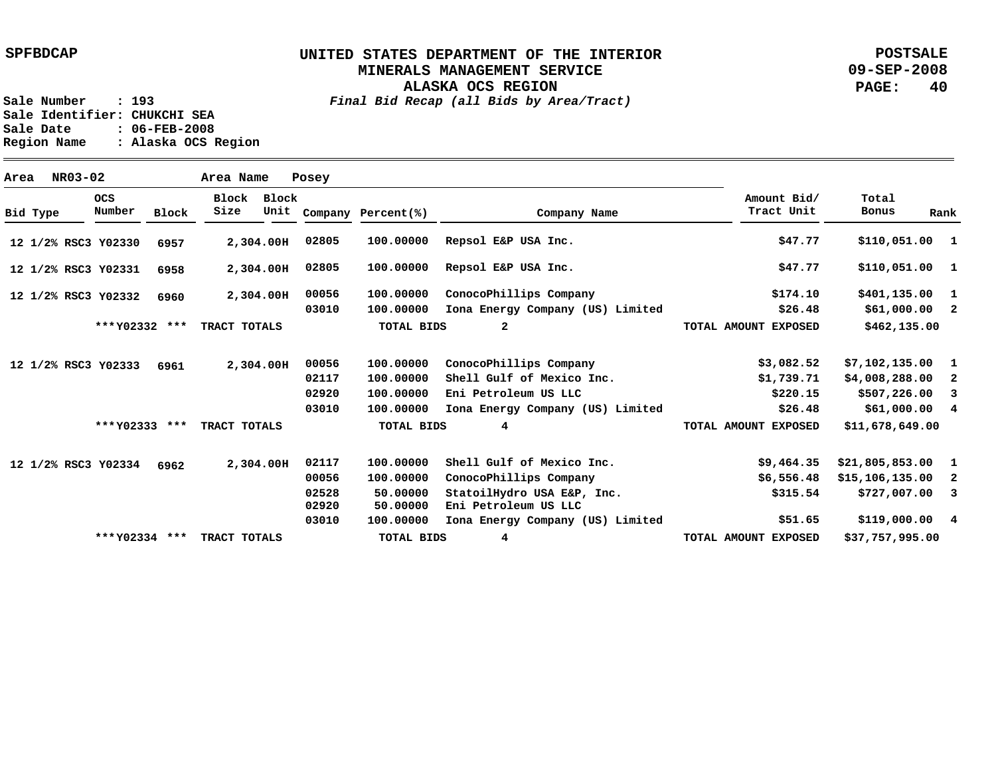**ALASKA OCS REGION**

**POSTSALE 09-SEP-2008 PAGE: 40**

| Area |          | NR03-02 |                      |              | Area Name     |               | Posey                                     |                                                             |                                                                                                                                               |                                                 |                                                                              |                |
|------|----------|---------|----------------------|--------------|---------------|---------------|-------------------------------------------|-------------------------------------------------------------|-----------------------------------------------------------------------------------------------------------------------------------------------|-------------------------------------------------|------------------------------------------------------------------------------|----------------|
|      | Bid Type |         | <b>OCS</b><br>Number | <b>Block</b> | Block<br>Size | Block<br>Unit |                                           | Company Percent(%)                                          | Company Name                                                                                                                                  | Amount Bid/<br>Tract Unit                       | Total<br>Bonus                                                               | Rank           |
|      |          |         | 12 1/2% RSC3 Y02330  | 6957         |               | 2,304.00H     | 02805                                     | 100.00000                                                   | Repsol E&P USA Inc.                                                                                                                           | \$47.77                                         | \$110,051.00 1                                                               |                |
|      |          |         | 12 1/2% RSC3 Y02331  | 6958         |               | 2,304.00H     | 02805                                     | 100.00000                                                   | Repsol E&P USA Inc.                                                                                                                           | \$47.77                                         | $$110,051.00$ 1                                                              |                |
|      |          |         | 12 1/2% RSC3 Y02332  | 6960         |               | 2,304.00H     | 00056<br>03010                            | 100.00000<br>100.00000                                      | ConocoPhillips Company<br>Iona Energy Company (US) Limited                                                                                    | \$174.10<br>\$26.48                             | $$401,135.00$ 1<br>$$61,000.00$ 2                                            |                |
|      |          |         | *** Y02332 ***       |              | TRACT TOTALS  |               |                                           | <b>TOTAL BIDS</b>                                           | $\overline{a}$                                                                                                                                | TOTAL AMOUNT EXPOSED                            | \$462,135.00                                                                 |                |
|      |          |         | 12 1/2% RSC3 Y02333  | 6961         |               | 2,304.00H     | 00056                                     | 100.00000                                                   | ConocoPhillips Company                                                                                                                        | \$3,082.52                                      | $$7,102,135.00$ 1                                                            |                |
|      |          |         |                      |              |               |               | 02117<br>02920                            | 100.00000<br>100,00000                                      | Shell Gulf of Mexico Inc.<br>Eni Petroleum US LLC                                                                                             | \$1,739.71<br>\$220.15                          | \$4,008,288.00<br>$$507,226.00$ 3                                            | $\overline{2}$ |
|      |          |         | *** Y02333 ***       |              | TRACT TOTALS  |               | 03010                                     | 100.00000<br><b>TOTAL BIDS</b>                              | Iona Energy Company (US) Limited<br>4                                                                                                         | \$26.48<br>TOTAL AMOUNT EXPOSED                 | \$61,000.00 4<br>\$11,678,649.00                                             |                |
|      |          |         | 12 1/2% RSC3 Y02334  | 6962         |               | 2,304.00H     | 02117<br>00056<br>02528<br>02920<br>03010 | 100,00000<br>100.00000<br>50.00000<br>50.00000<br>100.00000 | Shell Gulf of Mexico Inc.<br>ConocoPhillips Company<br>StatoilHydro USA E&P, Inc.<br>Eni Petroleum US LLC<br>Iona Energy Company (US) Limited | \$9,464.35<br>\$6,556.48<br>\$315.54<br>\$51.65 | $$21,805,853.00$ 1<br>$$15,106,135.00$ 2<br>$$727,007.00$ 3<br>\$119,000.004 |                |
|      |          |         | *** Y02334 ***       |              | TRACT TOTALS  |               |                                           | <b>TOTAL BIDS</b>                                           | 4                                                                                                                                             | TOTAL AMOUNT EXPOSED                            | \$37,757,995.00                                                              |                |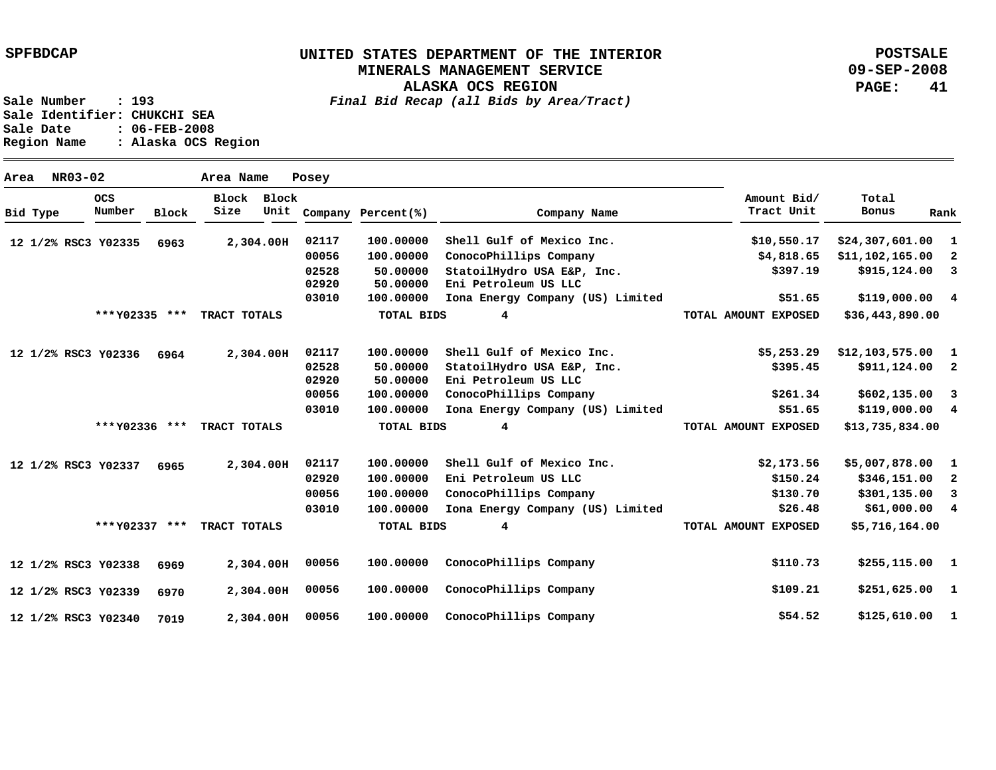**ALASKA OCS REGION**

**POSTSALE 09-SEP-2008 PAGE: 41**

**Sale Number : 193** *Final Bid Recap (all Bids by Area/Tract)* **Sale Identifier: CHUKCHI SEA Sale Date : 06-FEB-2008 Region Name : Alaska OCS Region**

**Area NR03-02 Area Name Posey Y02335 12 1/2% RSC3 Y02336 12 1/2% RSC3 Y02337 12 1/2% RSC3 Y02338 12 1/2% RSC3 Y02339 12 1/2% RSC3 Y02340 12 1/2% RSC3 2,304.00 H 2,304.00 H 2,304.00 H 2,304.00 H 2,304.00 H 2,304.00 H 6963 6964 6965 6969 6970 7019 1 2 3 4 \$119,000.00 1 2 3 4 1 2 3 4 \$61,000.00 1 1 1 \$125,610.00 \$24,307,601.00 \$11,102,165.00 \$915,124.00 \$12,103,575.00 \$911,124.00 \$602,135.00 \$119,000.00 \$5,007,878.00 \$346,151.00 \$301,135.00 \$255,115.00 \$251,625.00 \$10,550.17 \$4,818.65 \$397.19 \$51.65 \$5,253.29 \$395.45 \$261.34 \$51.65 \$2,173.56 \$150.24 \$130.70 \$26.48 \$110.73 \$109.21 \$54.52 100.00000 100.00000 50.00000 50.00000 100.00000 100.00000 50.00000 50.00000 100.00000 100.00000 Iona Energy Company (US) Limited 100.00000 100.00000 100.00000 100.00000 100.00000 100.00000 100.00000 ConocoPhillips Company 02117 00056 02528 02920 03010 02117 02528 02920 00056 03010 02117 02920 00056 03010 00056 00056 00056 Shell Gulf of Mexico Inc. ConocoPhillips Company StatoilHydro USA E&P, Inc. Eni Petroleum US LLC Iona Energy Company (US) Limited Shell Gulf of Mexico Inc. StatoilHydro USA E&P, Inc. Eni Petroleum US LLC ConocoPhillips Company Shell Gulf of Mexico Inc. Eni Petroleum US LLC ConocoPhillips Company Iona Energy Company (US) Limited ConocoPhillips Company ConocoPhillips Company Bid Type OCS Number Block Block Block Size Unit Company Percent(%) Company Name Amount Bid/ Tract Unit Total Bonus Rank \$36,443,890.00 \$13,735,834.00 \$5,716,164.00 4 4 4 \*\*\* \*\*\* TRACT TOTALS Y02335 \*\*\* \*\*\* TRACT TOTALS Y02336 \*\*\* \*\*\* TRACT TOTALS Y02337 TOTAL BIDS TOTAL BIDS TOTAL BIDS TOTAL AMOUNT EXPOSED TOTAL AMOUNT EXPOSED TOTAL AMOUNT EXPOSED**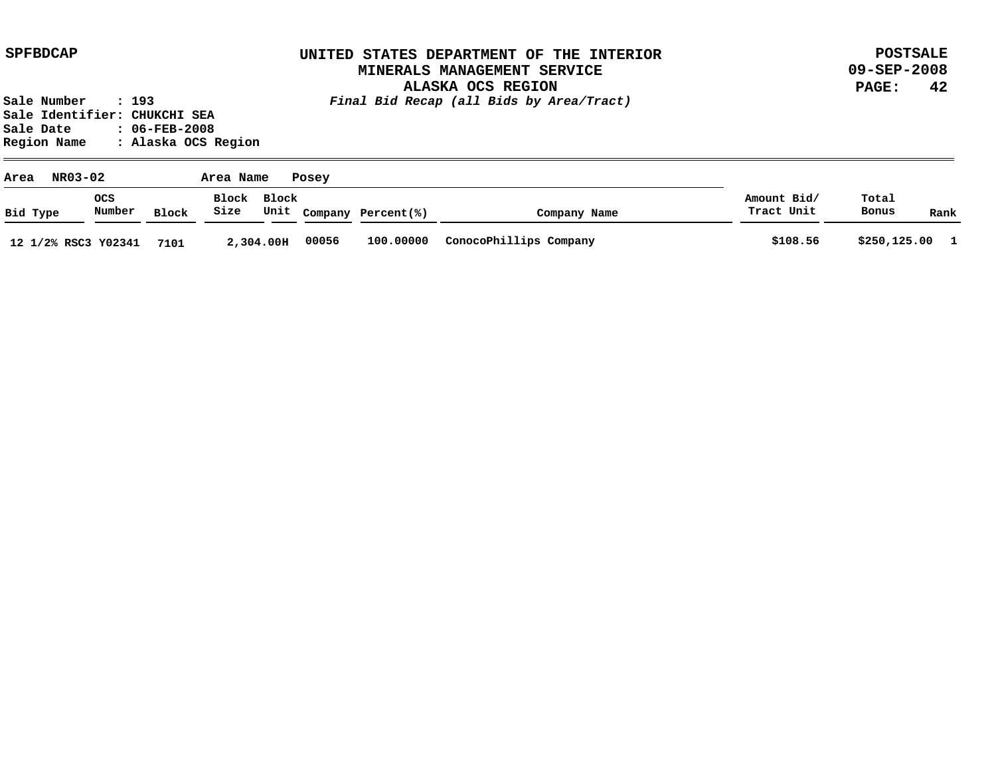**POSTSALE 09-SEP-2008 PAGE: 42**

| NR03-02<br>Area     |               |       | Area Name           |           | Posey |                    |                        |                           | Total<br>Bonus |              |
|---------------------|---------------|-------|---------------------|-----------|-------|--------------------|------------------------|---------------------------|----------------|--------------|
| Bid Type            | ocs<br>Number | Block | Block Block<br>Size | Unit      |       | Company Percent(%) | Company Name           | Amount Bid/<br>Tract Unit |                | Rank         |
| 12 1/2% RSC3 Y02341 |               | 7101  |                     | 2,304.00H | 00056 | 100.00000          | ConocoPhillips Company | \$108.56                  | \$250,125.00   | $\mathbf{1}$ |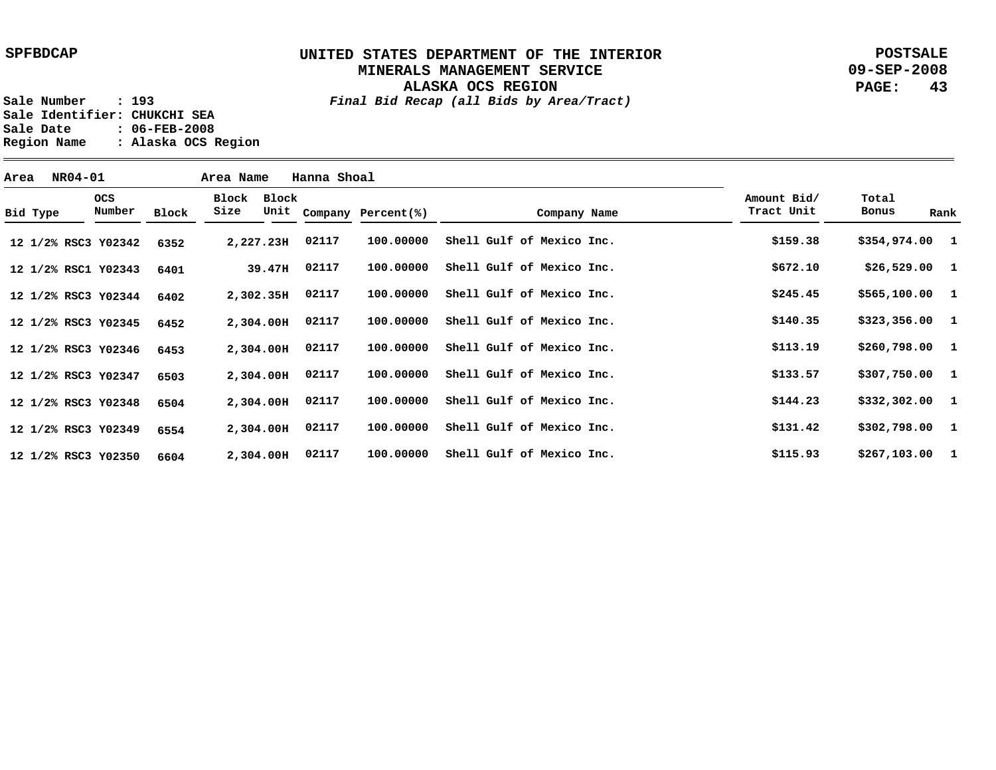**POSTSALE 09-SEP-2008 PAGE: 43**

| Area | <b>NR04-01</b>      |                      |       | Area Name     |           | Hanna Shoal |                         |                           |              |                           |                 |      |
|------|---------------------|----------------------|-------|---------------|-----------|-------------|-------------------------|---------------------------|--------------|---------------------------|-----------------|------|
|      | Bid Type            | <b>OCS</b><br>Number | Block | Block<br>Size | Block     |             | Unit Company Percent(%) |                           | Company Name | Amount Bid/<br>Tract Unit | Total<br>Bonus  | Rank |
|      | 12 1/2% RSC3 Y02342 |                      | 6352  | 2,227.23H     |           | 02117       | 100.00000               | Shell Gulf of Mexico Inc. |              | \$159.38                  | \$354,974.00 1  |      |
|      | 12 1/2% RSC1 Y02343 |                      | 6401  |               | 39.47H    | 02117       | 100.00000               | Shell Gulf of Mexico Inc. |              | \$672.10                  | $$26,529.00$ 1  |      |
|      | 12 1/2% RSC3 Y02344 |                      | 6402  | 2,302.35H     |           | 02117       | 100,00000               | Shell Gulf of Mexico Inc. |              | \$245.45                  | \$565,100.00 1  |      |
|      | 12 1/2% RSC3 Y02345 |                      | 6452  |               | 2,304.00H | 02117       | 100,00000               | Shell Gulf of Mexico Inc. |              | \$140.35                  | $$323,356.00$ 1 |      |
|      | 12 1/2% RSC3 Y02346 |                      | 6453  | 2,304.00H     |           | 02117       | 100.00000               | Shell Gulf of Mexico Inc. |              | \$113.19                  | \$260,798.00 1  |      |
|      | 12 1/2% RSC3 Y02347 |                      | 6503  | 2,304.00H     |           | 02117       | 100.00000               | Shell Gulf of Mexico Inc. |              | \$133.57                  | \$307,750.00 1  |      |
|      | 12 1/2% RSC3 Y02348 |                      | 6504  | 2,304.00H     |           | 02117       | 100,00000               | Shell Gulf of Mexico Inc. |              | \$144.23                  | $$332,302.00$ 1 |      |
|      | 12 1/2% RSC3 Y02349 |                      | 6554  | 2,304.00H     |           | 02117       | 100.00000               | Shell Gulf of Mexico Inc. |              | \$131.42                  | \$302,798.00 1  |      |
|      | 12 1/2% RSC3 Y02350 |                      | 6604  | 2,304.00H     |           | 02117       | 100,00000               | Shell Gulf of Mexico Inc. |              | \$115.93                  | $$267,103.00$ 1 |      |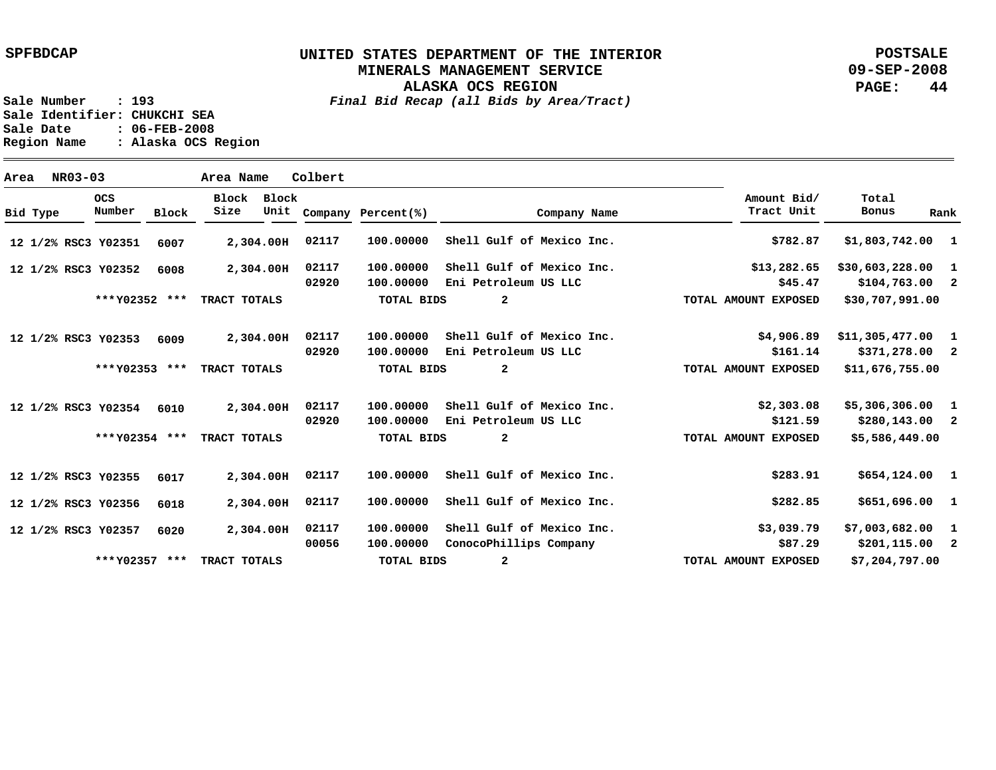**POSTSALE 09-SEP-2008 PAGE: 44**

| Area |          | NR03-03 |                      |              | Area Name     |               | Colbert |                    |                           |                           |                    |      |
|------|----------|---------|----------------------|--------------|---------------|---------------|---------|--------------------|---------------------------|---------------------------|--------------------|------|
|      | Bid Type |         | <b>OCS</b><br>Number | <b>Block</b> | Block<br>Size | Block<br>Unit |         | Company Percent(%) | Company Name              | Amount Bid/<br>Tract Unit | Total<br>Bonus     | Rank |
|      |          |         | 12 1/2% RSC3 Y02351  | 6007         |               | 2,304.00H     | 02117   | 100,00000          | Shell Gulf of Mexico Inc. | \$782.87                  | $$1,803,742.00$ 1  |      |
|      |          |         | 12 1/2% RSC3 Y02352  | 6008         |               | 2,304.00H     | 02117   | 100.00000          | Shell Gulf of Mexico Inc. | \$13,282.65               | \$30,603,228.00 1  |      |
|      |          |         |                      |              |               |               | 02920   | 100.00000          | Eni Petroleum US LLC      | \$45.47                   | $$104,763.00$ 2    |      |
|      |          |         | *** Y02352 ***       |              | TRACT TOTALS  |               |         | <b>TOTAL BIDS</b>  | $\overline{a}$            | TOTAL AMOUNT EXPOSED      | \$30,707,991.00    |      |
|      |          |         | 12 1/2% RSC3 Y02353  | 6009         |               | 2,304.00H     | 02117   | 100.00000          | Shell Gulf of Mexico Inc. | \$4,906.89                | $$11,305,477.00$ 1 |      |
|      |          |         |                      |              |               |               | 02920   | 100.00000          | Eni Petroleum US LLC      | \$161.14                  | \$371,278.00 2     |      |
|      |          |         | *** Y02353 ***       |              | TRACT TOTALS  |               |         | <b>TOTAL BIDS</b>  | $\overline{a}$            | TOTAL AMOUNT EXPOSED      | \$11,676,755.00    |      |
|      |          |         | 12 1/2% RSC3 Y02354  | 6010         |               | 2,304.00H     | 02117   | 100.00000          | Shell Gulf of Mexico Inc. | \$2,303.08                | $$5,306,306.00$ 1  |      |
|      |          |         |                      |              |               |               | 02920   | 100.00000          | Eni Petroleum US LLC      | \$121.59                  | $$280,143.00$ 2    |      |
|      |          |         | *** Y02354 ***       |              | TRACT TOTALS  |               |         | TOTAL BIDS         | $\overline{a}$            | TOTAL AMOUNT EXPOSED      | \$5,586,449.00     |      |
|      |          |         | 12 1/2% RSC3 Y02355  | 6017         |               | 2,304.00H     | 02117   | 100.00000          | Shell Gulf of Mexico Inc. | \$283.91                  | $$654,124.00$ 1    |      |
|      |          |         | 12 1/2% RSC3 Y02356  | 6018         |               | 2,304.00H     | 02117   | 100.00000          | Shell Gulf of Mexico Inc. | \$282.85                  | $$651,696.00$ 1    |      |
|      |          |         | 12 1/2% RSC3 Y02357  | 6020         |               | 2,304.00H     | 02117   | 100.00000          | Shell Gulf of Mexico Inc. | \$3,039.79                | $$7,003,682.00$ 1  |      |
|      |          |         |                      |              |               |               | 00056   | 100.00000          | ConocoPhillips Company    | \$87.29                   | $$201,115.00$ 2    |      |
|      |          |         | *** Y02357 ***       |              | TRACT TOTALS  |               |         | TOTAL BIDS         | 2                         | TOTAL AMOUNT EXPOSED      | \$7,204,797.00     |      |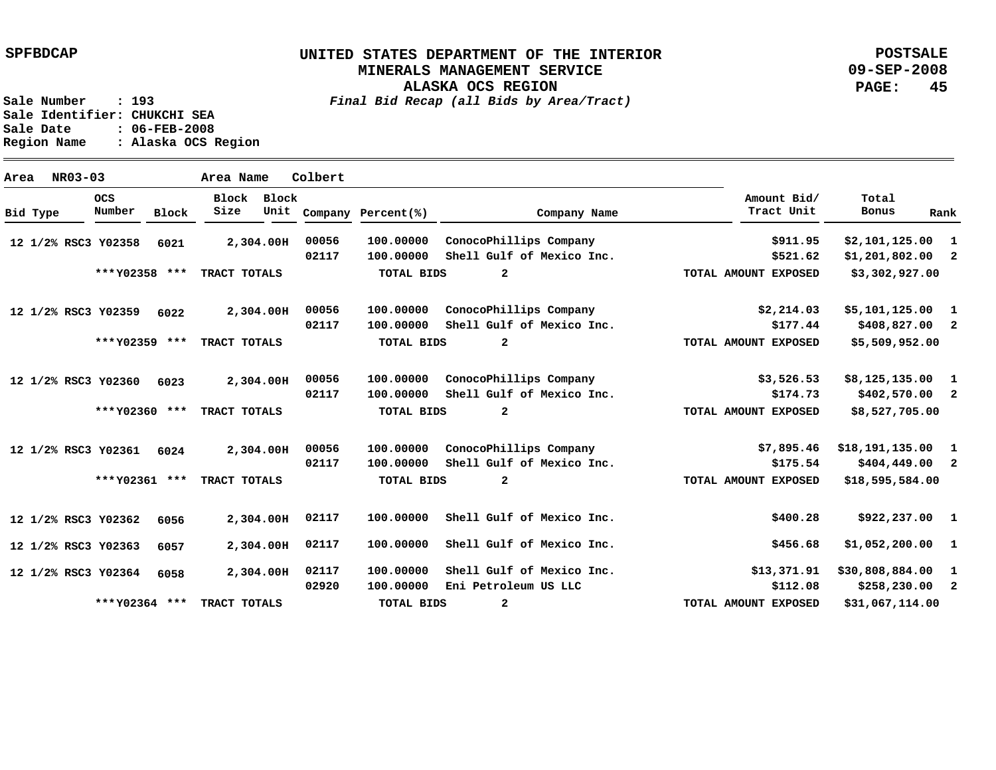**POSTSALE 09-SEP-2008 PAGE: 45**

**Sale Number : 193** *Final Bid Recap (all Bids by Area/Tract)* **Sale Identifier: CHUKCHI SEA Sale Date : 06-FEB-2008 Region Name : Alaska OCS Region**

**Area NR03-03 Area Name Colbert Y02358 12 1/2% RSC3 Y02359 12 1/2% RSC3 Y02360 6023 12 1/2% RSC3 Y02361 6024 12 1/2% RSC3 Y02362 12 1/2% RSC3 Y02363 12 1/2% RSC3 Y02364 12 1/2% RSC3 2,304.00 H 2,304.00 H 2,304.00 H 2,304.00 H 2,304.00 H 2,304.00 H 2,304.00 H 02117 6021 6022 6056 6057 6058 1 \$2,101,125.00 2 \$1,201,802.00 1 2 1 \$8,125,135.00 2 \$402,570.00 1 \$18,191,135.00 2 1 \$922,237.00 1 \$1,052,200.00 1 \$30,808,884.00 2 \$5,101,125.00 \$408,827.00 \$404,449.00 \$258,230.00 \$911.95 \$521.62 \$2,214.03 \$177.44 \$3,526.53 \$174.73 \$7,895.46 \$175.54 \$400.28 \$456.68 \$13,371.91 \$112.08 100.00000 ConocoPhillips Company 100.00000 Shell Gulf of Mexico Inc. 100.00000 100.00000 100.00000 ConocoPhillips Company 100.00000 Shell Gulf of Mexico Inc. 100.00000 100.00000 100.00000 100.00000 100.00000 Shell Gulf of Mexico Inc. 100.00000 Eni Petroleum US LLC 00056 02117 00056 02117 00056 02117 00056 02117 02117 02117 02920 ConocoPhillips Company Shell Gulf of Mexico Inc. ConocoPhillips Company Shell Gulf of Mexico Inc. Shell Gulf of Mexico Inc. Shell Gulf of Mexico Inc. Bid Type OCS Number Block Block Block Size Unit Company Percent(%) Company Name Amount Bid/ Tract Unit Total Bonus Rank \$3,302,927.00 \$5,509,952.00 \$8,527,705.00 \$18,595,584.00 \$31,067,114.00 2 2 2 2 2 \*\*\* \*\*\* TRACT TOTALS Y02358 \*\*\* \*\*\* TRACT TOTALS Y02359 \*\*\* \*\*\* TRACT TOTALS Y02360 \*\*\* \*\*\* TRACT TOTALS Y02361 \*\*\* \*\*\* TRACT TOTALS Y02364 TOTAL BIDS TOTAL BIDS TOTAL BIDS TOTAL BIDS TOTAL BIDS TOTAL AMOUNT EXPOSED TOTAL AMOUNT EXPOSED TOTAL AMOUNT EXPOSED TOTAL AMOUNT EXPOSED TOTAL AMOUNT EXPOSED**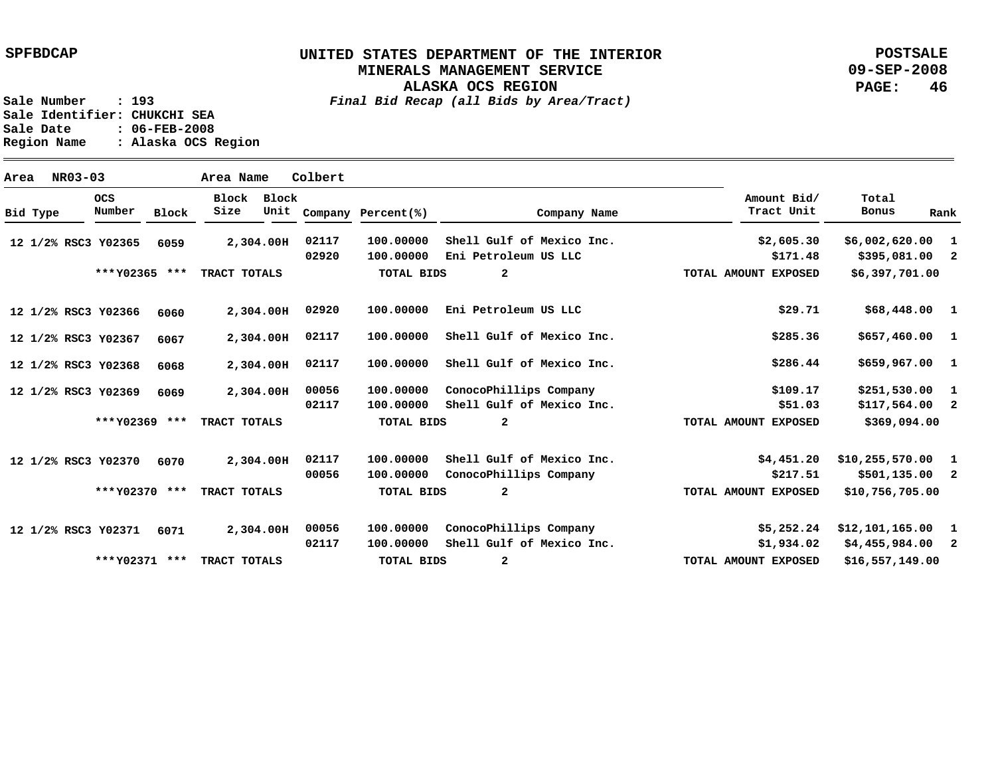## **UNITED STATES DEPARTMENT OF THE INTERIOR MINERALS MANAGEMENT SERVICE**

**ALASKA OCS REGION**

**POSTSALE 09-SEP-2008 PAGE: 46**

**Sale Number : 193** *Final Bid Recap (all Bids by Area/Tract)* **Sale Identifier: CHUKCHI SEA Sale Date : 06-FEB-2008 Region Name : Alaska OCS Region**

**Area NR03-03 Area Name Colbert Y02365 12 1/2% RSC3 Y02366 12 1/2% RSC3 Y02367 12 1/2% RSC3 Y02368 12 1/2% RSC3 Y02369 12 1/2% RSC3 Y02370 12 1/2% RSC3 Y02371 6071 12 1/2% RSC3 2,304.00 H 2,304.00 H 2,304.00 H 2,304.00 H 2,304.00 H 2,304.00 H 2,304.00 H 6059 6060 6067 6068 6069 6070 1 \$6,002,620.00 2 \$395,081.00 1 1 \$657,460.00 1 \$659,967.00 1 2 1 2 1 \$12,101,165.00 2 \$4,455,984.00 \$68,448.00 \$251,530.00 \$117,564.00 \$10,255,570.00 \$501,135.00 \$2,605.30 \$171.48 \$29.71 \$285.36 \$286.44 \$109.17 \$51.03 \$4,451.20 \$217.51 \$5,252.24 \$1,934.02 100.00000 100.00000 Eni Petroleum US LLC 100.00000 100.00000 Shell Gulf of Mexico Inc. 100.00000 Shell Gulf of Mexico Inc. 100.00000 100.00000 100.00000 100.00000 100.00000 ConocoPhillips Company 100.00000 Shell Gulf of Mexico Inc. 02117 02920 02920 02117 02117 00056 02117 02117 00056 00056 02117 Shell Gulf of Mexico Inc. Eni Petroleum US LLC ConocoPhillips Company Shell Gulf of Mexico Inc. Shell Gulf of Mexico Inc. ConocoPhillips Company Bid Type OCS Number Block Block Block Size Unit Company Percent(%) Company Name Amount Bid/ Tract Unit Total Bonus Rank \$6,397,701.00 \$369,094.00 \$10,756,705.00 \$16,557,149.00 2 2 2 2 \*\*\* \*\*\* TRACT TOTALS Y02365 \*\*\* \*\*\* TRACT TOTALS Y02369 \*\*\* \*\*\* TRACT TOTALS Y02370 \*\*\* \*\*\* TRACT TOTALS Y02371 TOTAL BIDS TOTAL BIDS TOTAL BIDS TOTAL BIDS TOTAL AMOUNT EXPOSED TOTAL AMOUNT EXPOSED TOTAL AMOUNT EXPOSED TOTAL AMOUNT EXPOSED**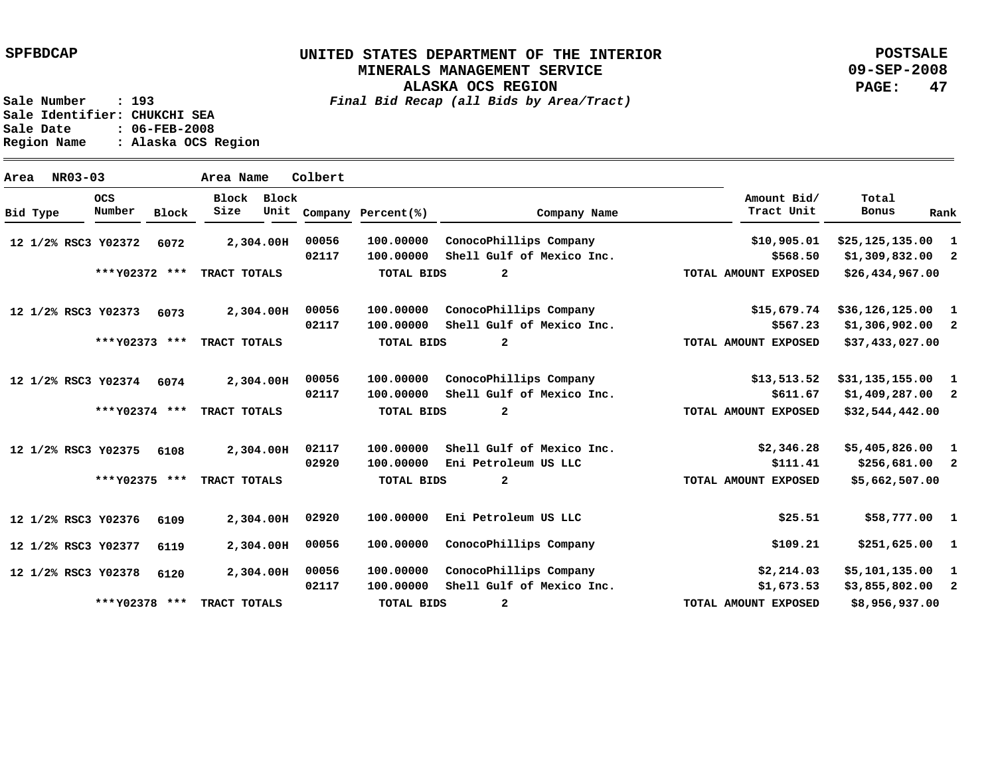**POSTSALE 09-SEP-2008 PAGE: 47**

**Sale Number : 193** *Final Bid Recap (all Bids by Area/Tract)* **Sale Identifier: CHUKCHI SEA Sale Date : 06-FEB-2008 Region Name : Alaska OCS Region**

**Area NR03-03 Area Name Colbert Y02372 12 1/2% RSC3 Y02373 6073 12 1/2% RSC3 Y02374 6074 12 1/2% RSC3 Y02375 12 1/2% RSC3 Y02376 12 1/2% RSC3 Y02377 12 1/2% RSC3 Y02378 12 1/2% RSC3 2,304.00 H 2,304.00 H 2,304.00 H 2,304.00 H 2,304.00 H 2,304.00 H 2,304.00 H 00056 6072 6108 6109 6119 6120 1 \$25,125,135.00 2 \$1,309,832.00 1 2 1 \$31,135,155.00 2 \$1,409,287.00 1 \$5,405,826.00 2 1 \$58,777.00 1 \$251,625.00 1 \$5,101,135.00 2 \$36,126,125.00 \$1,306,902.00 \$256,681.00 \$3,855,802.00 \$10,905.01 \$568.50 \$15,679.74 \$567.23 \$13,513.52 \$611.67 \$2,346.28 \$111.41 \$25.51 \$109.21 \$2,214.03 \$1,673.53 100.00000 ConocoPhillips Company 100.00000 Shell Gulf of Mexico Inc. 100.00000 100.00000 100.00000 ConocoPhillips Company 100.00000 Shell Gulf of Mexico Inc. 100.00000 Shell Gulf of Mexico Inc. 100.00000 100.00000 100.00000 ConocoPhillips Company 100.00000 ConocoPhillips Company 100.00000 Shell Gulf of Mexico Inc. 00056 02117 00056 02117 00056 02117 02117 02920 02920 00056 02117 ConocoPhillips Company Shell Gulf of Mexico Inc. Eni Petroleum US LLC Eni Petroleum US LLC Bid Type OCS Number Block Block Block Size Unit Company Percent(%) Company Name Amount Bid/ Tract Unit Total Bonus Rank \$26,434,967.00 \$37,433,027.00 \$32,544,442.00 \$5,662,507.00 \$8,956,937.00 2 2 2 2 2 \*\*\* \*\*\* TRACT TOTALS Y02372 \*\*\* \*\*\* TRACT TOTALS Y02373 \*\*\* \*\*\* TRACT TOTALS Y02374 \*\*\* \*\*\* TRACT TOTALS Y02375 \*\*\* \*\*\* TRACT TOTALS Y02378 TOTAL BIDS TOTAL BIDS TOTAL BIDS TOTAL BIDS TOTAL BIDS TOTAL AMOUNT EXPOSED TOTAL AMOUNT EXPOSED TOTAL AMOUNT EXPOSED TOTAL AMOUNT EXPOSED TOTAL AMOUNT EXPOSED**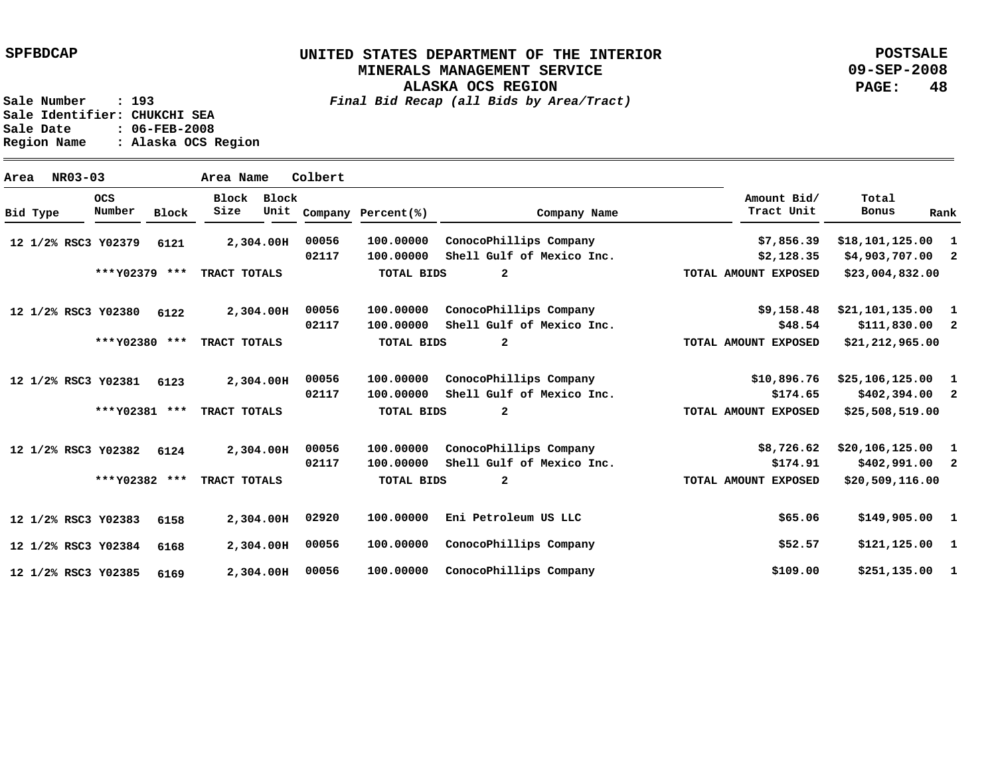**POSTSALE 09-SEP-2008 PAGE: 48**

**Sale Number : 193** *Final Bid Recap (all Bids by Area/Tract)* **Sale Identifier: CHUKCHI SEA Sale Date : 06-FEB-2008 Region Name : Alaska OCS Region**

**Area NR03-03 Area Name Colbert Y02379 12 1/2% RSC3 Y02380 12 1/2% RSC3 Y02381 6123 12 1/2% RSC3 Y02382 6124 12 1/2% RSC3 Y02383 12 1/2% RSC3 Y02384 12 1/2% RSC3 Y02385 12 1/2% RSC3 2,304.00 H 2,304.00 H 2,304.00 H 2,304.00 H 2,304.00 H 2,304.00 H 2,304.00 H 00056 6121 6122 6158 6168 6169 1 \$18,101,125.00 2 \$4,903,707.00 1 \$21,101,135.00 2 1 \$25,106,125.00 2 \$402,394.00 1 \$20,106,125.00 2 1 \$149,905.00 1 \$121,125.00 1 \$251,135.00 \$111,830.00 \$402,991.00 \$7,856.39 \$2,128.35 \$9,158.48 \$48.54 \$10,896.76 \$174.65 \$8,726.62 \$174.91 \$65.06 \$52.57 \$109.00 100.00000 ConocoPhillips Company 100.00000 Shell Gulf of Mexico Inc. 100.00000 100.00000 100.00000 ConocoPhillips Company 100.00000 Shell Gulf of Mexico Inc. 100.00000 ConocoPhillips Company 100.00000 100.00000 100.00000 100.00000 ConocoPhillips Company 00056 02117 00056 02117 00056 02117 00056 02117 02920 00056 ConocoPhillips Company Shell Gulf of Mexico Inc. Shell Gulf of Mexico Inc. Eni Petroleum US LLC ConocoPhillips Company Bid Type OCS Number Block Block Block Size Unit Company Percent(%) Company Name Amount Bid/ Tract Unit Total Bonus Rank \$23,004,832.00 \$21,212,965.00 \$25,508,519.00 \$20,509,116.00 2 2 2 2 \*\*\* \*\*\* TRACT TOTALS Y02379 \*\*\* \*\*\* TRACT TOTALS Y02380 \*\*\* \*\*\* TRACT TOTALS Y02381 \*\*\* \*\*\* TRACT TOTALS Y02382 TOTAL BIDS TOTAL BIDS TOTAL BIDS TOTAL BIDS TOTAL AMOUNT EXPOSED TOTAL AMOUNT EXPOSED TOTAL AMOUNT EXPOSED TOTAL AMOUNT EXPOSED**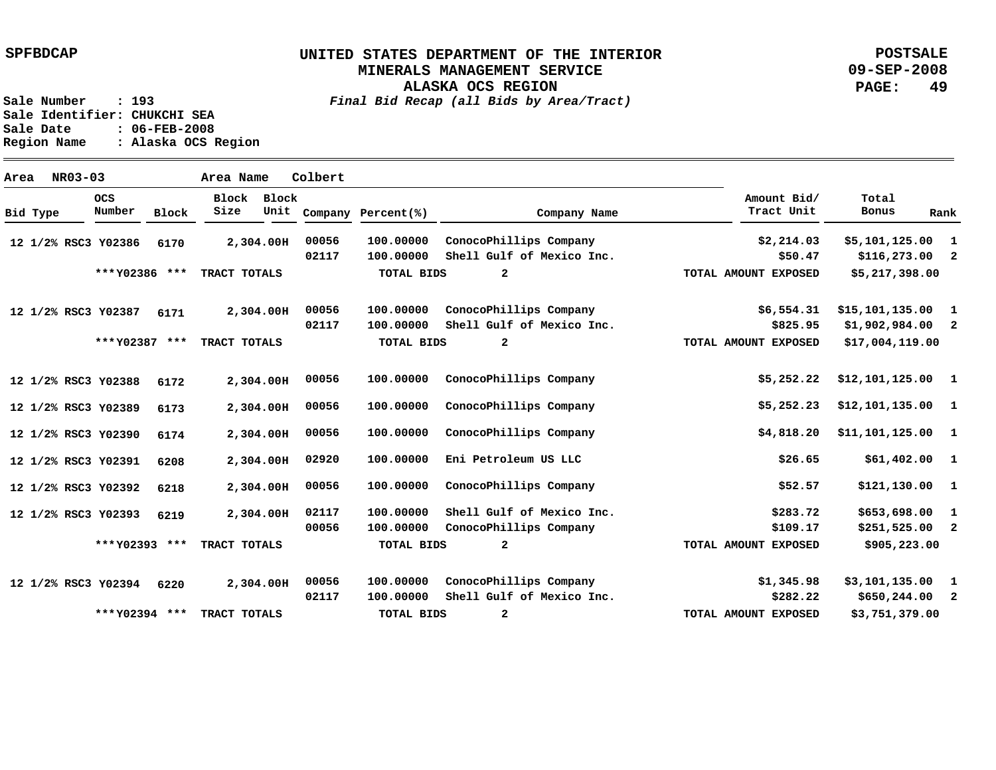**POSTSALE 09-SEP-2008 PAGE: 49**

**Sale Number : 193** *Final Bid Recap (all Bids by Area/Tract)* **Sale Identifier: CHUKCHI SEA Sale Date : 06-FEB-2008 Region Name : Alaska OCS Region**

**Area NR03-03 Area Name Colbert Y02386 12 1/2% RSC3 Y02387 12 1/2% RSC3 Y02388 12 1/2% RSC3 Y02389 12 1/2% RSC3 Y02390 12 1/2% RSC3 Y02391 12 1/2% RSC3 Y02392 12 1/2% RSC3 Y02393 12 1/2% RSC3 Y02394 12 1/2% RSC3 2,304.00 H 2,304.00 H 2,304.00 H 2,304.00 H 2,304.00 H 2,304.00 H 2,304.00 H 2,304.00 H 2,304.00 H 6170 6171 6172 6173 6174 6208 6218 6219 6220 1 \$5,101,125.00 2 \$116,273.00 1 2 1 1 \$12,101,135.00 1 1 1 \$121,130.00 1 2 1 \$3,101,135.00 2 \$650,244.00 \$15,101,135.00 \$1,902,984.00 \$12,101,125.00 \$11,101,125.00 \$61,402.00 \$653,698.00 \$251,525.00 \$2,214.03 \$50.47 \$6,554.31 \$825.95 \$5,252.22 \$5,252.23 \$4,818.20 \$26.65 \$52.57 \$283.72 \$109.17 \$1,345.98 \$282.22 100.00000 ConocoPhillips Company 100.00000 100.00000 100.00000 100.00000 100.00000 100.00000 100.00000 100.00000 ConocoPhillips Company 100.00000 100.00000 100.00000 100.00000 00056 02117 00056 02117 00056 00056 00056 02920 00056 02117 00056 00056 02117 Shell Gulf of Mexico Inc. ConocoPhillips Company Shell Gulf of Mexico Inc. ConocoPhillips Company ConocoPhillips Company ConocoPhillips Company Eni Petroleum US LLC Shell Gulf of Mexico Inc. ConocoPhillips Company ConocoPhillips Company Shell Gulf of Mexico Inc. Bid Type OCS Number Block Block Block Size Unit Company Percent(%) Company Name Amount Bid/ Tract Unit Total Bonus Rank \$5,217,398.00 \$17,004,119.00 \$905,223.00 \$3,751,379.00 2 2 2 2 \*\*\* \*\*\* TRACT TOTALS Y02386 \*\*\* \*\*\* TRACT TOTALS Y02387 \*\*\* \*\*\* TRACT TOTALS Y02393 \*\*\* \*\*\* TRACT TOTALS Y02394 TOTAL BIDS TOTAL BIDS TOTAL BIDS TOTAL BIDS TOTAL AMOUNT EXPOSED TOTAL AMOUNT EXPOSED TOTAL AMOUNT EXPOSED TOTAL AMOUNT EXPOSED**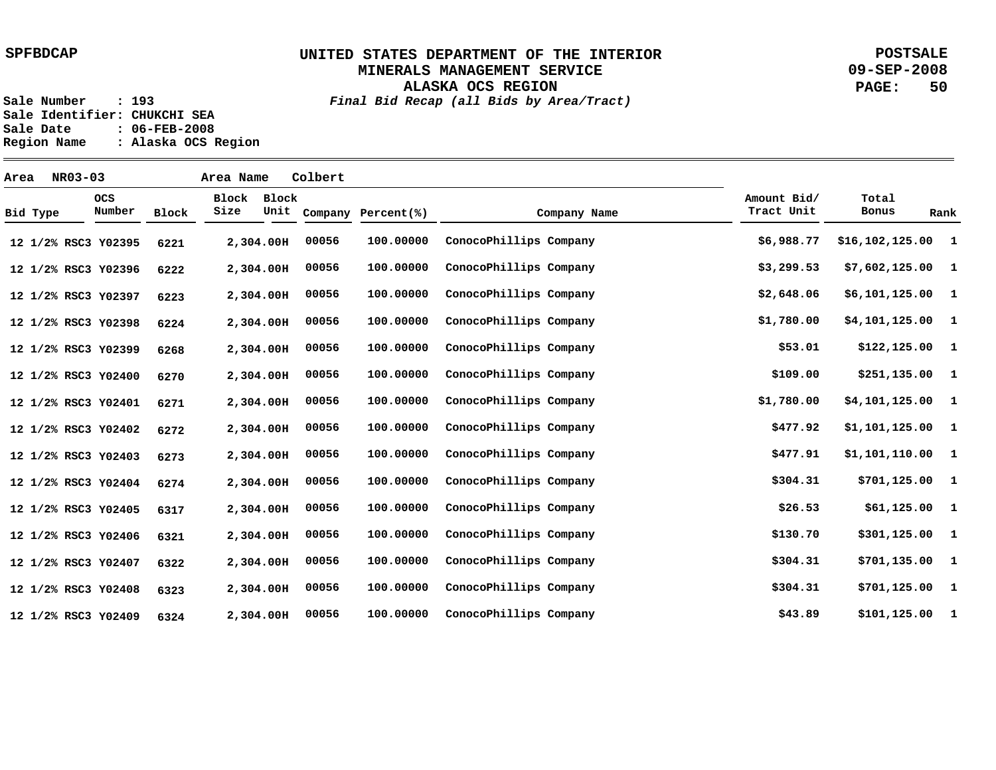**POSTSALE 09-SEP-2008 PAGE: 50**

**Sale Number : 193** *Final Bid Recap (all Bids by Area/Tract)* **Sale Identifier: CHUKCHI SEA Sale Date : 06-FEB-2008 Region Name : Alaska OCS Region**

**Area NR03-03 Area Name Colbert Y02395 12 1/2% RSC3 Y02396 12 1/2% RSC3 Y02397 12 1/2% RSC3 Y02398 12 1/2% RSC3 Y02399 12 1/2% RSC3 Y02400 12 1/2% RSC3 Y02401 12 1/2% RSC3 Y02402 12 1/2% RSC3 Y02403 12 1/2% RSC3 Y02404 12 1/2% RSC3 Y02405 12 1/2% RSC3 Y02406 12 1/2% RSC3 Y02407 12 1/2% RSC3 Y02408 12 1/2% RSC3 Y02409 12 1/2% RSC3 2,304.00 H 2,304.00 H 2,304.00 H 2,304.00 H 2,304.00 H 2,304.00 H 2,304.00 H 2,304.00 H 2,304.00 H 2,304.00 H 2,304.00 H 2,304.00 H 2,304.00 H 2,304.00 H 2,304.00 H 6221 6222 6223 6224 6268 6270 6271 6272 6273 6274 6317 6321 6322 6323 6324 1 \$16,102,125.00 1 1 1 1 1 1 1 1 1 1 1 1 1 1 \$7,602,125.00 \$6,101,125.00 \$4,101,125.00 \$122,125.00 \$251,135.00 \$4,101,125.00 \$1,101,125.00 \$1,101,110.00 \$701,125.00 \$61,125.00 \$301,125.00 \$701,135.00 \$701,125.00 \$101,125.00 \$6,988.77 \$3,299.53 \$2,648.06 \$1,780.00 \$53.01 \$109.00 \$1,780.00 \$477.92 \$477.91 \$304.31 \$26.53 \$130.70 \$304.31 \$304.31 \$43.89 100.00000 100.00000 100.00000 100.00000 100.00000 100.00000 100.00000 100.00000 100.00000 100.00000 100.00000 100.00000 100.00000 100.00000 100.00000 00056 00056 00056 00056 00056 00056 00056 00056 00056 00056 00056 00056 00056 00056 00056 ConocoPhillips Company ConocoPhillips Company ConocoPhillips Company ConocoPhillips Company ConocoPhillips Company ConocoPhillips Company ConocoPhillips Company ConocoPhillips Company ConocoPhillips Company ConocoPhillips Company ConocoPhillips Company ConocoPhillips Company ConocoPhillips Company ConocoPhillips Company ConocoPhillips Company Bid Type OCS Number Block Block Block Size Unit Company Percent(%) Company Name Amount Bid/ Tract Unit Total Bonus Rank**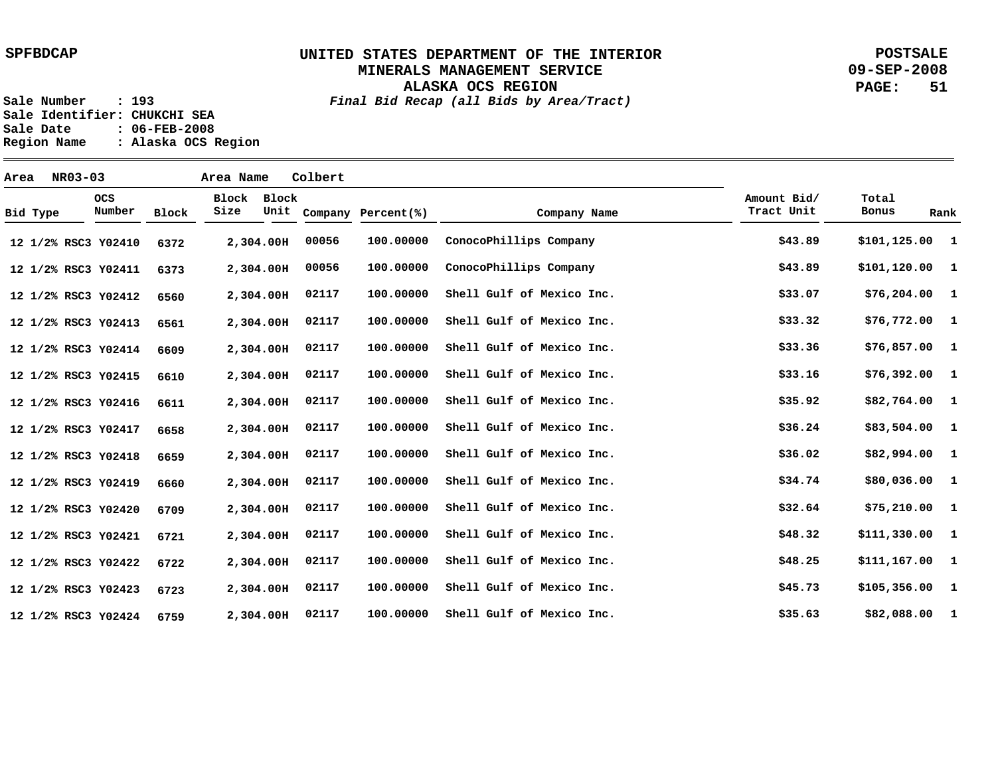**POSTSALE 09-SEP-2008 PAGE: 51**

**Sale Number : 193** *Final Bid Recap (all Bids by Area/Tract)*

**ALASKA OCS REGION**

Sale Identifier: CHUKCHI SEA<br>Sale Date : 06-FEB-2008 **Sale Date : 06-FEB-2008 Region Name : Alaska OCS Region**

| Area |          | NR03-03 |                      |       | Area Name     |           | Colbert |                         |                           |                           |                        |
|------|----------|---------|----------------------|-------|---------------|-----------|---------|-------------------------|---------------------------|---------------------------|------------------------|
|      | Bid Type |         | <b>OCS</b><br>Number | Block | Block<br>Size | Block     |         | Unit Company Percent(%) | Company Name              | Amount Bid/<br>Tract Unit | Total<br>Bonus<br>Rank |
|      |          |         | 12 1/2% RSC3 Y02410  | 6372  |               | 2,304.00H | 00056   | 100.00000               | ConocoPhillips Company    | \$43.89                   | $$101, 125.00$ 1       |
|      |          |         | 12 1/2% RSC3 Y02411  | 6373  |               | 2,304.00H | 00056   | 100.00000               | ConocoPhillips Company    | \$43.89                   | $$101,120.00$ 1        |
|      |          |         | 12 1/2% RSC3 Y02412  | 6560  |               | 2,304.00H | 02117   | 100.00000               | Shell Gulf of Mexico Inc. | \$33.07                   | $$76,204.00$ 1         |
|      |          |         | 12 1/2% RSC3 Y02413  | 6561  |               | 2,304.00H | 02117   | 100.00000               | Shell Gulf of Mexico Inc. | \$33.32                   | $$76,772.00$ 1         |
|      |          |         | 12 1/2% RSC3 Y02414  | 6609  |               | 2,304.00H | 02117   | 100.00000               | Shell Gulf of Mexico Inc. | \$33.36                   | $$76,857.00$ 1         |
|      |          |         | 12 1/2% RSC3 Y02415  | 6610  |               | 2,304.00H | 02117   | 100.00000               | Shell Gulf of Mexico Inc. | \$33.16                   | $$76,392.00$ 1         |
|      |          |         | 12 1/2% RSC3 Y02416  | 6611  |               | 2,304.00H | 02117   | 100.00000               | Shell Gulf of Mexico Inc. | \$35.92                   | \$82,764.00 1          |
|      |          |         | 12 1/2% RSC3 Y02417  | 6658  |               | 2,304.00H | 02117   | 100.00000               | Shell Gulf of Mexico Inc. | \$36.24                   | $$83,504.00$ 1         |
|      |          |         | 12 1/2% RSC3 Y02418  | 6659  |               | 2,304.00H | 02117   | 100.00000               | Shell Gulf of Mexico Inc. | \$36.02                   | $$82,994.00$ 1         |
|      |          |         | 12 1/2% RSC3 Y02419  | 6660  |               | 2,304.00H | 02117   | 100.00000               | Shell Gulf of Mexico Inc. | \$34.74                   | \$80,036.00 1          |
|      |          |         | 12 1/2% RSC3 Y02420  | 6709  |               | 2,304.00H | 02117   | 100.00000               | Shell Gulf of Mexico Inc. | \$32.64                   | $$75,210.00$ 1         |
|      |          |         | 12 1/2% RSC3 Y02421  | 6721  |               | 2,304.00H | 02117   | 100.00000               | Shell Gulf of Mexico Inc. | \$48.32                   | $$111,330.00$ 1        |
|      |          |         | 12 1/2% RSC3 Y02422  | 6722  |               | 2,304.00H | 02117   | 100.00000               | Shell Gulf of Mexico Inc. | \$48.25                   | $$111,167.00$ 1        |
|      |          |         | 12 1/2% RSC3 Y02423  | 6723  |               | 2,304.00H | 02117   | 100.00000               | Shell Gulf of Mexico Inc. | \$45.73                   | $$105,356.00$ 1        |
|      |          |         | 12 1/2% RSC3 Y02424  | 6759  |               | 2,304.00H | 02117   | 100.00000               | Shell Gulf of Mexico Inc. | \$35.63                   | \$82,088.00 1          |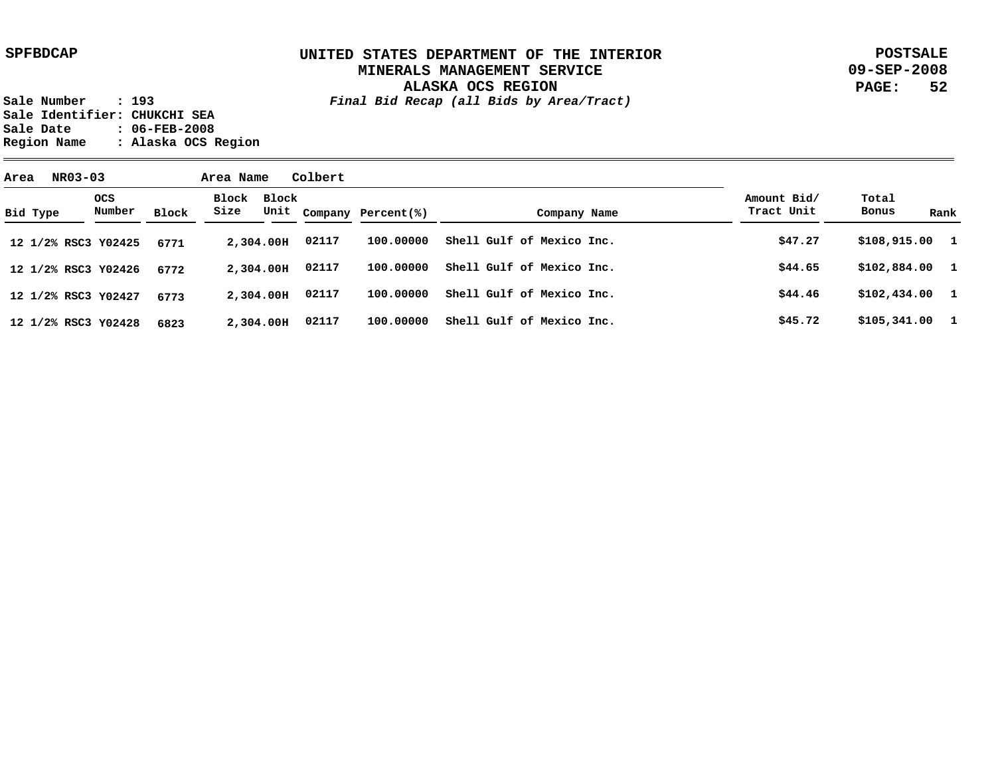**POSTSALE 09-SEP-2008 PAGE: 52**

| Area | NR03-03             |                      |       | Area Name     |           | Colbert |                         |                           |  |                           |                 |      |
|------|---------------------|----------------------|-------|---------------|-----------|---------|-------------------------|---------------------------|--|---------------------------|-----------------|------|
|      | Bid Type            | <b>OCS</b><br>Number | Block | Block<br>Size | Block     |         | Unit Company Percent(%) | Company Name              |  | Amount Bid/<br>Tract Unit | Total<br>Bonus  | Rank |
|      | 12 1/2% RSC3 Y02425 |                      | 6771  |               | 2,304.00H | 02117   | 100,00000               | Shell Gulf of Mexico Inc. |  | \$47.27                   | $$108,915.00$ 1 |      |
|      | 12 1/2% RSC3 Y02426 |                      | 6772  |               | 2,304.00H | 02117   | 100,00000               | Shell Gulf of Mexico Inc. |  | \$44.65                   | $$102,884.00$ 1 |      |
|      | 12 1/2% RSC3 Y02427 |                      | 6773  |               | 2,304.00H | 02117   | 100,00000               | Shell Gulf of Mexico Inc. |  | \$44.46                   | $$102,434.00$ 1 |      |
|      | 12 1/2% RSC3 Y02428 |                      | 6823  |               | 2,304.00H | 02117   | 100,00000               | Shell Gulf of Mexico Inc. |  | \$45.72                   | $$105,341.00$ 1 |      |